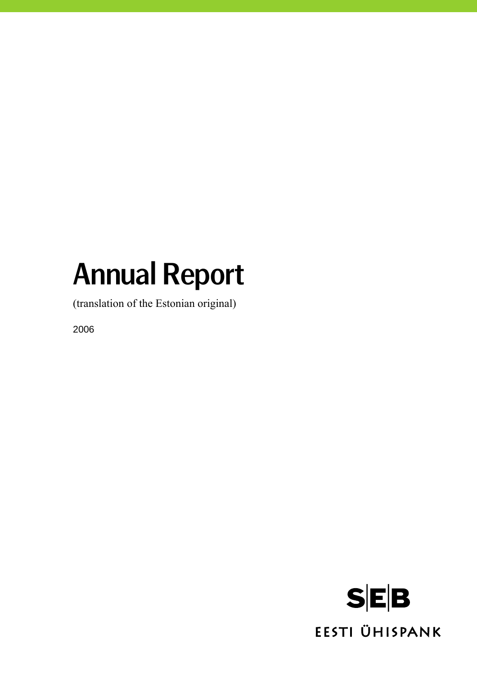# Annual Report

(translation of the Estonian original)

2006

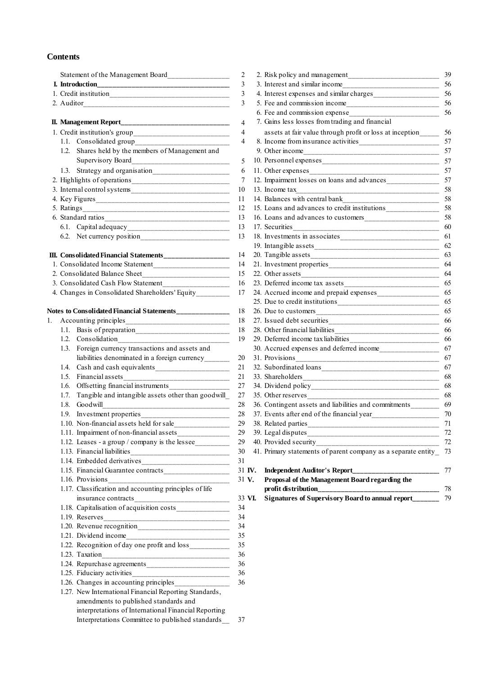#### **Contents**

|    |      |                                                                            | $\sqrt{2}$                       |               |                                                         |
|----|------|----------------------------------------------------------------------------|----------------------------------|---------------|---------------------------------------------------------|
|    |      |                                                                            | 3                                |               | 3. Interest and similar income                          |
|    |      |                                                                            | 3                                |               | 4. Interest expenses and similar charges                |
|    |      |                                                                            | $\mathfrak{Z}$                   |               |                                                         |
|    |      |                                                                            |                                  |               | 6. Fee and commission expense                           |
|    |      |                                                                            | $\overline{4}$                   |               | 7. Gains less losses from trading and financial         |
|    |      |                                                                            |                                  |               |                                                         |
|    |      |                                                                            | $\overline{4}$<br>$\overline{4}$ |               | assets at fair value through profit or loss at incepti  |
|    |      |                                                                            |                                  |               | 8. Income from insurance activities                     |
|    |      | 1.2. Shares held by the members of Management and                          |                                  |               |                                                         |
|    |      | Supervisory Board_                                                         | 5                                |               |                                                         |
|    |      |                                                                            | 6                                |               |                                                         |
|    |      |                                                                            | $\overline{7}$                   |               | 12. Impairment losses on loans and advances             |
|    |      |                                                                            | 10                               |               |                                                         |
|    |      |                                                                            | 11                               |               | 14. Balances with central bank                          |
|    |      |                                                                            | 12                               |               | 15. Loans and advances to credit institutions           |
|    |      |                                                                            | 13                               |               | 16. Loans and advances to customers                     |
|    |      |                                                                            | 13                               |               |                                                         |
|    |      |                                                                            | 13                               |               |                                                         |
|    |      |                                                                            |                                  |               |                                                         |
|    |      | III. Consolidated Financial Statements__________________                   | 14                               |               |                                                         |
|    |      |                                                                            | 14                               |               | 21. Investment properties                               |
|    |      |                                                                            | 15                               |               |                                                         |
|    |      | 3. Consolidated Cash Flow Statement                                        | 16                               |               | 23. Deferred income tax assets                          |
|    |      | 4. Changes in Consolidated Shareholders' Equity_________                   | 17                               |               | 24. Accrued income and prepaid expenses                 |
|    |      |                                                                            |                                  |               |                                                         |
|    |      | Notes to Consolidated Financial Statements                                 | 18                               |               |                                                         |
| 1. |      |                                                                            | 18                               |               | 27. Issued debt securities                              |
|    |      |                                                                            | 18                               |               | 28. Other financial liabilities<br>________________     |
|    |      | 1.2. Consolidation                                                         | 19                               |               | 29. Deferred income tax liabilities                     |
|    |      | 1.3. Foreign currency transactions and assets and                          |                                  |               | 30. Accrued expenses and deferred income                |
|    |      | liabilities denominated in a foreign currency_______                       | 20                               |               |                                                         |
|    |      |                                                                            | 21                               |               | 32. Subordinated loans                                  |
|    |      |                                                                            | 21                               |               |                                                         |
|    | 1.6. |                                                                            | $27\,$                           |               |                                                         |
|    | 1.7. | Tangible and intangible assets other than goodwill_                        | 27                               |               | 35. Other reserves                                      |
|    | 1.8. | Goodwill                                                                   | 28                               |               | 36. Contingent assets and liabilities and commitments   |
|    | 1.9. |                                                                            | 28                               |               | 37. Events after end of the financial year              |
|    |      |                                                                            | 29                               |               |                                                         |
|    |      |                                                                            |                                  |               |                                                         |
|    |      | 1.12. Leases - a group / company is the lessee__________                   | 29<br>29                         |               |                                                         |
|    |      |                                                                            | 30                               |               | 41. Primary statements of parent company as a separa    |
|    |      |                                                                            |                                  |               |                                                         |
|    |      |                                                                            | 31                               |               |                                                         |
|    |      |                                                                            |                                  | 31 <b>IV.</b> | Independent Auditor's Report__________________          |
|    |      | 1.16. Provisions<br>1.17. Classification and accounting principles of life |                                  | 31 V.         | Proposal of the Management Board regarding the          |
|    |      |                                                                            |                                  |               |                                                         |
|    |      |                                                                            |                                  | 33 VI.        | <b>Signatures of Supervisory Board to annual report</b> |
|    |      |                                                                            | 34                               |               |                                                         |
|    |      |                                                                            | 34                               |               |                                                         |
|    |      |                                                                            | 34                               |               |                                                         |
|    |      | 1.21. Dividend income                                                      | 35                               |               |                                                         |
|    |      |                                                                            | 35                               |               |                                                         |
|    |      |                                                                            | 36                               |               |                                                         |
|    |      |                                                                            | 36                               |               |                                                         |
|    |      |                                                                            | 36                               |               |                                                         |
|    |      |                                                                            | 36                               |               |                                                         |
|    |      | 1.27. New International Financial Reporting Standards,                     |                                  |               |                                                         |
|    |      | amendments to published standards and                                      |                                  |               |                                                         |
|    |      | interpretations of International Financial Reporting                       |                                  |               |                                                         |
|    |      | Interpretations Committee to published standards                           | 37                               |               |                                                         |

|                                                                                      | 2              |                                                                                                                                                         | 39  |
|--------------------------------------------------------------------------------------|----------------|---------------------------------------------------------------------------------------------------------------------------------------------------------|-----|
| I. Introduction                                                                      | 3              |                                                                                                                                                         | 56  |
|                                                                                      | $\mathfrak{Z}$ |                                                                                                                                                         | 56  |
|                                                                                      | $\overline{3}$ | 5. Fee and commission income                                                                                                                            | 56  |
|                                                                                      |                | 6. Fee and commission expense                                                                                                                           | 56  |
| II. Management Report_                                                               | $\overline{4}$ | 7. Gains less losses from trading and financial                                                                                                         |     |
|                                                                                      | $\overline{4}$ | assets at fair value through profit or loss at inception_____                                                                                           | -56 |
| 1.1. Consolidated group_<br><u> 1989 - Johann John Stone, mars eta biztanleria (</u> | $\overline{4}$ |                                                                                                                                                         | 57  |
| 1.2. Shares held by the members of Management and                                    |                |                                                                                                                                                         | 57  |
| Supervisory Board<br>_________________________________                               | 5              |                                                                                                                                                         |     |
|                                                                                      | 6              |                                                                                                                                                         | 57  |
|                                                                                      | $\tau$         | 12. Impairment losses on loans and advances                                                                                                             | 57  |
|                                                                                      | 10             |                                                                                                                                                         | 58  |
|                                                                                      | 11             |                                                                                                                                                         | 58  |
|                                                                                      | 12             |                                                                                                                                                         | 58  |
| 6. Standard ratios                                                                   | 13             |                                                                                                                                                         | 58  |
|                                                                                      | 13             | 17. Securities                                                                                                                                          | 60  |
|                                                                                      | 13             |                                                                                                                                                         | 61  |
|                                                                                      |                |                                                                                                                                                         | 62  |
| III. Consolidated Financial Statements__________________                             | 14             |                                                                                                                                                         | 63  |
|                                                                                      | 14             |                                                                                                                                                         | 64  |
|                                                                                      | 15             |                                                                                                                                                         | 64  |
|                                                                                      | 16             |                                                                                                                                                         | 65  |
| 4. Changes in Consolidated Shareholders' Equity_________                             | 17             |                                                                                                                                                         | 65  |
|                                                                                      |                |                                                                                                                                                         | 65  |
| Notes to Consolidated Financial Statements                                           | 18             | 26. Due to customers                                                                                                                                    | 65  |
| Accounting principles<br>1.                                                          | 18             |                                                                                                                                                         | 66  |
|                                                                                      | 18             | 28. Other financial liabilities<br><u> 1989 - Johann John Stone, mars eta bainar eta baina eta baina eta baina eta baina eta baina eta baina eta ba</u> | 66  |
| 1.2. Consolidation                                                                   | 19             | 29. Deferred income tax liabilities<br><u> 1989 - Johann John Stone, mensk politik fotograf (d. 1989)</u>                                               | 66  |
| 1.3. Foreign currency transactions and assets and                                    |                |                                                                                                                                                         | 67  |
| liabilities denominated in a foreign currency_______                                 | 20             | 31. Provisions                                                                                                                                          | 67  |
|                                                                                      | 21             |                                                                                                                                                         | 67  |
| 1.5.                                                                                 | 21             |                                                                                                                                                         | 68  |
| 1.6.                                                                                 | 27             |                                                                                                                                                         | 68  |
| Tangible and intangible assets other than goodwill<br>1.7.                           | $27\,$         | 35. Other reserves                                                                                                                                      | 68  |
| Goodwill<br>1.8.<br><u> 1990 - Johann Barbara, martin d</u>                          | 28             | 36. Contingent assets and liabilities and commitments                                                                                                   | 69  |
| 1.9.                                                                                 | 28             | 37. Events after end of the financial year                                                                                                              | 70  |
| 1.10. Non-financial assets held for sale                                             | 29             | 38. Related parties                                                                                                                                     | 71  |
|                                                                                      | 29             |                                                                                                                                                         | 72  |
| 1.12. Leases - a group / company is the lessee_________                              | 29             |                                                                                                                                                         | 72  |
|                                                                                      | 30             | 41. Primary statements of parent company as a separate entity 73                                                                                        |     |
|                                                                                      | 31             |                                                                                                                                                         |     |
|                                                                                      | $31$ IV.       |                                                                                                                                                         | 77  |
|                                                                                      | 31 V.          | Proposal of the Management Board regarding the                                                                                                          |     |
| 1.16. Provisions<br>1.17. Classification and accounting principles of life           |                |                                                                                                                                                         |     |
|                                                                                      | 33 VI.         | Signatures of Supervisory Board to annual report_________ 79                                                                                            |     |
| insurance contracts<br>1.18. Capitalisation of acquisition costs                     | 34             |                                                                                                                                                         |     |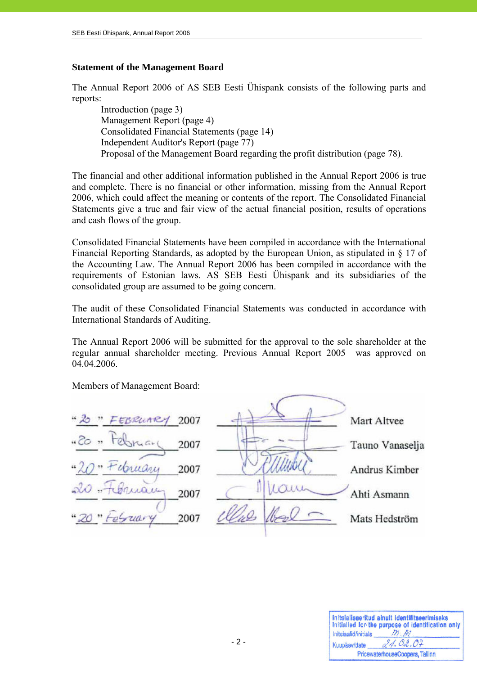#### **Statement of the Management Board**

The Annual Report 2006 of AS SEB Eesti Ühispank consists of the following parts and reports:

 Introduction (page 3) Management Report (page 4) Consolidated Financial Statements (page 14) Independent Auditor's Report (page 77) Proposal of the Management Board regarding the profit distribution (page 78).

The financial and other additional information published in the Annual Report 2006 is true and complete. There is no financial or other information, missing from the Annual Report 2006, which could affect the meaning or contents of the report. The Consolidated Financial Statements give a true and fair view of the actual financial position, results of operations and cash flows of the group.

Consolidated Financial Statements have been compiled in accordance with the International Financial Reporting Standards, as adopted by the European Union, as stipulated in § 17 of the Accounting Law. The Annual Report 2006 has been compiled in accordance with the requirements of Estonian laws. AS SEB Eesti Ühispank and its subsidiaries of the consolidated group are assumed to be going concern.

The audit of these Consolidated Financial Statements was conducted in accordance with International Standards of Auditing.

The Annual Report 2006 will be submitted for the approval to the sole shareholder at the regular annual shareholder meeting. Previous Annual Report 2005 was approved on 04.04.2006.

Members of Management Board:

| "20" FEBRUARY 2007 |      |                  | Mart Altvee     |
|--------------------|------|------------------|-----------------|
| " 20 " Februar     | 2007 |                  | Tauno Vanaselja |
| "20" February      | 2007 |                  | Andrus Kimber   |
| 20 February        | 2007 |                  | Ahti Asmann     |
| "20" February      | 2007 | $M = 2$<br>ellal | Mats Hedström   |

| Initsiaalid/initials | Initsialiseeritud ainult identifitseerimiseks<br>Initialled for the purpose of identification only<br>m.m |
|----------------------|-----------------------------------------------------------------------------------------------------------|
| Kuupäev/date         | 24.02.07                                                                                                  |
|                      | PricewaterhouseCoopers, Tallinn                                                                           |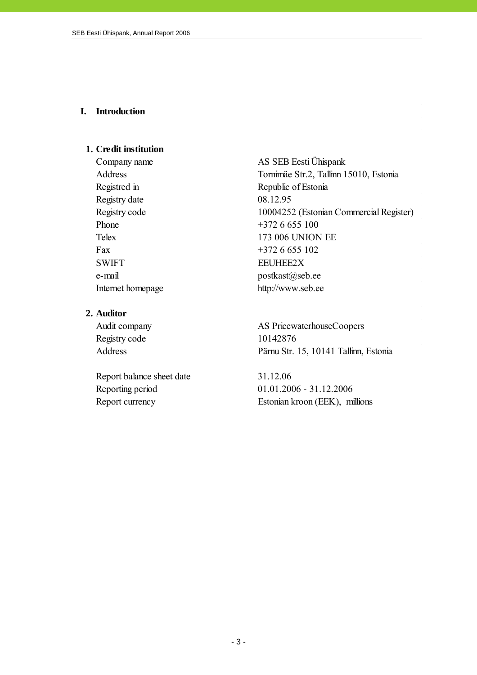#### **I. Introduction**

#### **1. Credit institution**

Registry date 08.12.95 Phone  $+3726655100$ Fax  $+3726655102$ SWIFT EEUHEE2X e-mail postkast@seb.ee

#### **2. Auditor**

Registry code 10142876

Report balance sheet date 31.12.06

Company name AS SEB Eesti Ühispank Address Tornimäe Str.2, Tallinn 15010, Estonia Registred in Republic of Estonia Registry code 10004252 (Estonian Commercial Register) Telex 173 006 UNION EE Internet homepage http://www.seb.ee

# Audit company **AS PricewaterhouseCoopers** Address Pärnu Str. 15, 10141 Tallinn, Estonia

Reporting period 01.01.2006 - 31.12.2006 Report currency Estonian kroon (EEK), millions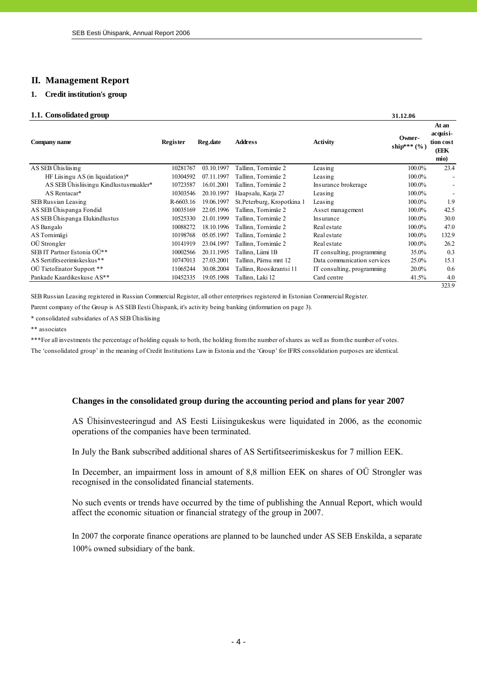#### **II. Management Report**

#### **1. Credit institution's group**

#### **1.1. Consolidated group 31.12.06**

| Company name                           | Register  | Reg.date   | <b>Address</b>             | Activity                    | Owner-<br>ship*** $(%)$ | At an<br>acquisi-<br>tion cost<br>(EEK<br>mio) |
|----------------------------------------|-----------|------------|----------------------------|-----------------------------|-------------------------|------------------------------------------------|
| AS SEB Ühisliising                     | 10281767  | 03.10.1997 | Tallinn, Tornimäe 2        | Leasing                     | $100.0\%$               | 23.4                                           |
| HF Liisingu AS (in liquidation) $*$    | 10304592  | 07.11.1997 | Tallinn, Tornimäe 2        | Leasing                     | 100.0%                  | $\overline{\phantom{a}}$                       |
| AS SEB Ühisliisingu Kindlustusmaakler* | 10723587  | 16.01.2001 | Tallinn, Tornimäe 2        | Insurance brokerage         | 100.0%                  | ۰                                              |
| AS Rentacar*                           | 10303546  | 20.10.1997 | Haapsalu, Karja 27         | Leasing                     | 100.0%                  |                                                |
| SEB Russian Leasing                    | R-6603.16 | 19.06.1997 | St.Peterburg, Kropotkina 1 | Leasing                     | 100.0%                  | 1.9                                            |
| AS SEB Ühispanga Fondid                | 10035169  | 22.05.1996 | Tallinn, Tornimäe 2        | Asset management            | 100.0%                  | 42.5                                           |
| AS SEB Ühispanga Elukindlustus         | 10525330  | 21.01.1999 | Tallinn, Tornimäe 2        | Insurance                   | $100.0\%$               | 30.0                                           |
| AS Bangalo                             | 10088272  | 18.10.1996 | Tallinn, Tornimäe 2        | Real estate                 | 100.0%                  | 47.0                                           |
| AS Tomimägi                            | 10198768  | 05.05.1997 | Tallinn, Tornimäe 2        | Real estate                 | 100.0%                  | 132.9                                          |
| OÜ Strongler                           | 10141919  | 23.04.1997 | Tallinn, Tornimäe 2        | Real estate                 | 100.0%                  | 26.2                                           |
| SEB IT Partner Estonia OÜ**            | 10002566  | 20.11.1995 | Tallinn, Liimi 1B          | IT consulting, programming  | 35.0%                   | 0.3                                            |
| AS Sertifits eerimis kes kus**         | 10747013  | 27.03.2001 | Tallinn, Pärnu mnt 12      | Data communication services | 25.0%                   | 15.1                                           |
| OÜ TietoEnator Support **              | 11065244  | 30.08.2004 | Tallinn, Roosikrantsi 11   | IT consulting, programming  | 20.0%                   | 0.6                                            |
| Pankade Kaardikeskuse AS**             | 10452335  | 19.05.1998 | Tallinn, Laki 12           | Card centre                 | 41.5%                   | 4.0                                            |
|                                        |           |            |                            |                             |                         | 323.9                                          |

SEB Russian Leasing registered in Russian Commercial Register, all other enterprises registered in Estonian Commercial Register.

Parent company of the Group is AS SEB Eesti Ühispank, it's activity being banking (information on page 3).

\* consolidated subsidaries of AS SEB Ühisliising

\*\* associates

\*\*\*For all investments the percentage of holding equals to both, the holding from the number of shares as well as from the number of votes. The 'consolidated group' in the meaning of Credit Institutions Law in Estonia and the 'Group' for IFRS consolidation purposes are identical.

#### **Changes in the consolidated group during the accounting period and plans for year 2007**

AS Ühisinvesteeringud and AS Eesti Liisingukeskus were liquidated in 2006, as the economic operations of the companies have been terminated.

In July the Bank subscribed additional shares of AS Sertifitseerimiskeskus for 7 million EEK.

In December, an impairment loss in amount of 8,8 million EEK on shares of OÜ Strongler was recognised in the consolidated financial statements.

No such events or trends have occurred by the time of publishing the Annual Report, which would affect the economic situation or financial strategy of the group in 2007.

In 2007 the corporate finance operations are planned to be launched under AS SEB Enskilda, a separate 100% owned subsidiary of the bank.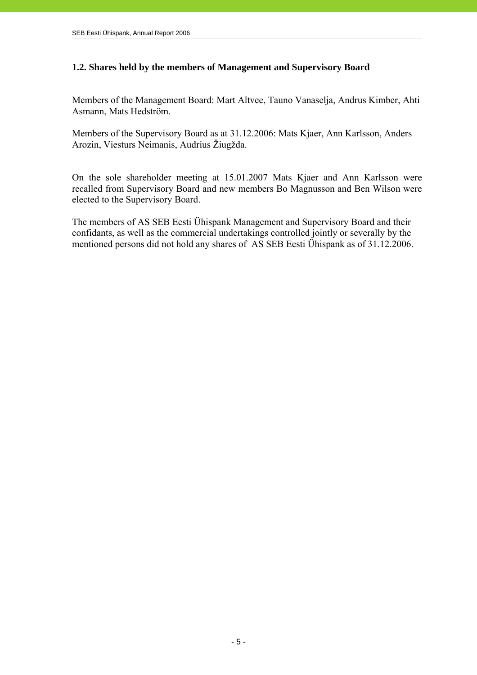#### **1.2. Shares held by the members of Management and Supervisory Board**

Members of the Management Board: Mart Altvee, Tauno Vanaselja, Andrus Kimber, Ahti Asmann, Mats Hedström.

Members of the Supervisory Board as at 31.12.2006: Mats Kjaer, Ann Karlsson, Anders Arozin, Viesturs Neimanis, Audrius Žiugžda.

On the sole shareholder meeting at 15.01.2007 Mats Kjaer and Ann Karlsson were recalled from Supervisory Board and new members Bo Magnusson and Ben Wilson were elected to the Supervisory Board.

The members of AS SEB Eesti Ühispank Management and Supervisory Board and their confidants, as well as the commercial undertakings controlled jointly or severally by the mentioned persons did not hold any shares of AS SEB Eesti Ühispank as of 31.12.2006.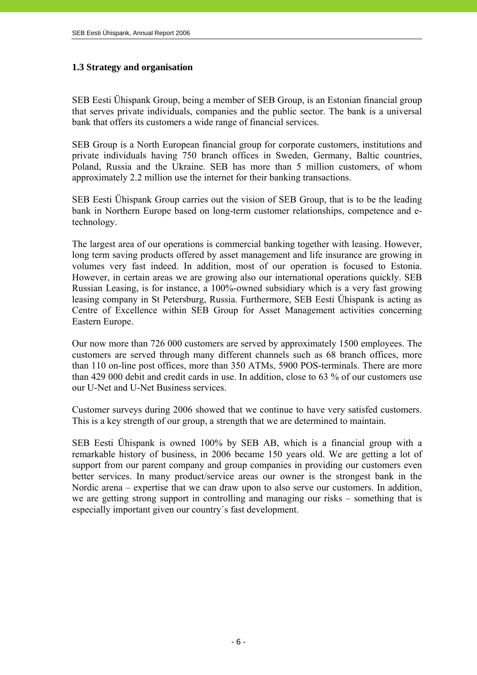#### **1.3 Strategy and organisation**

SEB Eesti Ühispank Group, being a member of SEB Group, is an Estonian financial group that serves private individuals, companies and the public sector. The bank is a universal bank that offers its customers a wide range of financial services.

SEB Group is a North European financial group for corporate customers, institutions and private individuals having 750 branch offices in Sweden, Germany, Baltic countries, Poland, Russia and the Ukraine. SEB has more than 5 million customers, of whom approximately 2.2 million use the internet for their banking transactions.

SEB Eesti Ühispank Group carries out the vision of SEB Group, that is to be the leading bank in Northern Europe based on long-term customer relationships, competence and etechnology.

The largest area of our operations is commercial banking together with leasing. However, long term saving products offered by asset management and life insurance are growing in volumes very fast indeed. In addition, most of our operation is focused to Estonia. However, in certain areas we are growing also our international operations quickly. SEB Russian Leasing, is for instance, a 100%-owned subsidiary which is a very fast growing leasing company in St Petersburg, Russia. Furthermore, SEB Eesti Ühispank is acting as Centre of Excellence within SEB Group for Asset Management activities concerning Eastern Europe.

Our now more than 726 000 customers are served by approximately 1500 employees. The customers are served through many different channels such as 68 branch offices, more than 110 on-line post offices, more than 350 ATMs, 5900 POS-terminals. There are more than 429 000 debit and credit cards in use. In addition, close to 63 % of our customers use our U-Net and U-Net Business services.

Customer surveys during 2006 showed that we continue to have very satisfed customers. This is a key strength of our group, a strength that we are determined to maintain.

SEB Eesti Ühispank is owned 100% by SEB AB, which is a financial group with a remarkable history of business, in 2006 became 150 years old. We are getting a lot of support from our parent company and group companies in providing our customers even better services. In many product/service areas our owner is the strongest bank in the Nordic arena – expertise that we can draw upon to also serve our customers. In addition, we are getting strong support in controlling and managing our risks – something that is especially important given our country´s fast development.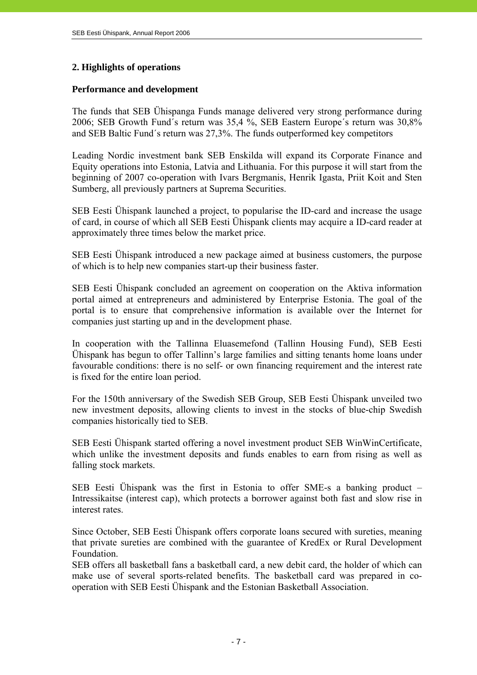#### **2. Highlights of operations**

#### **Performance and development**

The funds that SEB Ühispanga Funds manage delivered very strong performance during 2006; SEB Growth Fund´s return was 35,4 %, SEB Eastern Europe´s return was 30,8% and SEB Baltic Fund´s return was 27,3%. The funds outperformed key competitors

Leading Nordic investment bank SEB Enskilda will expand its Corporate Finance and Equity operations into Estonia, Latvia and Lithuania. For this purpose it will start from the beginning of 2007 co-operation with Ivars Bergmanis, Henrik Igasta, Priit Koit and Sten Sumberg, all previously partners at Suprema Securities.

SEB Eesti Ühispank launched a project, to popularise the ID-card and increase the usage of card, in course of which all SEB Eesti Ühispank clients may acquire a ID-card reader at approximately three times below the market price.

SEB Eesti Ühispank introduced a new package aimed at business customers, the purpose of which is to help new companies start-up their business faster.

SEB Eesti Ühispank concluded an agreement on cooperation on the Aktiva information portal aimed at entrepreneurs and administered by Enterprise Estonia. The goal of the portal is to ensure that comprehensive information is available over the Internet for companies just starting up and in the development phase.

In cooperation with the Tallinna Eluasemefond (Tallinn Housing Fund), SEB Eesti Ühispank has begun to offer Tallinn's large families and sitting tenants home loans under favourable conditions: there is no self- or own financing requirement and the interest rate is fixed for the entire loan period.

For the 150th anniversary of the Swedish SEB Group, SEB Eesti Ühispank unveiled two new investment deposits, allowing clients to invest in the stocks of blue-chip Swedish companies historically tied to SEB.

SEB Eesti Ühispank started offering a novel investment product SEB WinWinCertificate, which unlike the investment deposits and funds enables to earn from rising as well as falling stock markets.

SEB Eesti Ühispank was the first in Estonia to offer SME-s a banking product – Intressikaitse (interest cap), which protects a borrower against both fast and slow rise in interest rates.

Since October, SEB Eesti Ühispank offers corporate loans secured with sureties, meaning that private sureties are combined with the guarantee of KredEx or Rural Development Foundation.

SEB offers all basketball fans a basketball card, a new debit card, the holder of which can make use of several sports-related benefits. The basketball card was prepared in cooperation with SEB Eesti Ühispank and the Estonian Basketball Association.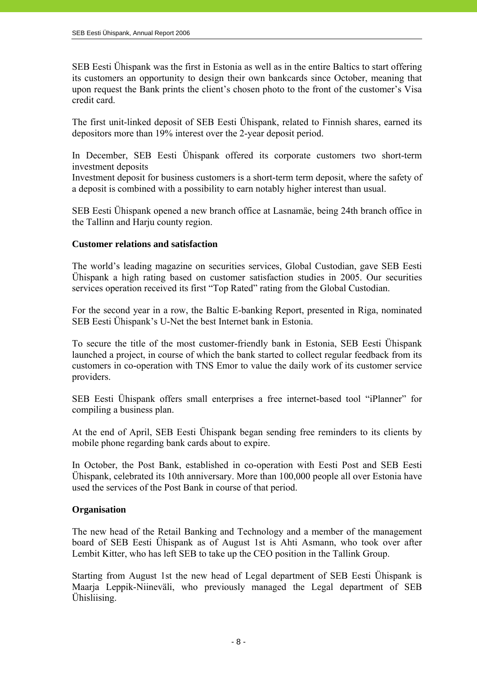SEB Eesti Ühispank was the first in Estonia as well as in the entire Baltics to start offering its customers an opportunity to design their own bankcards since October, meaning that upon request the Bank prints the client's chosen photo to the front of the customer's Visa credit card.

The first unit-linked deposit of SEB Eesti Ühispank, related to Finnish shares, earned its depositors more than 19% interest over the 2-year deposit period.

In December, SEB Eesti Ühispank offered its corporate customers two short-term investment deposits

Investment deposit for business customers is a short-term term deposit, where the safety of a deposit is combined with a possibility to earn notably higher interest than usual.

SEB Eesti Ühispank opened a new branch office at Lasnamäe, being 24th branch office in the Tallinn and Harju county region.

#### **Customer relations and satisfaction**

The world's leading magazine on securities services, Global Custodian, gave SEB Eesti Ühispank a high rating based on customer satisfaction studies in 2005. Our securities services operation received its first "Top Rated" rating from the Global Custodian.

For the second year in a row, the Baltic E-banking Report, presented in Riga, nominated SEB Eesti Ühispank's U-Net the best Internet bank in Estonia.

To secure the title of the most customer-friendly bank in Estonia, SEB Eesti Ühispank launched a project, in course of which the bank started to collect regular feedback from its customers in co-operation with TNS Emor to value the daily work of its customer service providers.

SEB Eesti Ühispank offers small enterprises a free internet-based tool "iPlanner" for compiling a business plan.

At the end of April, SEB Eesti Ühispank began sending free reminders to its clients by mobile phone regarding bank cards about to expire.

In October, the Post Bank, established in co-operation with Eesti Post and SEB Eesti Ühispank, celebrated its 10th anniversary. More than 100,000 people all over Estonia have used the services of the Post Bank in course of that period.

#### **Organisation**

The new head of the Retail Banking and Technology and a member of the management board of SEB Eesti Ühispank as of August 1st is Ahti Asmann, who took over after Lembit Kitter, who has left SEB to take up the CEO position in the Tallink Group.

Starting from August 1st the new head of Legal department of SEB Eesti Ühispank is Maarja Leppik-Niineväli, who previously managed the Legal department of SEB Ühisliising.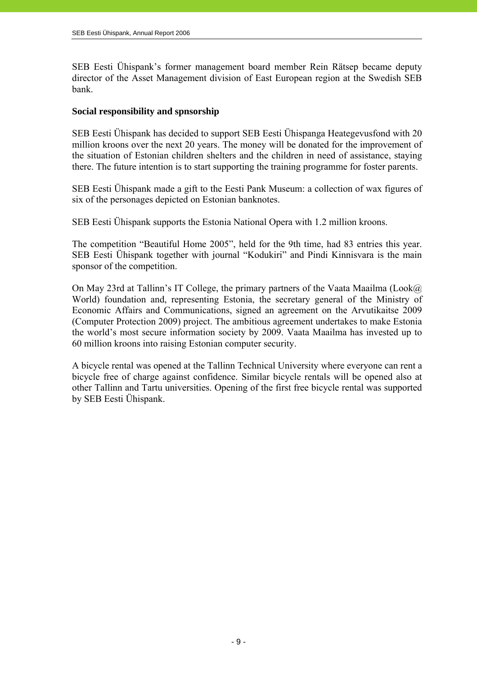SEB Eesti Ühispank's former management board member Rein Rätsep became deputy director of the Asset Management division of East European region at the Swedish SEB bank.

#### **Social responsibility and spnsorship**

SEB Eesti Ühispank has decided to support SEB Eesti Ühispanga Heategevusfond with 20 million kroons over the next 20 years. The money will be donated for the improvement of the situation of Estonian children shelters and the children in need of assistance, staying there. The future intention is to start supporting the training programme for foster parents.

SEB Eesti Ühispank made a gift to the Eesti Pank Museum: a collection of wax figures of six of the personages depicted on Estonian banknotes.

SEB Eesti Ühispank supports the Estonia National Opera with 1.2 million kroons.

The competition "Beautiful Home 2005", held for the 9th time, had 83 entries this year. SEB Eesti Ühispank together with journal "Kodukiri" and Pindi Kinnisvara is the main sponsor of the competition.

On May 23rd at Tallinn's IT College, the primary partners of the Vaata Maailma (Look@ World) foundation and, representing Estonia, the secretary general of the Ministry of Economic Affairs and Communications, signed an agreement on the Arvutikaitse 2009 (Computer Protection 2009) project. The ambitious agreement undertakes to make Estonia the world's most secure information society by 2009. Vaata Maailma has invested up to 60 million kroons into raising Estonian computer security.

A bicycle rental was opened at the Tallinn Technical University where everyone can rent a bicycle free of charge against confidence. Similar bicycle rentals will be opened also at other Tallinn and Tartu universities. Opening of the first free bicycle rental was supported by SEB Eesti Ühispank.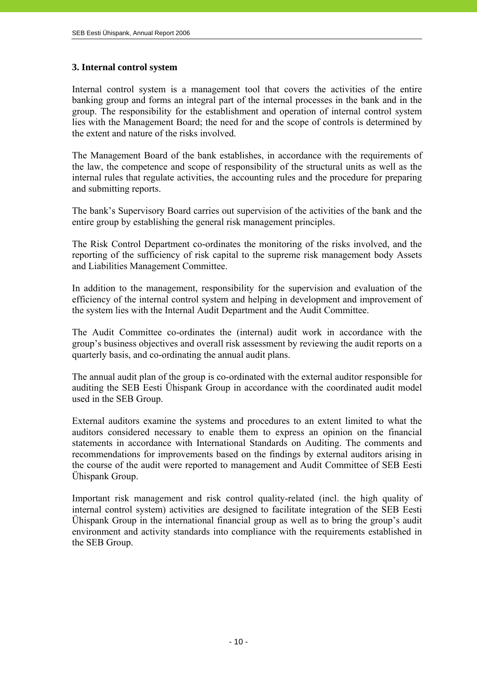#### **3. Internal control system**

Internal control system is a management tool that covers the activities of the entire banking group and forms an integral part of the internal processes in the bank and in the group. The responsibility for the establishment and operation of internal control system lies with the Management Board; the need for and the scope of controls is determined by the extent and nature of the risks involved.

The Management Board of the bank establishes, in accordance with the requirements of the law, the competence and scope of responsibility of the structural units as well as the internal rules that regulate activities, the accounting rules and the procedure for preparing and submitting reports.

The bank's Supervisory Board carries out supervision of the activities of the bank and the entire group by establishing the general risk management principles.

The Risk Control Department co-ordinates the monitoring of the risks involved, and the reporting of the sufficiency of risk capital to the supreme risk management body Assets and Liabilities Management Committee.

In addition to the management, responsibility for the supervision and evaluation of the efficiency of the internal control system and helping in development and improvement of the system lies with the Internal Audit Department and the Audit Committee.

The Audit Committee co-ordinates the (internal) audit work in accordance with the group's business objectives and overall risk assessment by reviewing the audit reports on a quarterly basis, and co-ordinating the annual audit plans.

The annual audit plan of the group is co-ordinated with the external auditor responsible for auditing the SEB Eesti Ühispank Group in accordance with the coordinated audit model used in the SEB Group.

External auditors examine the systems and procedures to an extent limited to what the auditors considered necessary to enable them to express an opinion on the financial statements in accordance with International Standards on Auditing. The comments and recommendations for improvements based on the findings by external auditors arising in the course of the audit were reported to management and Audit Committee of SEB Eesti Ühispank Group.

Important risk management and risk control quality-related (incl. the high quality of internal control system) activities are designed to facilitate integration of the SEB Eesti Ühispank Group in the international financial group as well as to bring the group's audit environment and activity standards into compliance with the requirements established in the SEB Group.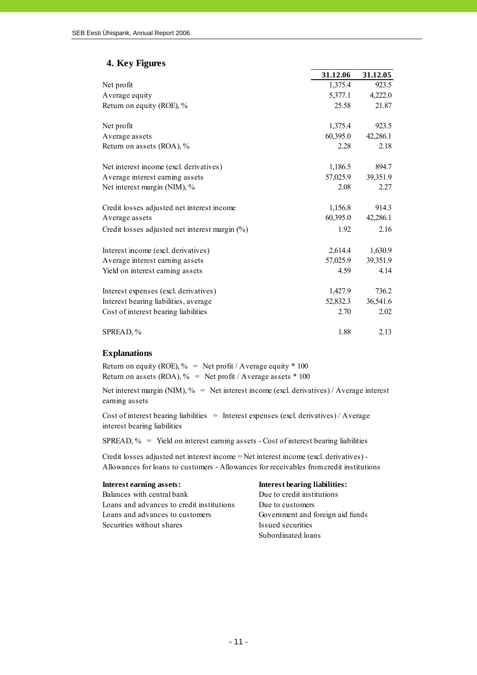#### **4. Key Figures**

|                                                   | 31.12.06 | 31.12.05 |
|---------------------------------------------------|----------|----------|
| Net profit                                        | 1,375.4  | 923.5    |
| Average equity                                    | 5,377.1  | 4,222.0  |
| Return on equity (ROE), %                         | 25.58    | 21.87    |
|                                                   |          |          |
| Net profit                                        | 1,375.4  | 923.5    |
| Average assets                                    | 60,395.0 | 42,286.1 |
| Return on assets (ROA), %                         | 2.28     | 2.18     |
| Net interest income (excl. derivatives)           | 1,186.5  | 894.7    |
| Average interest earning assets                   | 57,025.9 | 39,351.9 |
| Net interest margin (NIM), %                      | 2.08     | 2.27     |
| Credit losses adjusted net interest income        | 1,156.8  | 914.3    |
| Average assets                                    | 60,395.0 | 42,286.1 |
| Credit losses adjusted net interest margin $(\%)$ | 1.92     | 2.16     |
| Interest income (excl. derivatives)               | 2,614.4  | 1,630.9  |
| Average interest earning assets                   | 57,025.9 | 39,351.9 |
| Yield on interest earning assets                  | 4.59     | 4.14     |
| Interest expenses (excl. derivatives)             | 1,427.9  | 736.2    |
| Interest bearing liabilities, average             | 52,832.3 | 36,541.6 |
| Cost of interest bearing liabilities              | 2.70     | 2.02     |
| SPREAD, %                                         | 1.88     | 2.13     |
|                                                   |          |          |

#### **Explanations**

Return on equity (ROE),  $\%$  = Net profit / Average equity  $*$  100 Return on assets (ROA),  $\%$  = Net profit / Average assets \* 100

Net interest margin (NIM),  $\%$  = Net interest income (excl. derivatives) / Average interest earning assets

Cost of interest bearing liabilities = Interest expenses (excl. derivatives) / Average interest bearing liabilities

SPREAD,  $%$  = Yield on interest earning assets - Cost of interest bearing liabilities

Credit losses adjusted net interest income = Net interest income (excl. derivatives) - Allowances for loans to customers - Allowances for receivables from credit institutions

| <b>Interest earning assets:</b>           | <b>Interest bearing liabilities:</b> |
|-------------------------------------------|--------------------------------------|
| Balances with central bank                | Due to credit institutions           |
| Loans and advances to credit institutions | Due to customers                     |
| Loans and advances to customers           | Government and foreign aid funds     |
| Securities without shares                 | Issued securities                    |
|                                           | Subordinated loans                   |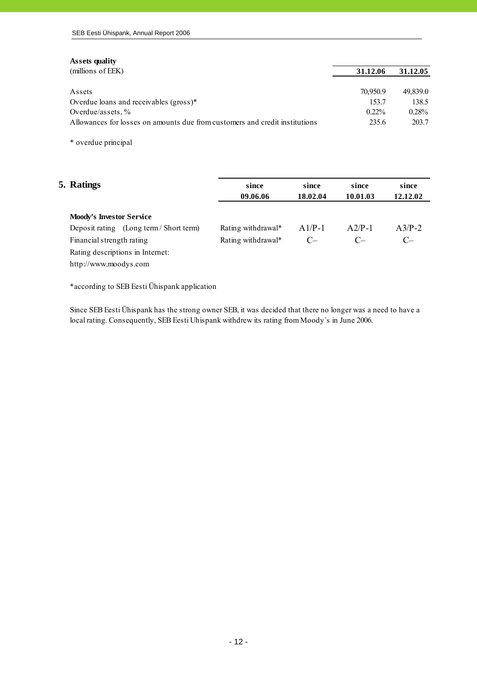## **Assets quality**

| (millions of EEK)                                                           | 31.12.06 | 31.12.05 |
|-----------------------------------------------------------------------------|----------|----------|
| Assets                                                                      | 70.950.9 | 49.839.0 |
| Overdue loans and receivables (gross)*                                      | 153.7    | 138.5    |
| Overdue/assets, $\%$                                                        | $0.22\%$ | $0.28\%$ |
| Allowances for losses on amounts due from customers and credit institutions | 235.6    | 203.7    |

\* overdue principal

| 09.06.06           | 18.02.04 | 10.01.03 | 12.12.02  |
|--------------------|----------|----------|-----------|
|                    |          |          |           |
| Rating withdrawal* | $A1/P-1$ | $A2/P-1$ | $A^3/P-2$ |
| Rating withdrawal* | $C-$     | $C-$     | $C-$      |
|                    |          |          |           |
|                    |          |          |           |
|                    |          |          |           |

\*according to SEB Eesti Ühispank application

Since SEB Eesti Ühispank has the strong owner SEB, it was decided that there no longer was a need to have a local rating. Consequently, SEB Eesti Uhispank withdrew its rating from Moody´s in June 2006.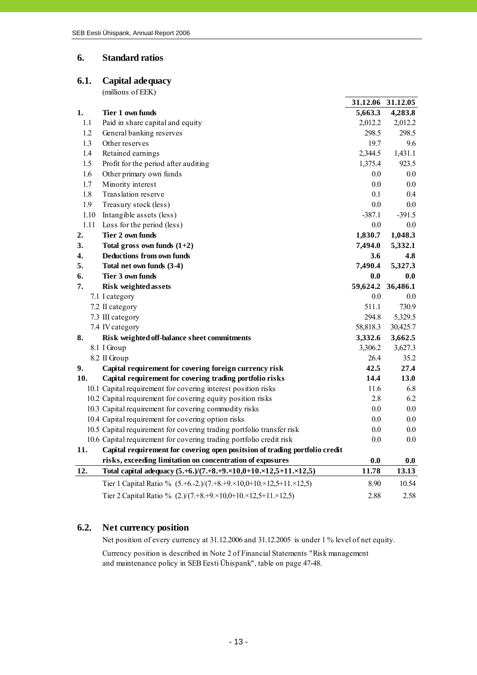#### **6.** Standard ratios

#### **6.1.** Capital adequacy

(millions of EEK)

|         |                                                                                               |          | 31.12.06 31.12.05 |
|---------|-----------------------------------------------------------------------------------------------|----------|-------------------|
| 1.      | Tier 1 own funds                                                                              | 5,663.3  | 4,283.8           |
| 1.1     | Paid in share capital and equity                                                              | 2,012.2  | 2,012.2           |
| 1.2     | General banking reserves                                                                      | 298.5    | 298.5             |
| 1.3     | Other reserves                                                                                | 19.7     | 9.6               |
| 1.4     | Retained earnings                                                                             | 2,344.5  | 1,431.1           |
| 1.5     | Profit for the period after auditing                                                          | 1,375.4  | 923.5             |
| 1.6     | Other primary own funds                                                                       | 0.0      | 0.0               |
| 1.7     | Minority interest                                                                             | 0.0      | 0.0               |
| $1.8\,$ | Translation reserve                                                                           | 0.1      | 0.4               |
| 1.9     | Treasury stock (less)                                                                         | 0.0      | 0.0               |
| 1.10    | Intangible assets (less)                                                                      | $-387.1$ | $-391.5$          |
| 1.11    | Loss for the period (less)                                                                    | 0.0      | 0.0               |
| 2.      | Tier 2 own funds                                                                              | 1,830.7  | 1,048.3           |
| 3.      | Total gross own funds $(1+2)$                                                                 | 7,494.0  | 5,332.1           |
| 4.      | <b>Deductions from own funds</b>                                                              | 3.6      | 4.8               |
| 5.      | Total net own funds (3-4)                                                                     | 7,490.4  | 5,327.3           |
| 6.      | Tier 3 own funds                                                                              | 0.0      | 0.0               |
| 7.      | <b>Risk weighted assets</b>                                                                   | 59,624.2 | 36,486.1          |
|         | 7.1 I category                                                                                | 0.0      | 0.0               |
|         | 7.2 II category                                                                               | 511.1    | 730.9             |
|         | 7.3 III category                                                                              | 294.8    | 5,329.5           |
|         | 7.4 IV category                                                                               | 58,818.3 | 30,425.7          |
| 8.      | Risk weighted off-balance sheet commitments                                                   | 3,332.6  | 3,662.5           |
|         | 8.1 I Group                                                                                   | 3,306.2  | 3,627.3           |
|         | 8.2 II Group                                                                                  | 26.4     | 35.2              |
| 9.      | Capital requirement for covering foreign currency risk                                        | 42.5     | 27.4              |
| 10.     | Capital requirement for covering trading portfolio risks                                      | 14.4     | 13.0              |
|         | 10.1 Capital requirement for covering interest position risks                                 | 11.6     | 6.8               |
|         | 10.2 Capital requirement for covering equity position risks                                   | 2.8      | 6.2               |
|         | 10.3 Capital requirement for covering commodity risks                                         | 0.0      | 0.0               |
|         | 10.4 Capital requirement for covering option risks                                            | 0.0      | $0.0\,$           |
|         | 10.5 Capital requirement for covering trading portfolio transfer risk                         | 0.0      | 0.0               |
|         | 10.6 Capital requirement for covering trading portfolio credit risk                           | 0.0      | 0.0               |
| 11.     | Capital requirement for covering open positsion of trading portfolio credit                   |          |                   |
|         | risks, exceeding limitation on concentration of exposures                                     | 0.0      | 0.0               |
| 12.     | Total capital adequacy $(5.+6.)/(7.+8.+9. \times 10,0+10. \times 12,5+11. \times 12,5)$       | 11.78    | 13.13             |
|         | Tier 1 Capital Ratio % $(5.+6.-2.)/(7.+8.+9.×10,0+10.×12,5+11.×12,5)$                         | 8.90     | 10.54             |
|         | Tier 2 Capital Ratio % $(2.)/(7. +8. +9. \times 10, 0 + 10. \times 12, 5 + 11. \times 12, 5)$ | 2.88     | 2.58              |

#### **6.2. Net currency position**

Net position of every currency at 31.12.2006 and 31.12.2005 is under 1 % level of net equity.

Currency position is described in Note 2 of Financial Statements "Risk management and maintenance policy in SEB Eesti Ühispank", table on page 47-48.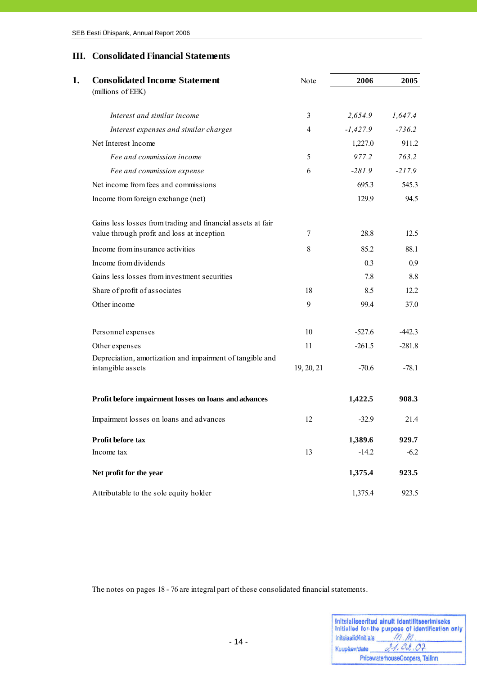#### **III. Consolidated Financial Statements**

| <b>Consolidated Income Statement</b>                                           | Note           | 2006       | 2005     |
|--------------------------------------------------------------------------------|----------------|------------|----------|
| (millions of EEK)                                                              |                |            |          |
| Interest and similar income                                                    | 3              | 2,654.9    | 1,647.4  |
| Interest expenses and similar charges                                          | $\overline{4}$ | $-1,427.9$ | $-736.2$ |
| Net Interest Income                                                            |                | 1,227.0    | 911.2    |
| Fee and commission income                                                      | 5              | 977.2      | 763.2    |
| Fee and commission expense                                                     | 6              | $-281.9$   | $-217.9$ |
| Net income from fees and commissions                                           |                | 695.3      | 545.3    |
| Income from foreign exchange (net)                                             |                | 129.9      | 94.5     |
| Gains less losses from trading and financial assets at fair                    |                |            |          |
| value through profit and loss at inception                                     | 7              | 28.8       | 12.5     |
| Income from insurance activities                                               | 8              | 85.2       | 88.1     |
| Income from dividends                                                          |                | 0.3        | 0.9      |
| Gains less losses from investment securities                                   |                | 7.8        | 8.8      |
| Share of profit of associates                                                  | 18             | 8.5        | 12.2     |
| Other income                                                                   | 9              | 99.4       | 37.0     |
| Personnel expenses                                                             | 10             | $-527.6$   | $-442.3$ |
| Other expenses                                                                 | 11             | $-261.5$   | $-281.8$ |
| Depreciation, amortization and impairment of tangible and<br>intangible assets | 19, 20, 21     | $-70.6$    | $-78.1$  |
| Profit before impairment losses on loans and advances                          |                | 1,422.5    | 908.3    |
| Impairment losses on loans and advances                                        | 12             | $-32.9$    | 21.4     |
| Profit before tax                                                              |                | 1,389.6    | 929.7    |
| Income tax                                                                     | 13             | $-14.2$    | $-6.2$   |
| Net profit for the year                                                        |                | 1,375.4    | 923.5    |
| Attributable to the sole equity holder                                         |                | 1,375.4    | 923.5    |

| Initsialiseeritud ainult identifitseerimiseks<br>Initialled for the purpose of identification only<br>m.m<br>Initsiaalid/initials |          |  |  |  |
|-----------------------------------------------------------------------------------------------------------------------------------|----------|--|--|--|
| Kuupäev/date                                                                                                                      | 24.02.07 |  |  |  |
| PricewaterhouseCoopers, Tallinn                                                                                                   |          |  |  |  |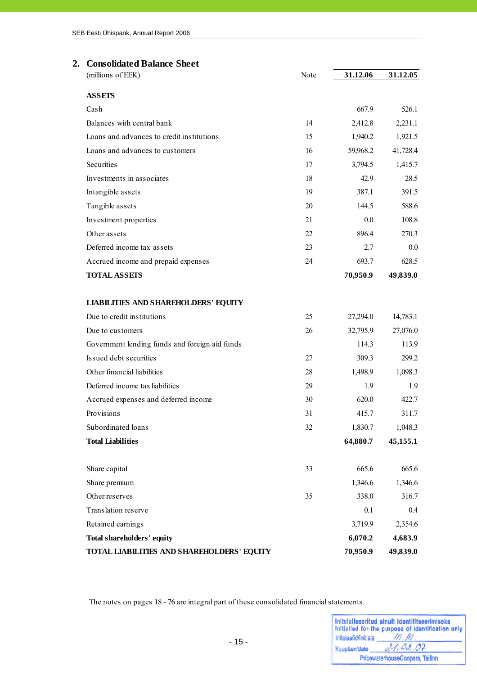| <b>Consolidated Balance Sheet</b><br>2.        |      |          |          |
|------------------------------------------------|------|----------|----------|
| (millions of EEK)                              | Note | 31.12.06 | 31.12.05 |
| <b>ASSETS</b>                                  |      |          |          |
| Cash                                           |      | 667.9    | 526.1    |
| Balances with central bank                     | 14   | 2,412.8  | 2,231.1  |
| Loans and advances to credit institutions      | 15   | 1,940.2  | 1,921.5  |
| Loans and advances to customers                | 16   | 59,968.2 | 41,728.4 |
| Securities                                     | 17   | 3,794.5  | 1,415.7  |
| Investments in associates                      | 18   | 42.9     | 28.5     |
| Intangible assets                              | 19   | 387.1    | 391.5    |
| Tangible assets                                | 20   | 144.5    | 588.6    |
| Investment properties                          | 21   | $0.0\,$  | 108.8    |
| Other assets                                   | 22   | 896.4    | 270.3    |
| Deferred income tax assets                     | 23   | 2.7      | 0.0      |
| Accrued income and prepaid expenses            | 24   | 693.7    | 628.5    |
| <b>TOTAL ASSETS</b>                            |      | 70,950.9 | 49,839.0 |
| <b>LIABILITIES AND SHAREHOLDERS' EQUITY</b>    |      |          |          |
| Due to credit institutions                     | 25   | 27,294.0 | 14,783.1 |
| Due to customers                               | 26   | 32,795.9 | 27,076.0 |
| Government lending funds and foreign aid funds |      | 114.3    | 113.9    |
| Issued debt securities                         | 27   | 309.3    | 299.2    |
| Other financial liabilities                    | 28   | 1,498.9  | 1,098.3  |
| Deferred income tax liabilities                | 29   | 1.9      | 1.9      |
| Accrued expenses and deferred income           | 30   | 620.0    | 422.7    |
| Provisions                                     | 31   | 415.7    | 311.7    |
| Subordinated loans                             | 32   | 1,830.7  | 1,048.3  |
| <b>Total Liabilities</b>                       |      | 64,880.7 | 45,155.1 |
| Share capital                                  | 33   | 665.6    | 665.6    |
| Share premium                                  |      | 1,346.6  | 1,346.6  |
| Other reserves                                 | 35   | 338.0    | 316.7    |
| Translation reserve                            |      | 0.1      | 0.4      |
| Retained earnings                              |      | 3,719.9  | 2,354.6  |
| Total shareholders' equity                     |      | 6,070.2  | 4,683.9  |
| TOTAL LIABILITIES AND SHAREHOLDERS' EQUITY     |      | 70,950.9 | 49,839.0 |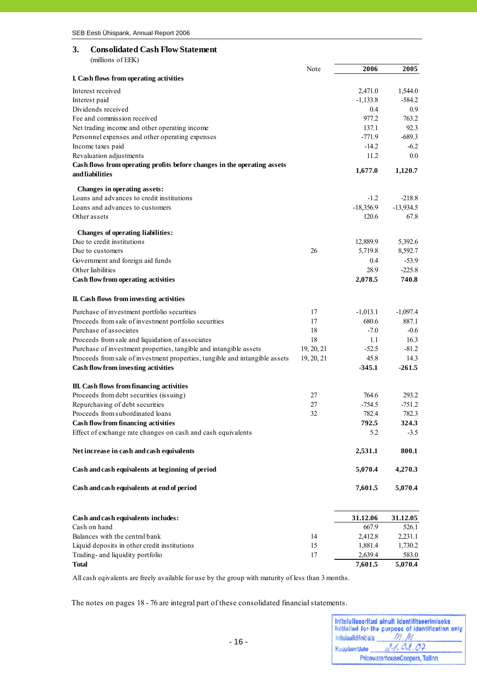### **3. Consolidated Cash Flow Statement**

(millions of EEK)

|                                                                             | Note       | 2006                | 2005               |
|-----------------------------------------------------------------------------|------------|---------------------|--------------------|
| I. Cash flows from operating activities                                     |            |                     |                    |
| Interest received                                                           |            | 2,471.0             | 1,544.0            |
| Interest paid                                                               |            | $-1,133.8$          | $-584.2$           |
| Dividends received                                                          |            | 0.4                 | 0.9                |
| Fee and commission received                                                 |            | 977.2               | 763.2              |
| Net trading income and other operating income                               |            | 137.1               | 92.3               |
| Personnel expenses and other operating expenses                             |            | $-771.9$            | $-689.3$           |
| Income taxes paid                                                           |            | $-14.2$             | $-6.2$             |
| Revaluation adjustments                                                     |            | 11.2                | 0.0                |
| Cash flows from operating profits before changes in the operating assets    |            |                     |                    |
| and liabilities                                                             |            | 1,677.0             | 1,120.7            |
| Changes in operating assets:                                                |            |                     |                    |
| Loans and advances to credit institutions                                   |            | $-1.2$              | $-218.8$           |
| Loans and advances to customers                                             |            | $-18,356.9$         | $-13,934.5$        |
| Other assets                                                                |            | 120.6               | 67.8               |
|                                                                             |            |                     |                    |
| <b>Changes of operating liabilities:</b><br>Due to credit institutions      |            |                     |                    |
| Due to customers                                                            | 26         | 12,889.9<br>5,719.8 | 5,392.6<br>8,592.7 |
| Government and foreign aid funds                                            |            | 0.4                 | $-53.9$            |
| Other liabilities                                                           |            | 28.9                | $-225.8$           |
| Cash flow from operating activities                                         |            | 2,078.5             | 740.8              |
|                                                                             |            |                     |                    |
| II. Cash flows from investing activities                                    |            |                     |                    |
| Purchase of investment portfolio securities                                 | 17         | $-1,013.1$          | $-1,097.4$         |
| Proceeds from sale of investment portfolio securities                       | 17         | 680.6               | 887.1              |
| Purchase of associates                                                      | 18         | $-7.0$              | $-0.6$             |
| Proceeds from sale and liquidation of associates                            | 18         | 1.1                 | 16.3               |
| Purchase of investment properties, tangible and intangible assets           | 19, 20, 21 | $-52.5$             | $-81.2$            |
| Proceeds from sale of investment properties, tangible and intangible assets | 19, 20, 21 | 45.8                | 14.3               |
| Cash flow from investing activities                                         |            | $-345.1$            | $-261.5$           |
| III. Cash flows from financing activities                                   |            |                     |                    |
| Proceeds from debt securities (issuing)                                     | 27         | 764.6               | 293.2              |
| Repurchasing of debt securities                                             | 27         | $-754.5$            | $-751.2$           |
| Proceeds from subordinated loans                                            | 32         | 782.4               | 782.3              |
| <b>Cash flow from financing activities</b>                                  |            | 792.5               | 324.3              |
| Effect of exchange rate changes on cash and cash equivalents                |            | 5.2                 | $-3.5$             |
| Net increase in cash and cash equivalents                                   |            | 2,531.1             | 800.1              |
| Cash and cash equivalents at beginning of period                            |            | 5,070.4             | 4,270.3            |
|                                                                             |            |                     |                    |
| Cash and cash equivalents at end of period                                  |            | 7,601.5             | 5,070.4            |
| Cash and cash equivalents includes:                                         |            | 31.12.06            | 31.12.05           |
| Cash on hand                                                                |            | 667.9               | 526.1              |
| Balances with the central bank                                              | 14         | 2,412.8             | 2,231.1            |
| Liquid deposits in other credit institutions                                | 15         | 1,881.4             | 1,730.2            |
| Trading- and liquidity portfolio                                            | 17         | 2,639.4             | 583.0              |
| <b>Total</b>                                                                |            | 7,601.5             | 5,070.4            |

All cash eqivalents are freely available for use by the group with maturity of less than 3 months.

| Initsiaalid/initials | Initsialiseeritud ainult identifitseerimiseks<br>Initialled for the purpose of identification only<br>$m_{\cdot}m$ |
|----------------------|--------------------------------------------------------------------------------------------------------------------|
| Kuupäev/date         | 24.02.07                                                                                                           |
|                      | PricewaterhouseCoopers, Tallinn                                                                                    |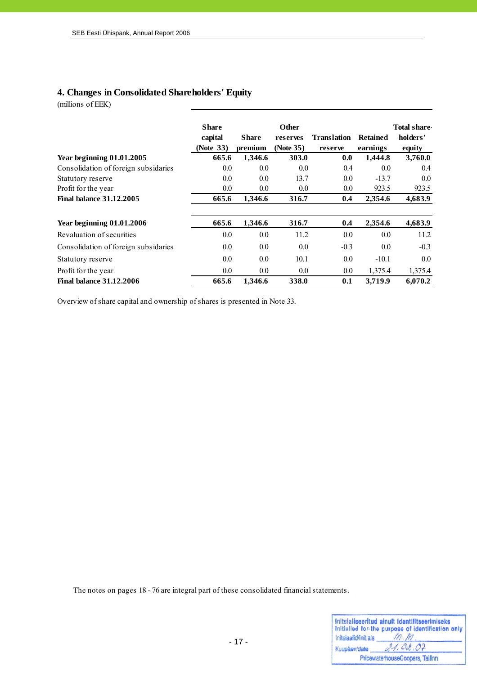#### **4. Changes in Consolidated Shareholders' Equity**

(millions of EEK)

|                                      | <b>Share</b><br>capital<br>(Note 33) | <b>Share</b><br>premium | <b>Other</b><br>reserves<br>(Note 35) | <b>Translation</b><br>reserve | <b>Retained</b><br>earnings | Total share<br>holders'<br>equity |
|--------------------------------------|--------------------------------------|-------------------------|---------------------------------------|-------------------------------|-----------------------------|-----------------------------------|
| Year beginning $01.01.2005$          | 665.6                                | 1,346.6                 | 303.0                                 | 0.0                           | 1,444.8                     | 3,760.0                           |
| Consolidation of foreign subsidaries | 0.0                                  | 0.0                     | 0.0                                   | 0.4                           | 0.0                         | 0.4                               |
| Statutory reserve                    | 0.0                                  | 0.0                     | 13.7                                  | 0.0                           | $-13.7$                     | 0.0                               |
| Profit for the year                  | 0.0                                  | 0.0                     | 0.0                                   | 0.0                           | 923.5                       | 923.5                             |
| <b>Final balance 31.12.2005</b>      | 665.6                                | 1,346.6                 | 316.7                                 | 0.4                           | 2,354.6                     | 4,683.9                           |
| Year beginning $01.01.2006$          | 665.6                                | 1,346.6                 | 316.7                                 | 0.4                           | 2,354.6                     | 4,683.9                           |
| Revaluation of securities            | 0.0                                  | 0.0                     | 11.2                                  | 0.0                           | 0.0                         | 11.2                              |
| Consolidation of foreign subsidaries | 0.0                                  | 0.0                     | 0.0                                   | $-0.3$                        | 0.0                         | $-0.3$                            |
| Statutory reserve                    | 0.0                                  | 0.0                     | 10.1                                  | 0.0                           | $-10.1$                     | 0.0                               |
| Profit for the year                  | 0.0                                  | 0.0                     | 0.0                                   | 0.0                           | 1,375.4                     | 1,375.4                           |
| <b>Final balance 31.12.2006</b>      | 665.6                                | 1,346.6                 | 338.0                                 | 0.1                           | 3,719.9                     | 6,070.2                           |

Overview of share capital and ownership of shares is presented in Note 33.

| Initsiaalid/initials            | <b>Initslaliseeritud ainult identifitseerimiseks</b><br>Initialled for the purpose of identification only<br>m.m |  |
|---------------------------------|------------------------------------------------------------------------------------------------------------------|--|
| Kuupäev/date                    | 24.02.07                                                                                                         |  |
| PricewaterhouseCoopers, Tallinn |                                                                                                                  |  |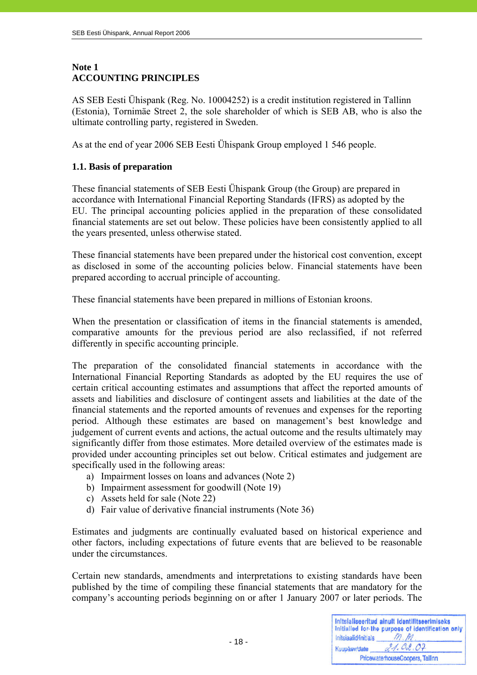#### **Note 1 ACCOUNTING PRINCIPLES**

AS SEB Eesti Ühispank (Reg. No. 10004252) is a credit institution registered in Tallinn (Estonia), Tornimäe Street 2, the sole shareholder of which is SEB AB, who is also the ultimate controlling party, registered in Sweden.

As at the end of year 2006 SEB Eesti Ühispank Group employed 1 546 people.

#### **1.1. Basis of preparation**

These financial statements of SEB Eesti Ühispank Group (the Group) are prepared in accordance with International Financial Reporting Standards (IFRS) as adopted by the EU. The principal accounting policies applied in the preparation of these consolidated financial statements are set out below. These policies have been consistently applied to all the years presented, unless otherwise stated.

These financial statements have been prepared under the historical cost convention, except as disclosed in some of the accounting policies below. Financial statements have been prepared according to accrual principle of accounting.

These financial statements have been prepared in millions of Estonian kroons.

When the presentation or classification of items in the financial statements is amended, comparative amounts for the previous period are also reclassified, if not referred differently in specific accounting principle.

The preparation of the consolidated financial statements in accordance with the International Financial Reporting Standards as adopted by the EU requires the use of certain critical accounting estimates and assumptions that affect the reported amounts of assets and liabilities and disclosure of contingent assets and liabilities at the date of the financial statements and the reported amounts of revenues and expenses for the reporting period. Although these estimates are based on management's best knowledge and judgement of current events and actions, the actual outcome and the results ultimately may significantly differ from those estimates. More detailed overview of the estimates made is provided under accounting principles set out below. Critical estimates and judgement are specifically used in the following areas:

- a) Impairment losses on loans and advances (Note 2)
- b) Impairment assessment for goodwill (Note 19)
- c) Assets held for sale (Note 22)
- d) Fair value of derivative financial instruments (Note 36)

Estimates and judgments are continually evaluated based on historical experience and other factors, including expectations of future events that are believed to be reasonable under the circumstances.

Certain new standards, amendments and interpretations to existing standards have been published by the time of compiling these financial statements that are mandatory for the company's accounting periods beginning on or after 1 January 2007 or later periods. The

Initsialiseeritud ainult identifitseerimiseks Initialled for the purpose of identification only Initsiaalid/initials  $m.m$ 21. Od. 07 Kuupäev/date PricewaterhouseCoopers, Tallinn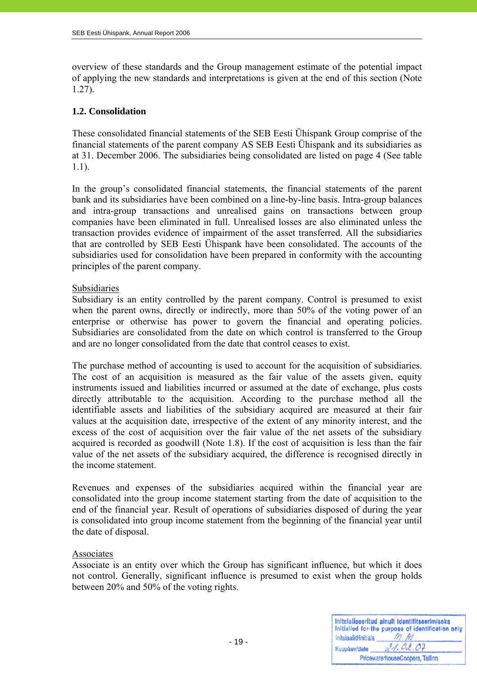overview of these standards and the Group management estimate of the potential impact of applying the new standards and interpretations is given at the end of this section (Note 1.27).

#### **1.2. Consolidation**

These consolidated financial statements of the SEB Eesti Ühispank Group comprise of the financial statements of the parent company AS SEB Eesti Ühispank and its subsidiaries as at 31. December 2006. The subsidiaries being consolidated are listed on page 4 (See table 1.1).

In the group's consolidated financial statements, the financial statements of the parent bank and its subsidiaries have been combined on a line-by-line basis. Intra-group balances and intra-group transactions and unrealised gains on transactions between group companies have been eliminated in full. Unrealised losses are also eliminated unless the transaction provides evidence of impairment of the asset transferred. All the subsidiaries that are controlled by SEB Eesti Ühispank have been consolidated. The accounts of the subsidiaries used for consolidation have been prepared in conformity with the accounting principles of the parent company.

#### Subsidiaries

Subsidiary is an entity controlled by the parent company. Control is presumed to exist when the parent owns, directly or indirectly, more than 50% of the voting power of an enterprise or otherwise has power to govern the financial and operating policies. Subsidiaries are consolidated from the date on which control is transferred to the Group and are no longer consolidated from the date that control ceases to exist.

The purchase method of accounting is used to account for the acquisition of subsidiaries. The cost of an acquisition is measured as the fair value of the assets given, equity instruments issued and liabilities incurred or assumed at the date of exchange, plus costs directly attributable to the acquisition. According to the purchase method all the identifiable assets and liabilities of the subsidiary acquired are measured at their fair values at the acquisition date, irrespective of the extent of any minority interest, and the excess of the cost of acquisition over the fair value of the net assets of the subsidiary acquired is recorded as goodwill (Note 1.8). If the cost of acquisition is less than the fair value of the net assets of the subsidiary acquired, the difference is recognised directly in the income statement.

Revenues and expenses of the subsidiaries acquired within the financial year are consolidated into the group income statement starting from the date of acquisition to the end of the financial year. Result of operations of subsidiaries disposed of during the year is consolidated into group income statement from the beginning of the financial year until the date of disposal.

#### **Associates**

Associate is an entity over which the Group has significant influence, but which it does not control. Generally, significant influence is presumed to exist when the group holds between 20% and 50% of the voting rights.

| Initsiaalid/initials            | Initsialiseeritud ainult identifitseerimiseks<br>Initialled for the purpose of identification only<br>m.m |  |
|---------------------------------|-----------------------------------------------------------------------------------------------------------|--|
| Kuupäev/date                    | 24.02.07                                                                                                  |  |
| PricewaterhouseCoopers, Tallinn |                                                                                                           |  |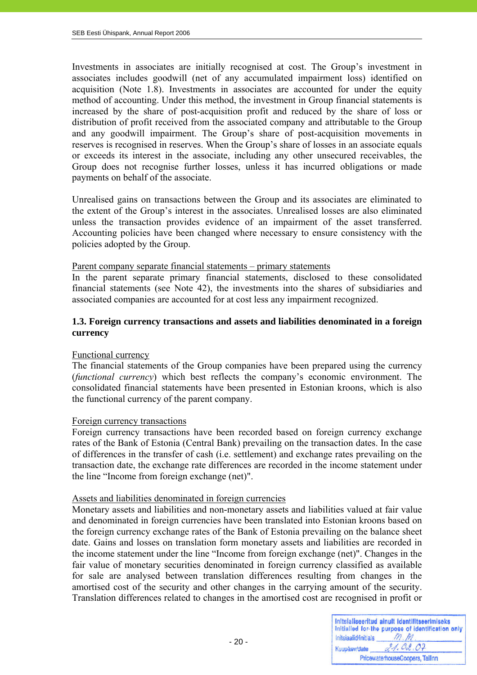Investments in associates are initially recognised at cost. The Group's investment in associates includes goodwill (net of any accumulated impairment loss) identified on acquisition (Note 1.8). Investments in associates are accounted for under the equity method of accounting. Under this method, the investment in Group financial statements is increased by the share of post-acquisition profit and reduced by the share of loss or distribution of profit received from the associated company and attributable to the Group and any goodwill impairment. The Group's share of post-acquisition movements in reserves is recognised in reserves. When the Group's share of losses in an associate equals or exceeds its interest in the associate, including any other unsecured receivables, the Group does not recognise further losses, unless it has incurred obligations or made payments on behalf of the associate.

Unrealised gains on transactions between the Group and its associates are eliminated to the extent of the Group's interest in the associates. Unrealised losses are also eliminated unless the transaction provides evidence of an impairment of the asset transferred. Accounting policies have been changed where necessary to ensure consistency with the policies adopted by the Group.

#### Parent company separate financial statements – primary statements

In the parent separate primary financial statements, disclosed to these consolidated financial statements (see Note 42), the investments into the shares of subsidiaries and associated companies are accounted for at cost less any impairment recognized.

#### **1.3. Foreign currency transactions and assets and liabilities denominated in a foreign currency**

#### Functional currency

The financial statements of the Group companies have been prepared using the currency (*functional currency*) which best reflects the company's economic environment. The consolidated financial statements have been presented in Estonian kroons, which is also the functional currency of the parent company.

#### Foreign currency transactions

Foreign currency transactions have been recorded based on foreign currency exchange rates of the Bank of Estonia (Central Bank) prevailing on the transaction dates. In the case of differences in the transfer of cash (i.e. settlement) and exchange rates prevailing on the transaction date, the exchange rate differences are recorded in the income statement under the line "Income from foreign exchange (net)".

#### Assets and liabilities denominated in foreign currencies

Monetary assets and liabilities and non-monetary assets and liabilities valued at fair value and denominated in foreign currencies have been translated into Estonian kroons based on the foreign currency exchange rates of the Bank of Estonia prevailing on the balance sheet date. Gains and losses on translation form monetary assets and liabilities are recorded in the income statement under the line "Income from foreign exchange (net)". Changes in the fair value of monetary securities denominated in foreign currency classified as available for sale are analysed between translation differences resulting from changes in the amortised cost of the security and other changes in the carrying amount of the security. Translation differences related to changes in the amortised cost are recognised in profit or

| Initsiaalid/initials | Initsialiseeritud ainult identifitseerimiseks<br>Initialled for the purpose of identification only<br>m.m |
|----------------------|-----------------------------------------------------------------------------------------------------------|
| Kuupäev/date         | 24.02.07                                                                                                  |
|                      | PricewaterhouseCoopers, Tallinn                                                                           |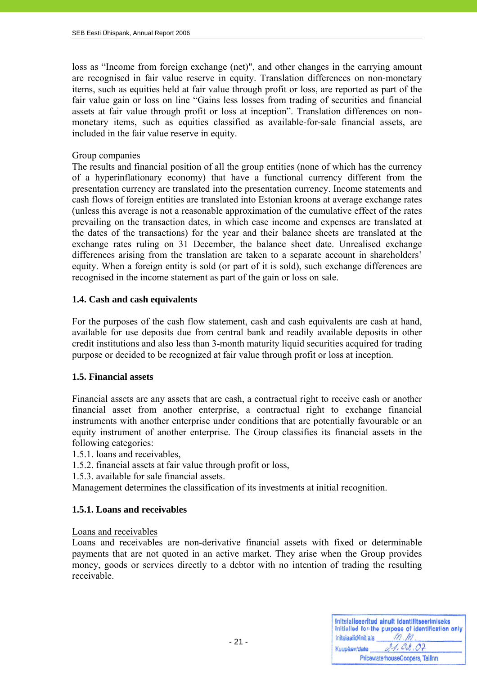loss as "Income from foreign exchange (net)", and other changes in the carrying amount are recognised in fair value reserve in equity. Translation differences on non-monetary items, such as equities held at fair value through profit or loss, are reported as part of the fair value gain or loss on line "Gains less losses from trading of securities and financial assets at fair value through profit or loss at inception". Translation differences on nonmonetary items, such as equities classified as available-for-sale financial assets, are included in the fair value reserve in equity.

#### Group companies

The results and financial position of all the group entities (none of which has the currency of a hyperinflationary economy) that have a functional currency different from the presentation currency are translated into the presentation currency. Income statements and cash flows of foreign entities are translated into Estonian kroons at average exchange rates (unless this average is not a reasonable approximation of the cumulative effect of the rates prevailing on the transaction dates, in which case income and expenses are translated at the dates of the transactions) for the year and their balance sheets are translated at the exchange rates ruling on 31 December, the balance sheet date. Unrealised exchange differences arising from the translation are taken to a separate account in shareholders' equity. When a foreign entity is sold (or part of it is sold), such exchange differences are recognised in the income statement as part of the gain or loss on sale.

#### **1.4. Cash and cash equivalents**

For the purposes of the cash flow statement, cash and cash equivalents are cash at hand, available for use deposits due from central bank and readily available deposits in other credit institutions and also less than 3-month maturity liquid securities acquired for trading purpose or decided to be recognized at fair value through profit or loss at inception.

#### **1.5. Financial assets**

Financial assets are any assets that are cash, a contractual right to receive cash or another financial asset from another enterprise, a contractual right to exchange financial instruments with another enterprise under conditions that are potentially favourable or an equity instrument of another enterprise. The Group classifies its financial assets in the following categories:

1.5.1. loans and receivables,

- 1.5.2. financial assets at fair value through profit or loss,
- 1.5.3. available for sale financial assets.

Management determines the classification of its investments at initial recognition.

#### **1.5.1. Loans and receivables**

#### Loans and receivables

Loans and receivables are non-derivative financial assets with fixed or determinable payments that are not quoted in an active market. They arise when the Group provides money, goods or services directly to a debtor with no intention of trading the resulting receivable.

| Initsiaalid/initials | Initsialiseeritud ainult identifitseerimiseks<br>Initialled for the purpose of identification only<br>m.m |
|----------------------|-----------------------------------------------------------------------------------------------------------|
| Kuupäev/date         | 24.02.07                                                                                                  |
|                      | PricewaterhouseCoopers, Tallinn                                                                           |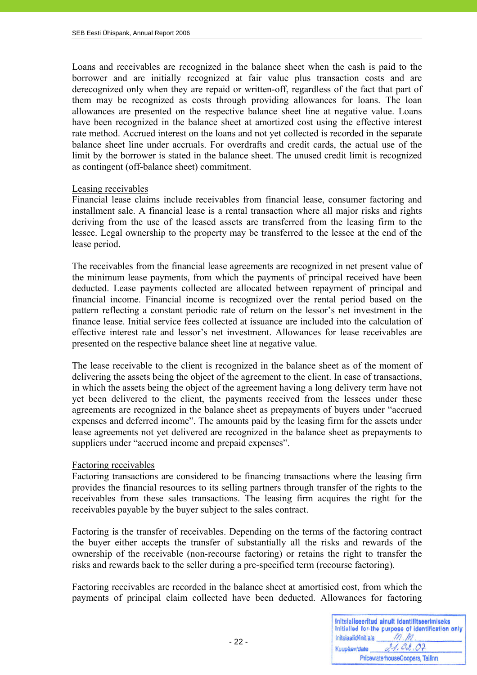Loans and receivables are recognized in the balance sheet when the cash is paid to the borrower and are initially recognized at fair value plus transaction costs and are derecognized only when they are repaid or written-off, regardless of the fact that part of them may be recognized as costs through providing allowances for loans. The loan allowances are presented on the respective balance sheet line at negative value. Loans have been recognized in the balance sheet at amortized cost using the effective interest rate method. Accrued interest on the loans and not yet collected is recorded in the separate balance sheet line under accruals. For overdrafts and credit cards, the actual use of the limit by the borrower is stated in the balance sheet. The unused credit limit is recognized as contingent (off-balance sheet) commitment.

#### Leasing receivables

Financial lease claims include receivables from financial lease, consumer factoring and installment sale. A financial lease is a rental transaction where all major risks and rights deriving from the use of the leased assets are transferred from the leasing firm to the lessee. Legal ownership to the property may be transferred to the lessee at the end of the lease period.

The receivables from the financial lease agreements are recognized in net present value of the minimum lease payments, from which the payments of principal received have been deducted. Lease payments collected are allocated between repayment of principal and financial income. Financial income is recognized over the rental period based on the pattern reflecting a constant periodic rate of return on the lessor's net investment in the finance lease. Initial service fees collected at issuance are included into the calculation of effective interest rate and lessor's net investment. Allowances for lease receivables are presented on the respective balance sheet line at negative value.

The lease receivable to the client is recognized in the balance sheet as of the moment of delivering the assets being the object of the agreement to the client. In case of transactions, in which the assets being the object of the agreement having a long delivery term have not yet been delivered to the client, the payments received from the lessees under these agreements are recognized in the balance sheet as prepayments of buyers under "accrued expenses and deferred income". The amounts paid by the leasing firm for the assets under lease agreements not yet delivered are recognized in the balance sheet as prepayments to suppliers under "accrued income and prepaid expenses".

#### Factoring receivables

Factoring transactions are considered to be financing transactions where the leasing firm provides the financial resources to its selling partners through transfer of the rights to the receivables from these sales transactions. The leasing firm acquires the right for the receivables payable by the buyer subject to the sales contract.

Factoring is the transfer of receivables. Depending on the terms of the factoring contract the buyer either accepts the transfer of substantially all the risks and rewards of the ownership of the receivable (non-recourse factoring) or retains the right to transfer the risks and rewards back to the seller during a pre-specified term (recourse factoring).

Factoring receivables are recorded in the balance sheet at amortisied cost, from which the payments of principal claim collected have been deducted. Allowances for factoring

| Initsiaalid/initials | Initsialiseeritud ainult identifitseerimiseks<br>Initialled for the purpose of identification only<br>$m_{\nu}$ |
|----------------------|-----------------------------------------------------------------------------------------------------------------|
| Kuupäev/date         | 24.02.07                                                                                                        |
|                      | PricewaterhouseCoopers, Tallinn                                                                                 |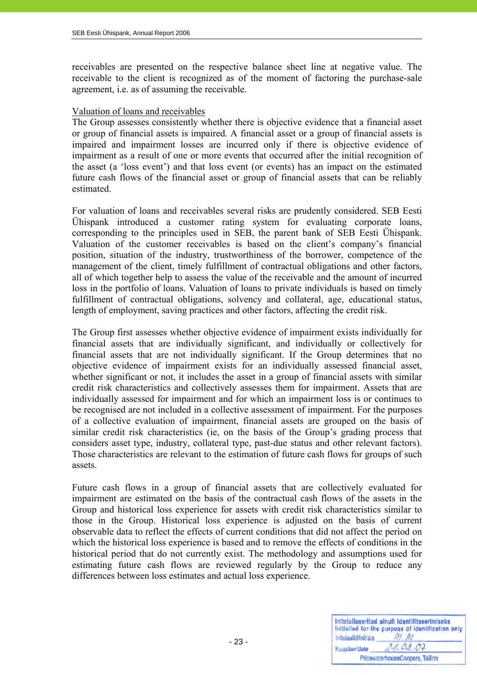receivables are presented on the respective balance sheet line at negative value. The receivable to the client is recognized as of the moment of factoring the purchase-sale agreement, i.e. as of assuming the receivable.

#### Valuation of loans and receivables

The Group assesses consistently whether there is objective evidence that a financial asset or group of financial assets is impaired. A financial asset or a group of financial assets is impaired and impairment losses are incurred only if there is objective evidence of impairment as a result of one or more events that occurred after the initial recognition of the asset (a 'loss event') and that loss event (or events) has an impact on the estimated future cash flows of the financial asset or group of financial assets that can be reliably estimated.

For valuation of loans and receivables several risks are prudently considered. SEB Eesti Ühispank introduced a customer rating system for evaluating corporate loans, corresponding to the principles used in SEB, the parent bank of SEB Eesti Ühispank. Valuation of the customer receivables is based on the client's company's financial position, situation of the industry, trustworthiness of the borrower, competence of the management of the client, timely fulfillment of contractual obligations and other factors, all of which together help to assess the value of the receivable and the amount of incurred loss in the portfolio of loans. Valuation of loans to private individuals is based on timely fulfillment of contractual obligations, solvency and collateral, age, educational status, length of employment, saving practices and other factors, affecting the credit risk.

The Group first assesses whether objective evidence of impairment exists individually for financial assets that are individually significant, and individually or collectively for financial assets that are not individually significant. If the Group determines that no objective evidence of impairment exists for an individually assessed financial asset, whether significant or not, it includes the asset in a group of financial assets with similar credit risk characteristics and collectively assesses them for impairment. Assets that are individually assessed for impairment and for which an impairment loss is or continues to be recognised are not included in a collective assessment of impairment. For the purposes of a collective evaluation of impairment, financial assets are grouped on the basis of similar credit risk characteristics (ie, on the basis of the Group's grading process that considers asset type, industry, collateral type, past-due status and other relevant factors). Those characteristics are relevant to the estimation of future cash flows for groups of such assets.

Future cash flows in a group of financial assets that are collectively evaluated for impairment are estimated on the basis of the contractual cash flows of the assets in the Group and historical loss experience for assets with credit risk characteristics similar to those in the Group. Historical loss experience is adjusted on the basis of current observable data to reflect the effects of current conditions that did not affect the period on which the historical loss experience is based and to remove the effects of conditions in the historical period that do not currently exist. The methodology and assumptions used for estimating future cash flows are reviewed regularly by the Group to reduce any differences between loss estimates and actual loss experience.

| Initsiaalid/initials            | Initsialiseeritud ainult identifitseerimiseks<br>Initialled for the purpose of identification only<br>m.m |  |
|---------------------------------|-----------------------------------------------------------------------------------------------------------|--|
| Kuupäev/date                    | 24.02.07                                                                                                  |  |
| PricewaterhouseCoopers, Tallinn |                                                                                                           |  |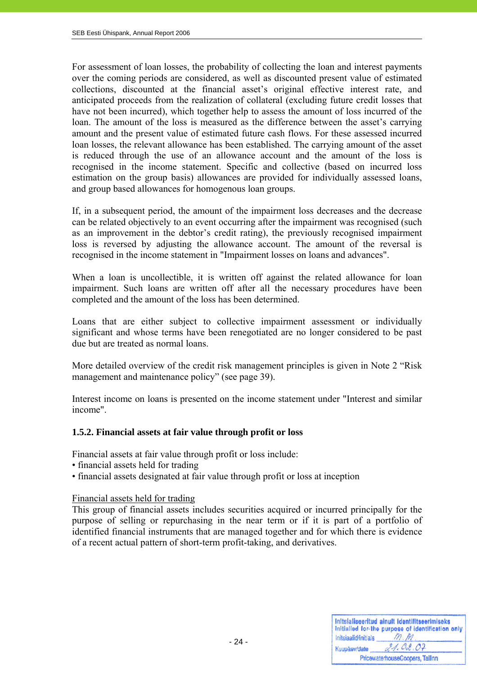For assessment of loan losses, the probability of collecting the loan and interest payments over the coming periods are considered, as well as discounted present value of estimated collections, discounted at the financial asset's original effective interest rate, and anticipated proceeds from the realization of collateral (excluding future credit losses that have not been incurred), which together help to assess the amount of loss incurred of the loan. The amount of the loss is measured as the difference between the asset's carrying amount and the present value of estimated future cash flows. For these assessed incurred loan losses, the relevant allowance has been established. The carrying amount of the asset is reduced through the use of an allowance account and the amount of the loss is recognised in the income statement. Specific and collective (based on incurred loss estimation on the group basis) allowances are provided for individually assessed loans, and group based allowances for homogenous loan groups.

If, in a subsequent period, the amount of the impairment loss decreases and the decrease can be related objectively to an event occurring after the impairment was recognised (such as an improvement in the debtor's credit rating), the previously recognised impairment loss is reversed by adjusting the allowance account. The amount of the reversal is recognised in the income statement in "Impairment losses on loans and advances".

When a loan is uncollectible, it is written off against the related allowance for loan impairment. Such loans are written off after all the necessary procedures have been completed and the amount of the loss has been determined.

Loans that are either subject to collective impairment assessment or individually significant and whose terms have been renegotiated are no longer considered to be past due but are treated as normal loans.

More detailed overview of the credit risk management principles is given in Note 2 "Risk management and maintenance policy" (see page 39).

Interest income on loans is presented on the income statement under "Interest and similar income".

#### **1.5.2. Financial assets at fair value through profit or loss**

Financial assets at fair value through profit or loss include:

- financial assets held for trading
- financial assets designated at fair value through profit or loss at inception

#### Financial assets held for trading

This group of financial assets includes securities acquired or incurred principally for the purpose of selling or repurchasing in the near term or if it is part of a portfolio of identified financial instruments that are managed together and for which there is evidence of a recent actual pattern of short-term profit-taking, and derivatives.

| Initsiaalid/initials | Initsialiseeritud ainult identifitseerimiseks<br>Initialled for the purpose of identification only<br>$m_{\cdot}m$ |
|----------------------|--------------------------------------------------------------------------------------------------------------------|
| Kuupäev/date         | 24.02.07                                                                                                           |
|                      | PricewaterhouseCoopers, Tallinn                                                                                    |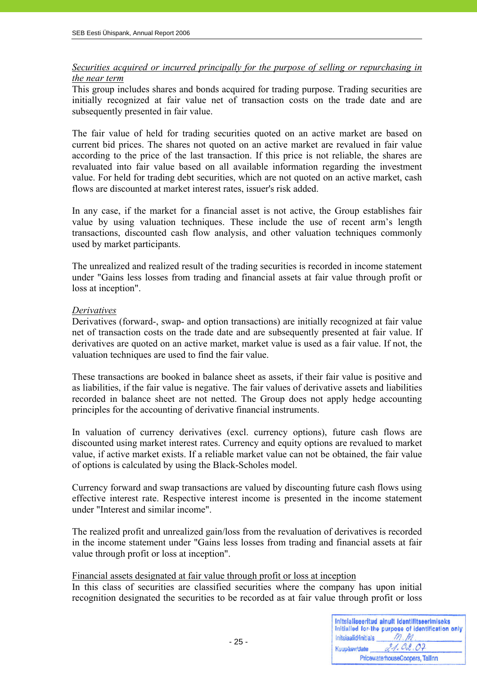#### *Securities acquired or incurred principally for the purpose of selling or repurchasing in the near term*

This group includes shares and bonds acquired for trading purpose. Trading securities are initially recognized at fair value net of transaction costs on the trade date and are subsequently presented in fair value.

The fair value of held for trading securities quoted on an active market are based on current bid prices. The shares not quoted on an active market are revalued in fair value according to the price of the last transaction. If this price is not reliable, the shares are revaluated into fair value based on all available information regarding the investment value. For held for trading debt securities, which are not quoted on an active market, cash flows are discounted at market interest rates, issuer's risk added.

In any case, if the market for a financial asset is not active, the Group establishes fair value by using valuation techniques. These include the use of recent arm's length transactions, discounted cash flow analysis, and other valuation techniques commonly used by market participants.

The unrealized and realized result of the trading securities is recorded in income statement under "Gains less losses from trading and financial assets at fair value through profit or loss at inception".

#### *Derivatives*

Derivatives (forward-, swap- and option transactions) are initially recognized at fair value net of transaction costs on the trade date and are subsequently presented at fair value. If derivatives are quoted on an active market, market value is used as a fair value. If not, the valuation techniques are used to find the fair value.

These transactions are booked in balance sheet as assets, if their fair value is positive and as liabilities, if the fair value is negative. The fair values of derivative assets and liabilities recorded in balance sheet are not netted. The Group does not apply hedge accounting principles for the accounting of derivative financial instruments.

In valuation of currency derivatives (excl. currency options), future cash flows are discounted using market interest rates. Currency and equity options are revalued to market value, if active market exists. If a reliable market value can not be obtained, the fair value of options is calculated by using the Black-Scholes model.

Currency forward and swap transactions are valued by discounting future cash flows using effective interest rate. Respective interest income is presented in the income statement under "Interest and similar income".

The realized profit and unrealized gain/loss from the revaluation of derivatives is recorded in the income statement under "Gains less losses from trading and financial assets at fair value through profit or loss at inception".

#### Financial assets designated at fair value through profit or loss at inception

In this class of securities are classified securities where the company has upon initial recognition designated the securities to be recorded as at fair value through profit or loss

| Initsiaalid/initials            | initsialiseeritud ainult identifitseerimiseks<br>Initialled for the purpose of identification only<br>$m_{\cdot}m$ |  |
|---------------------------------|--------------------------------------------------------------------------------------------------------------------|--|
| Kuupäev/date                    | 24.02.07                                                                                                           |  |
| PricewaterhouseCoopers, Tallinn |                                                                                                                    |  |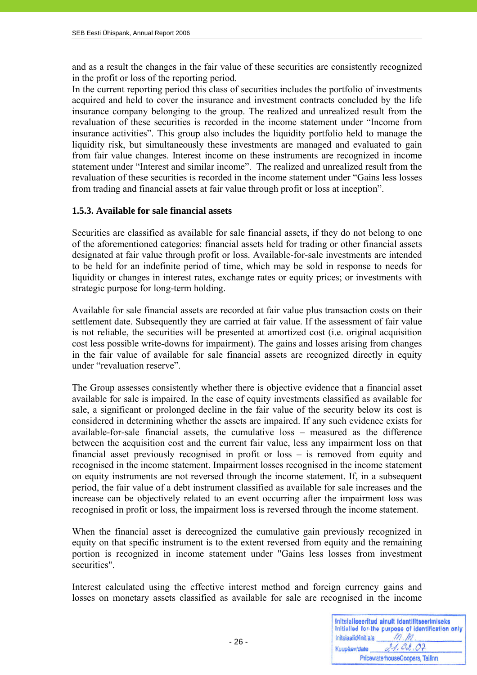and as a result the changes in the fair value of these securities are consistently recognized in the profit or loss of the reporting period.

In the current reporting period this class of securities includes the portfolio of investments acquired and held to cover the insurance and investment contracts concluded by the life insurance company belonging to the group. The realized and unrealized result from the revaluation of these securities is recorded in the income statement under "Income from insurance activities". This group also includes the liquidity portfolio held to manage the liquidity risk, but simultaneously these investments are managed and evaluated to gain from fair value changes. Interest income on these instruments are recognized in income statement under "Interest and similar income". The realized and unrealized result from the revaluation of these securities is recorded in the income statement under "Gains less losses from trading and financial assets at fair value through profit or loss at inception".

#### **1.5.3. Available for sale financial assets**

Securities are classified as available for sale financial assets, if they do not belong to one of the aforementioned categories: financial assets held for trading or other financial assets designated at fair value through profit or loss. Available-for-sale investments are intended to be held for an indefinite period of time, which may be sold in response to needs for liquidity or changes in interest rates, exchange rates or equity prices; or investments with strategic purpose for long-term holding.

Available for sale financial assets are recorded at fair value plus transaction costs on their settlement date. Subsequently they are carried at fair value. If the assessment of fair value is not reliable, the securities will be presented at amortized cost (i.e. original acquisition cost less possible write-downs for impairment). The gains and losses arising from changes in the fair value of available for sale financial assets are recognized directly in equity under "revaluation reserve".

The Group assesses consistently whether there is objective evidence that a financial asset available for sale is impaired. In the case of equity investments classified as available for sale, a significant or prolonged decline in the fair value of the security below its cost is considered in determining whether the assets are impaired. If any such evidence exists for available-for-sale financial assets, the cumulative loss – measured as the difference between the acquisition cost and the current fair value, less any impairment loss on that financial asset previously recognised in profit or loss – is removed from equity and recognised in the income statement. Impairment losses recognised in the income statement on equity instruments are not reversed through the income statement. If, in a subsequent period, the fair value of a debt instrument classified as available for sale increases and the increase can be objectively related to an event occurring after the impairment loss was recognised in profit or loss, the impairment loss is reversed through the income statement.

When the financial asset is derecognized the cumulative gain previously recognized in equity on that specific instrument is to the extent reversed from equity and the remaining portion is recognized in income statement under "Gains less losses from investment securities".

Interest calculated using the effective interest method and foreign currency gains and losses on monetary assets classified as available for sale are recognised in the income

| Initsiaalid/initials            | Initsialiseeritud ainuit identifitseerimiseks<br>Initialled for the purpose of identification only<br>m m |
|---------------------------------|-----------------------------------------------------------------------------------------------------------|
| Kuupäev/date                    | 24.02.07                                                                                                  |
| PricewaterhouseCoopers, Tallinn |                                                                                                           |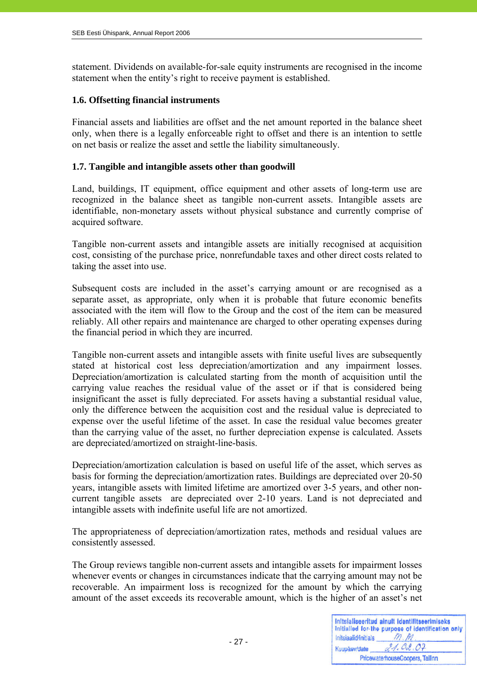statement. Dividends on available-for-sale equity instruments are recognised in the income statement when the entity's right to receive payment is established.

#### **1.6. Offsetting financial instruments**

Financial assets and liabilities are offset and the net amount reported in the balance sheet only, when there is a legally enforceable right to offset and there is an intention to settle on net basis or realize the asset and settle the liability simultaneously.

#### **1.7. Tangible and intangible assets other than goodwill**

Land, buildings, IT equipment, office equipment and other assets of long-term use are recognized in the balance sheet as tangible non-current assets. Intangible assets are identifiable, non-monetary assets without physical substance and currently comprise of acquired software.

Tangible non-current assets and intangible assets are initially recognised at acquisition cost, consisting of the purchase price, nonrefundable taxes and other direct costs related to taking the asset into use.

Subsequent costs are included in the asset's carrying amount or are recognised as a separate asset, as appropriate, only when it is probable that future economic benefits associated with the item will flow to the Group and the cost of the item can be measured reliably. All other repairs and maintenance are charged to other operating expenses during the financial period in which they are incurred.

Tangible non-current assets and intangible assets with finite useful lives are subsequently stated at historical cost less depreciation/amortization and any impairment losses. Depreciation/amortization is calculated starting from the month of acquisition until the carrying value reaches the residual value of the asset or if that is considered being insignificant the asset is fully depreciated. For assets having a substantial residual value, only the difference between the acquisition cost and the residual value is depreciated to expense over the useful lifetime of the asset. In case the residual value becomes greater than the carrying value of the asset, no further depreciation expense is calculated. Assets are depreciated/amortized on straight-line-basis.

Depreciation/amortization calculation is based on useful life of the asset, which serves as basis for forming the depreciation/amortization rates. Buildings are depreciated over 20-50 years, intangible assets with limited lifetime are amortized over 3-5 years, and other noncurrent tangible assets are depreciated over 2-10 years. Land is not depreciated and intangible assets with indefinite useful life are not amortized.

The appropriateness of depreciation/amortization rates, methods and residual values are consistently assessed.

The Group reviews tangible non-current assets and intangible assets for impairment losses whenever events or changes in circumstances indicate that the carrying amount may not be recoverable. An impairment loss is recognized for the amount by which the carrying amount of the asset exceeds its recoverable amount, which is the higher of an asset's net

| Initsiaalid/initials            | Initsialiseeritud ainuit identifitseerimiseks<br>Initialled for the purpose of identification only<br>m.m |
|---------------------------------|-----------------------------------------------------------------------------------------------------------|
| Kuupäev/date                    | 24.02.07                                                                                                  |
| PricewaterhouseCoopers, Tallinn |                                                                                                           |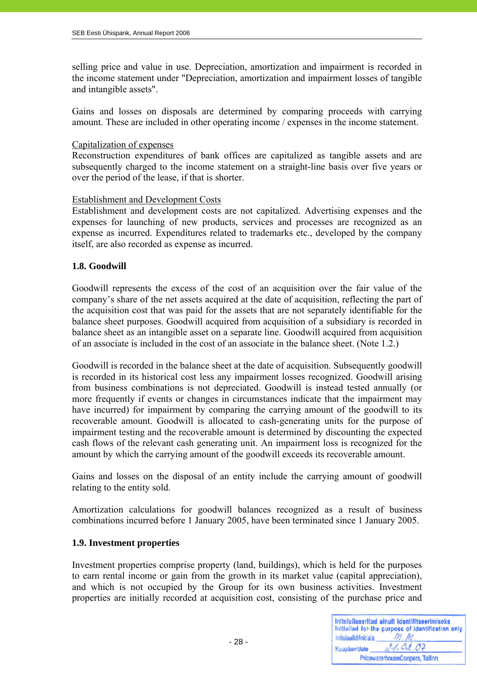selling price and value in use. Depreciation, amortization and impairment is recorded in the income statement under "Depreciation, amortization and impairment losses of tangible and intangible assets".

Gains and losses on disposals are determined by comparing proceeds with carrying amount. These are included in other operating income / expenses in the income statement.

#### Capitalization of expenses

Reconstruction expenditures of bank offices are capitalized as tangible assets and are subsequently charged to the income statement on a straight-line basis over five years or over the period of the lease, if that is shorter.

#### Establishment and Development Costs

Establishment and development costs are not capitalized. Advertising expenses and the expenses for launching of new products, services and processes are recognized as an expense as incurred. Expenditures related to trademarks etc., developed by the company itself, are also recorded as expense as incurred.

#### **1.8. Goodwill**

Goodwill represents the excess of the cost of an acquisition over the fair value of the company's share of the net assets acquired at the date of acquisition, reflecting the part of the acquisition cost that was paid for the assets that are not separately identifiable for the balance sheet purposes. Goodwill acquired from acquisition of a subsidiary is recorded in balance sheet as an intangible asset on a separate line. Goodwill acquired from acquisition of an associate is included in the cost of an associate in the balance sheet. (Note 1.2.)

Goodwill is recorded in the balance sheet at the date of acquisition. Subsequently goodwill is recorded in its historical cost less any impairment losses recognized. Goodwill arising from business combinations is not depreciated. Goodwill is instead tested annually (or more frequently if events or changes in circumstances indicate that the impairment may have incurred) for impairment by comparing the carrying amount of the goodwill to its recoverable amount. Goodwill is allocated to cash-generating units for the purpose of impairment testing and the recoverable amount is determined by discounting the expected cash flows of the relevant cash generating unit. An impairment loss is recognized for the amount by which the carrying amount of the goodwill exceeds its recoverable amount.

Gains and losses on the disposal of an entity include the carrying amount of goodwill relating to the entity sold.

Amortization calculations for goodwill balances recognized as a result of business combinations incurred before 1 January 2005, have been terminated since 1 January 2005.

#### **1.9. Investment properties**

Investment properties comprise property (land, buildings), which is held for the purposes to earn rental income or gain from the growth in its market value (capital appreciation), and which is not occupied by the Group for its own business activities. Investment properties are initially recorded at acquisition cost, consisting of the purchase price and

| Initsiaalid/initials            | Initsialiseeritud ainuit identifitseerimiseks<br>Initialled for the purpose of identification only<br>m.m |
|---------------------------------|-----------------------------------------------------------------------------------------------------------|
| Kuupäev/date                    | 24.02.07                                                                                                  |
| PricewaterhouseCoopers, Tallinn |                                                                                                           |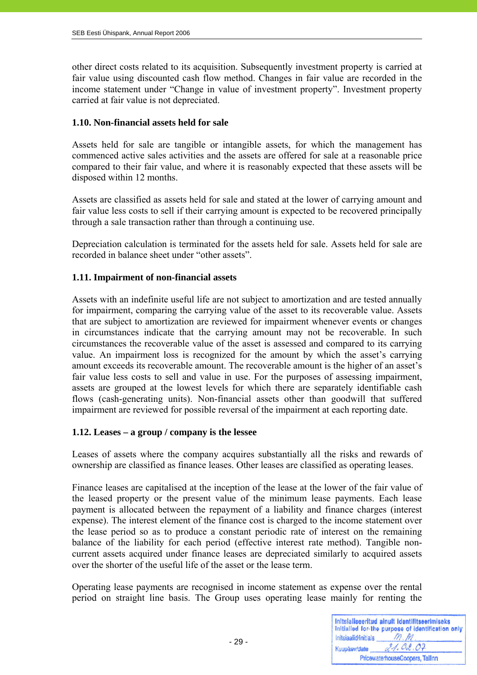other direct costs related to its acquisition. Subsequently investment property is carried at fair value using discounted cash flow method. Changes in fair value are recorded in the income statement under "Change in value of investment property". Investment property carried at fair value is not depreciated.

#### **1.10. Non-financial assets held for sale**

Assets held for sale are tangible or intangible assets, for which the management has commenced active sales activities and the assets are offered for sale at a reasonable price compared to their fair value, and where it is reasonably expected that these assets will be disposed within 12 months.

Assets are classified as assets held for sale and stated at the lower of carrying amount and fair value less costs to sell if their carrying amount is expected to be recovered principally through a sale transaction rather than through a continuing use.

Depreciation calculation is terminated for the assets held for sale. Assets held for sale are recorded in balance sheet under "other assets".

#### **1.11. Impairment of non-financial assets**

Assets with an indefinite useful life are not subject to amortization and are tested annually for impairment, comparing the carrying value of the asset to its recoverable value. Assets that are subject to amortization are reviewed for impairment whenever events or changes in circumstances indicate that the carrying amount may not be recoverable. In such circumstances the recoverable value of the asset is assessed and compared to its carrying value. An impairment loss is recognized for the amount by which the asset's carrying amount exceeds its recoverable amount. The recoverable amount is the higher of an asset's fair value less costs to sell and value in use. For the purposes of assessing impairment, assets are grouped at the lowest levels for which there are separately identifiable cash flows (cash-generating units). Non-financial assets other than goodwill that suffered impairment are reviewed for possible reversal of the impairment at each reporting date.

#### **1.12. Leases – a group / company is the lessee**

Leases of assets where the company acquires substantially all the risks and rewards of ownership are classified as finance leases. Other leases are classified as operating leases.

Finance leases are capitalised at the inception of the lease at the lower of the fair value of the leased property or the present value of the minimum lease payments. Each lease payment is allocated between the repayment of a liability and finance charges (interest expense). The interest element of the finance cost is charged to the income statement over the lease period so as to produce a constant periodic rate of interest on the remaining balance of the liability for each period (effective interest rate method). Tangible noncurrent assets acquired under finance leases are depreciated similarly to acquired assets over the shorter of the useful life of the asset or the lease term.

Operating lease payments are recognised in income statement as expense over the rental period on straight line basis. The Group uses operating lease mainly for renting the

| Initsiaalid/initials            | Initsialiseeritud ainult identifitseerimiseks<br>Initialled for the purpose of identification only<br>m.m |
|---------------------------------|-----------------------------------------------------------------------------------------------------------|
| Kuupäev/date                    | 24.02.07                                                                                                  |
| PricewaterhouseCoopers, Tallinn |                                                                                                           |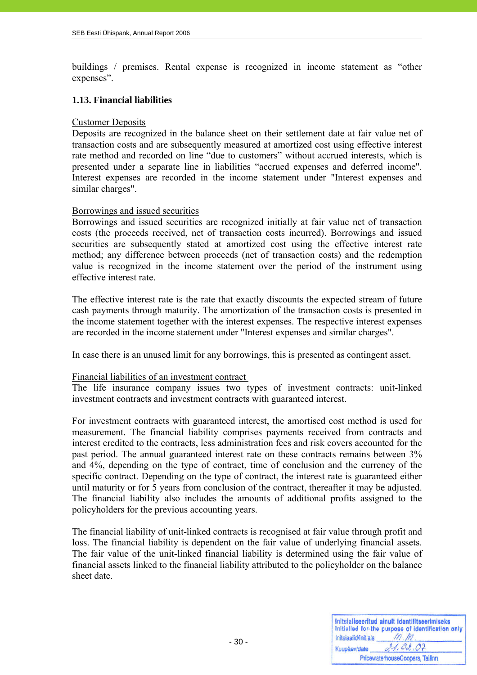buildings / premises. Rental expense is recognized in income statement as "other expenses".

#### **1.13. Financial liabilities**

#### Customer Deposits

Deposits are recognized in the balance sheet on their settlement date at fair value net of transaction costs and are subsequently measured at amortized cost using effective interest rate method and recorded on line "due to customers" without accrued interests, which is presented under a separate line in liabilities "accrued expenses and deferred income". Interest expenses are recorded in the income statement under "Interest expenses and similar charges".

#### Borrowings and issued securities

Borrowings and issued securities are recognized initially at fair value net of transaction costs (the proceeds received, net of transaction costs incurred). Borrowings and issued securities are subsequently stated at amortized cost using the effective interest rate method; any difference between proceeds (net of transaction costs) and the redemption value is recognized in the income statement over the period of the instrument using effective interest rate.

The effective interest rate is the rate that exactly discounts the expected stream of future cash payments through maturity. The amortization of the transaction costs is presented in the income statement together with the interest expenses. The respective interest expenses are recorded in the income statement under "Interest expenses and similar charges".

In case there is an unused limit for any borrowings, this is presented as contingent asset.

#### Financial liabilities of an investment contract

The life insurance company issues two types of investment contracts: unit-linked investment contracts and investment contracts with guaranteed interest.

For investment contracts with guaranteed interest, the amortised cost method is used for measurement. The financial liability comprises payments received from contracts and interest credited to the contracts, less administration fees and risk covers accounted for the past period. The annual guaranteed interest rate on these contracts remains between 3% and 4%, depending on the type of contract, time of conclusion and the currency of the specific contract. Depending on the type of contract, the interest rate is guaranteed either until maturity or for 5 years from conclusion of the contract, thereafter it may be adjusted. The financial liability also includes the amounts of additional profits assigned to the policyholders for the previous accounting years.

The financial liability of unit-linked contracts is recognised at fair value through profit and loss. The financial liability is dependent on the fair value of underlying financial assets. The fair value of the unit-linked financial liability is determined using the fair value of financial assets linked to the financial liability attributed to the policyholder on the balance sheet date.

| Initsiaalid/initials            | Initsialiseeritud ainuit identifitseerimiseks<br>Initialled for the purpose of identification only<br>m.m |
|---------------------------------|-----------------------------------------------------------------------------------------------------------|
| Kuupäev/date                    | 24.02.07                                                                                                  |
| PricewaterhouseCoopers, Tallinn |                                                                                                           |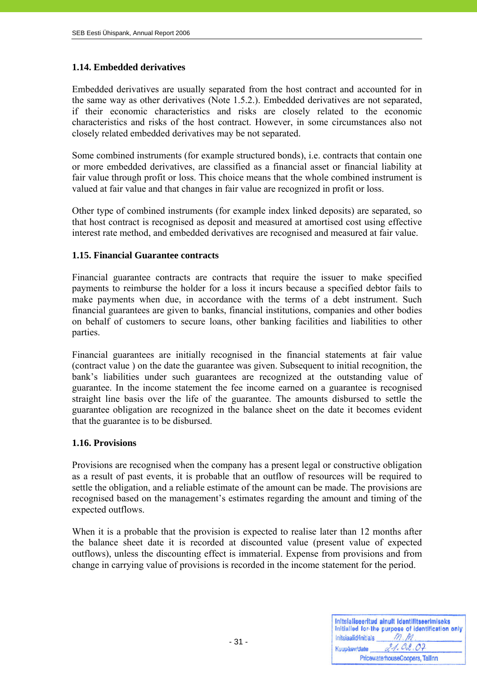#### **1.14. Embedded derivatives**

Embedded derivatives are usually separated from the host contract and accounted for in the same way as other derivatives (Note 1.5.2.). Embedded derivatives are not separated, if their economic characteristics and risks are closely related to the economic characteristics and risks of the host contract. However, in some circumstances also not closely related embedded derivatives may be not separated.

Some combined instruments (for example structured bonds), i.e. contracts that contain one or more embedded derivatives, are classified as a financial asset or financial liability at fair value through profit or loss. This choice means that the whole combined instrument is valued at fair value and that changes in fair value are recognized in profit or loss.

Other type of combined instruments (for example index linked deposits) are separated, so that host contract is recognised as deposit and measured at amortised cost using effective interest rate method, and embedded derivatives are recognised and measured at fair value.

#### **1.15. Financial Guarantee contracts**

Financial guarantee contracts are contracts that require the issuer to make specified payments to reimburse the holder for a loss it incurs because a specified debtor fails to make payments when due, in accordance with the terms of a debt instrument. Such financial guarantees are given to banks, financial institutions, companies and other bodies on behalf of customers to secure loans, other banking facilities and liabilities to other parties.

Financial guarantees are initially recognised in the financial statements at fair value (contract value ) on the date the guarantee was given. Subsequent to initial recognition, the bank's liabilities under such guarantees are recognized at the outstanding value of guarantee. In the income statement the fee income earned on a guarantee is recognised straight line basis over the life of the guarantee. The amounts disbursed to settle the guarantee obligation are recognized in the balance sheet on the date it becomes evident that the guarantee is to be disbursed.

#### **1.16. Provisions**

Provisions are recognised when the company has a present legal or constructive obligation as a result of past events, it is probable that an outflow of resources will be required to settle the obligation, and a reliable estimate of the amount can be made. The provisions are recognised based on the management's estimates regarding the amount and timing of the expected outflows.

When it is a probable that the provision is expected to realise later than 12 months after the balance sheet date it is recorded at discounted value (present value of expected outflows), unless the discounting effect is immaterial. Expense from provisions and from change in carrying value of provisions is recorded in the income statement for the period.

| Initsiaalid/initials            | initsialiseeritud ainult identifitseerimiseks<br>Initialled for the purpose of identification only<br>m.m |
|---------------------------------|-----------------------------------------------------------------------------------------------------------|
| Kuupäev/date                    | 24.02.07                                                                                                  |
| PricewaterhouseCoopers, Tallinn |                                                                                                           |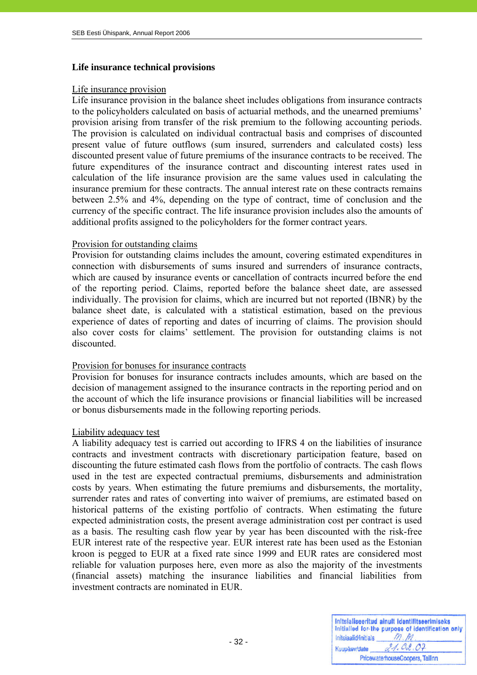#### **Life insurance technical provisions**

#### Life insurance provision

Life insurance provision in the balance sheet includes obligations from insurance contracts to the policyholders calculated on basis of actuarial methods, and the unearned premiums' provision arising from transfer of the risk premium to the following accounting periods. The provision is calculated on individual contractual basis and comprises of discounted present value of future outflows (sum insured, surrenders and calculated costs) less discounted present value of future premiums of the insurance contracts to be received. The future expenditures of the insurance contract and discounting interest rates used in calculation of the life insurance provision are the same values used in calculating the insurance premium for these contracts. The annual interest rate on these contracts remains between 2.5% and 4%, depending on the type of contract, time of conclusion and the currency of the specific contract. The life insurance provision includes also the amounts of additional profits assigned to the policyholders for the former contract years.

#### Provision for outstanding claims

Provision for outstanding claims includes the amount, covering estimated expenditures in connection with disbursements of sums insured and surrenders of insurance contracts, which are caused by insurance events or cancellation of contracts incurred before the end of the reporting period. Claims, reported before the balance sheet date, are assessed individually. The provision for claims, which are incurred but not reported (IBNR) by the balance sheet date, is calculated with a statistical estimation, based on the previous experience of dates of reporting and dates of incurring of claims. The provision should also cover costs for claims' settlement. The provision for outstanding claims is not discounted.

#### Provision for bonuses for insurance contracts

Provision for bonuses for insurance contracts includes amounts, which are based on the decision of management assigned to the insurance contracts in the reporting period and on the account of which the life insurance provisions or financial liabilities will be increased or bonus disbursements made in the following reporting periods.

#### Liability adequacy test

A liability adequacy test is carried out according to IFRS 4 on the liabilities of insurance contracts and investment contracts with discretionary participation feature, based on discounting the future estimated cash flows from the portfolio of contracts. The cash flows used in the test are expected contractual premiums, disbursements and administration costs by years. When estimating the future premiums and disbursements, the mortality, surrender rates and rates of converting into waiver of premiums, are estimated based on historical patterns of the existing portfolio of contracts. When estimating the future expected administration costs, the present average administration cost per contract is used as a basis. The resulting cash flow year by year has been discounted with the risk-free EUR interest rate of the respective year. EUR interest rate has been used as the Estonian kroon is pegged to EUR at a fixed rate since 1999 and EUR rates are considered most reliable for valuation purposes here, even more as also the majority of the investments (financial assets) matching the insurance liabilities and financial liabilities from investment contracts are nominated in EUR.

Initsialiseeritud ainult identifitseerimiseks Initialled for the purpose of identification only Initsiaalid/initials  $m.m$ 21. Od. 07 Kuupäev/date PricewaterhouseCoopers, Tallinn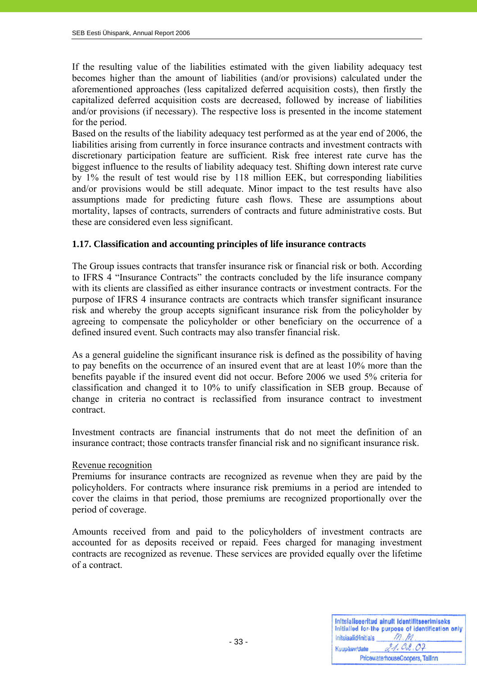If the resulting value of the liabilities estimated with the given liability adequacy test becomes higher than the amount of liabilities (and/or provisions) calculated under the aforementioned approaches (less capitalized deferred acquisition costs), then firstly the capitalized deferred acquisition costs are decreased, followed by increase of liabilities and/or provisions (if necessary). The respective loss is presented in the income statement for the period.

Based on the results of the liability adequacy test performed as at the year end of 2006, the liabilities arising from currently in force insurance contracts and investment contracts with discretionary participation feature are sufficient. Risk free interest rate curve has the biggest influence to the results of liability adequacy test. Shifting down interest rate curve by 1% the result of test would rise by 118 million EEK, but corresponding liabilities and/or provisions would be still adequate. Minor impact to the test results have also assumptions made for predicting future cash flows. These are assumptions about mortality, lapses of contracts, surrenders of contracts and future administrative costs. But these are considered even less significant.

#### **1.17. Classification and accounting principles of life insurance contracts**

The Group issues contracts that transfer insurance risk or financial risk or both. According to IFRS 4 "Insurance Contracts" the contracts concluded by the life insurance company with its clients are classified as either insurance contracts or investment contracts. For the purpose of IFRS 4 insurance contracts are contracts which transfer significant insurance risk and whereby the group accepts significant insurance risk from the policyholder by agreeing to compensate the policyholder or other beneficiary on the occurrence of a defined insured event. Such contracts may also transfer financial risk.

As a general guideline the significant insurance risk is defined as the possibility of having to pay benefits on the occurrence of an insured event that are at least 10% more than the benefits payable if the insured event did not occur. Before 2006 we used 5% criteria for classification and changed it to 10% to unify classification in SEB group. Because of change in criteria no contract is reclassified from insurance contract to investment contract.

Investment contracts are financial instruments that do not meet the definition of an insurance contract; those contracts transfer financial risk and no significant insurance risk.

#### Revenue recognition

Premiums for insurance contracts are recognized as revenue when they are paid by the policyholders. For contracts where insurance risk premiums in a period are intended to cover the claims in that period, those premiums are recognized proportionally over the period of coverage.

Amounts received from and paid to the policyholders of investment contracts are accounted for as deposits received or repaid. Fees charged for managing investment contracts are recognized as revenue. These services are provided equally over the lifetime of a contract.

| Initsiaalid/initials            | Initsialiseeritud ainuit identifitseerimiseks<br>Initialled for the purpose of identification only<br>m.m |
|---------------------------------|-----------------------------------------------------------------------------------------------------------|
| Kuupäev/date                    | 24.02.07                                                                                                  |
| PricewaterhouseCoopers, Tallinn |                                                                                                           |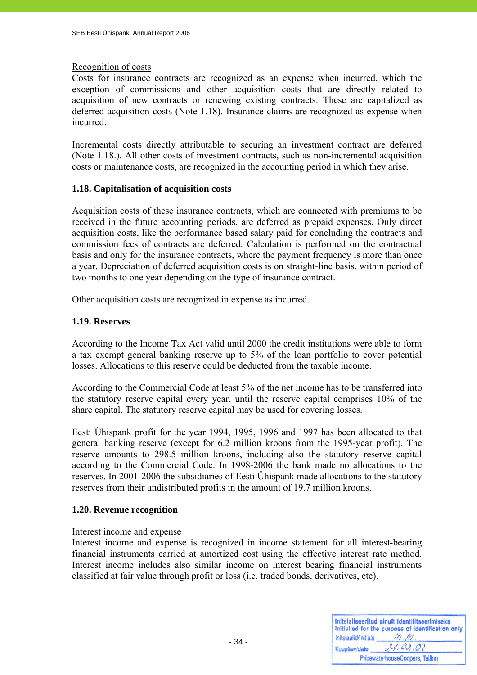#### Recognition of costs

Costs for insurance contracts are recognized as an expense when incurred, which the exception of commissions and other acquisition costs that are directly related to acquisition of new contracts or renewing existing contracts. These are capitalized as deferred acquisition costs (Note 1.18). Insurance claims are recognized as expense when incurred.

Incremental costs directly attributable to securing an investment contract are deferred (Note 1.18.). All other costs of investment contracts, such as non-incremental acquisition costs or maintenance costs, are recognized in the accounting period in which they arise.

#### **1.18. Capitalisation of acquisition costs**

Acquisition costs of these insurance contracts, which are connected with premiums to be received in the future accounting periods, are deferred as prepaid expenses. Only direct acquisition costs, like the performance based salary paid for concluding the contracts and commission fees of contracts are deferred. Calculation is performed on the contractual basis and only for the insurance contracts, where the payment frequency is more than once a year. Depreciation of deferred acquisition costs is on straight-line basis, within period of two months to one year depending on the type of insurance contract.

Other acquisition costs are recognized in expense as incurred.

#### **1.19. Reserves**

According to the Income Tax Act valid until 2000 the credit institutions were able to form a tax exempt general banking reserve up to 5% of the loan portfolio to cover potential losses. Allocations to this reserve could be deducted from the taxable income.

According to the Commercial Code at least 5% of the net income has to be transferred into the statutory reserve capital every year, until the reserve capital comprises 10% of the share capital. The statutory reserve capital may be used for covering losses.

Eesti Ühispank profit for the year 1994, 1995, 1996 and 1997 has been allocated to that general banking reserve (except for 6.2 million kroons from the 1995-year profit). The reserve amounts to 298.5 million kroons, including also the statutory reserve capital according to the Commercial Code. In 1998-2006 the bank made no allocations to the reserves. In 2001-2006 the subsidiaries of Eesti Ühispank made allocations to the statutory reserves from their undistributed profits in the amount of 19.7 million kroons.

#### **1.20. Revenue recognition**

#### Interest income and expense

Interest income and expense is recognized in income statement for all interest-bearing financial instruments carried at amortized cost using the effective interest rate method. Interest income includes also similar income on interest bearing financial instruments classified at fair value through profit or loss (i.e. traded bonds, derivatives, etc).

| Initsiaalid/initials            | Initsialiseeritud ainult identifitseerimiseks<br>Initialled for the purpose of identification only<br>m.m |
|---------------------------------|-----------------------------------------------------------------------------------------------------------|
| Kuupäev/date                    | 24.02.07                                                                                                  |
| PricewaterhouseCoopers, Tallinn |                                                                                                           |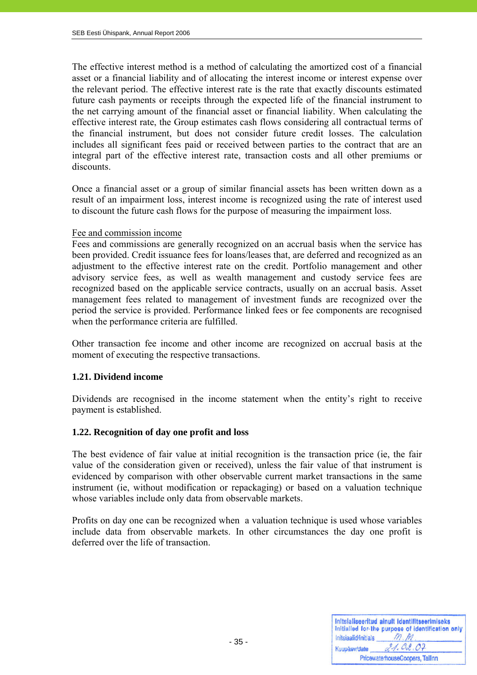The effective interest method is a method of calculating the amortized cost of a financial asset or a financial liability and of allocating the interest income or interest expense over the relevant period. The effective interest rate is the rate that exactly discounts estimated future cash payments or receipts through the expected life of the financial instrument to the net carrying amount of the financial asset or financial liability. When calculating the effective interest rate, the Group estimates cash flows considering all contractual terms of the financial instrument, but does not consider future credit losses. The calculation includes all significant fees paid or received between parties to the contract that are an integral part of the effective interest rate, transaction costs and all other premiums or discounts.

Once a financial asset or a group of similar financial assets has been written down as a result of an impairment loss, interest income is recognized using the rate of interest used to discount the future cash flows for the purpose of measuring the impairment loss.

#### Fee and commission income

Fees and commissions are generally recognized on an accrual basis when the service has been provided. Credit issuance fees for loans/leases that, are deferred and recognized as an adjustment to the effective interest rate on the credit. Portfolio management and other advisory service fees, as well as wealth management and custody service fees are recognized based on the applicable service contracts, usually on an accrual basis. Asset management fees related to management of investment funds are recognized over the period the service is provided. Performance linked fees or fee components are recognised when the performance criteria are fulfilled.

Other transaction fee income and other income are recognized on accrual basis at the moment of executing the respective transactions.

#### **1.21. Dividend income**

Dividends are recognised in the income statement when the entity's right to receive payment is established.

#### **1.22. Recognition of day one profit and loss**

The best evidence of fair value at initial recognition is the transaction price (ie, the fair value of the consideration given or received), unless the fair value of that instrument is evidenced by comparison with other observable current market transactions in the same instrument (ie, without modification or repackaging) or based on a valuation technique whose variables include only data from observable markets.

Profits on day one can be recognized when a valuation technique is used whose variables include data from observable markets. In other circumstances the day one profit is deferred over the life of transaction.

| Initsiaalid/initials            | Initsialiseeritud ainult identifitseerimiseks<br>Initialled for the purpose of identification only<br>m.m |
|---------------------------------|-----------------------------------------------------------------------------------------------------------|
| Kuupäev/date                    | 24.02.07                                                                                                  |
| PricewaterhouseCoopers, Tallinn |                                                                                                           |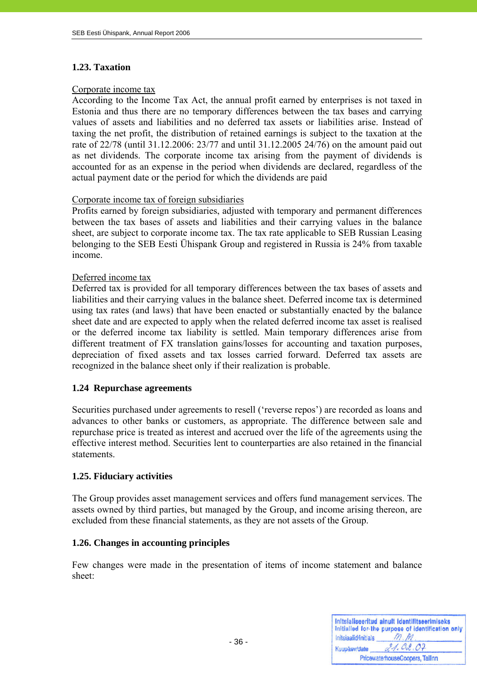# **1.23. Taxation**

## Corporate income tax

According to the Income Tax Act, the annual profit earned by enterprises is not taxed in Estonia and thus there are no temporary differences between the tax bases and carrying values of assets and liabilities and no deferred tax assets or liabilities arise. Instead of taxing the net profit, the distribution of retained earnings is subject to the taxation at the rate of 22/78 (until 31.12.2006: 23/77 and until 31.12.2005 24/76) on the amount paid out as net dividends. The corporate income tax arising from the payment of dividends is accounted for as an expense in the period when dividends are declared, regardless of the actual payment date or the period for which the dividends are paid

# Corporate income tax of foreign subsidiaries

Profits earned by foreign subsidiaries, adjusted with temporary and permanent differences between the tax bases of assets and liabilities and their carrying values in the balance sheet, are subject to corporate income tax. The tax rate applicable to SEB Russian Leasing belonging to the SEB Eesti Ühispank Group and registered in Russia is 24% from taxable income.

# Deferred income tax

Deferred tax is provided for all temporary differences between the tax bases of assets and liabilities and their carrying values in the balance sheet. Deferred income tax is determined using tax rates (and laws) that have been enacted or substantially enacted by the balance sheet date and are expected to apply when the related deferred income tax asset is realised or the deferred income tax liability is settled. Main temporary differences arise from different treatment of FX translation gains/losses for accounting and taxation purposes, depreciation of fixed assets and tax losses carried forward. Deferred tax assets are recognized in the balance sheet only if their realization is probable.

# **1.24 Repurchase agreements**

Securities purchased under agreements to resell ('reverse repos') are recorded as loans and advances to other banks or customers, as appropriate. The difference between sale and repurchase price is treated as interest and accrued over the life of the agreements using the effective interest method. Securities lent to counterparties are also retained in the financial statements.

# **1.25. Fiduciary activities**

The Group provides asset management services and offers fund management services. The assets owned by third parties, but managed by the Group, and income arising thereon, are excluded from these financial statements, as they are not assets of the Group.

### **1.26. Changes in accounting principles**

Few changes were made in the presentation of items of income statement and balance sheet:

| Initsiaalid/initials | Initsialiseeritud ainuit identifitseerimiseks<br>Initialled for the purpose of identification only<br>m.m |
|----------------------|-----------------------------------------------------------------------------------------------------------|
| Kuupäev/date         | 24.02.07                                                                                                  |
|                      | PricewaterhouseCoopers, Tallinn                                                                           |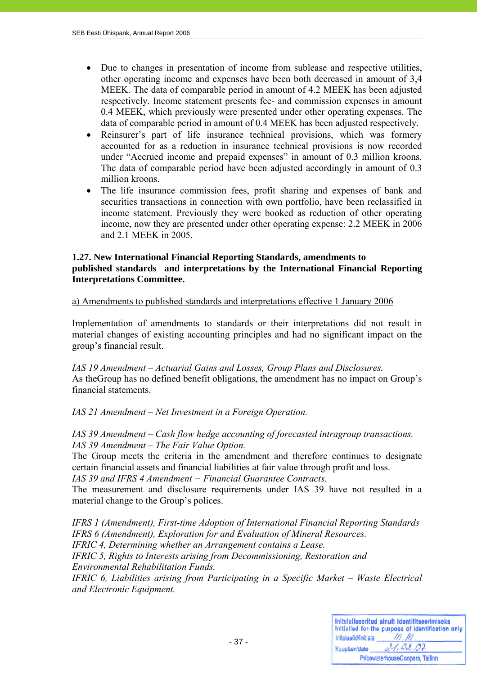- Due to changes in presentation of income from sublease and respective utilities, other operating income and expenses have been both decreased in amount of 3,4 MEEK. The data of comparable period in amount of 4.2 MEEK has been adjusted respectively. Income statement presents fee- and commission expenses in amount 0.4 MEEK, which previously were presented under other operating expenses. The data of comparable period in amount of 0.4 MEEK has been adjusted respectively.
- Reinsurer's part of life insurance technical provisions, which was formery accounted for as a reduction in insurance technical provisions is now recorded under "Accrued income and prepaid expenses" in amount of 0.3 million kroons. The data of comparable period have been adjusted accordingly in amount of 0.3 million kroons.
- The life insurance commission fees, profit sharing and expenses of bank and securities transactions in connection with own portfolio, have been reclassified in income statement. Previously they were booked as reduction of other operating income, now they are presented under other operating expense: 2.2 MEEK in 2006 and 2.1 MEEK in 2005.

# **1.27. New International Financial Reporting Standards, amendments to published standards and interpretations by the International Financial Reporting Interpretations Committee.**

a) Amendments to published standards and interpretations effective 1 January 2006

Implementation of amendments to standards or their interpretations did not result in material changes of existing accounting principles and had no significant impact on the group's financial result.

*IAS 19 Amendment – Actuarial Gains and Losses, Group Plans and Disclosures.*  As theGroup has no defined benefit obligations, the amendment has no impact on Group's financial statements.

*IAS 21 Amendment – Net Investment in a Foreign Operation.* 

*IAS 39 Amendment – Cash flow hedge accounting of forecasted intragroup transactions. IAS 39 Amendment – The Fair Value Option.* 

The Group meets the criteria in the amendment and therefore continues to designate certain financial assets and financial liabilities at fair value through profit and loss.

*IAS 39 and IFRS 4 Amendment − Financial Guarantee Contracts.* 

The measurement and disclosure requirements under IAS 39 have not resulted in a material change to the Group's polices.

*IFRS 1 (Amendment), First-time Adoption of International Financial Reporting Standards IFRS 6 (Amendment), Exploration for and Evaluation of Mineral Resources. IFRIC 4, Determining whether an Arrangement contains a Lease. IFRIC 5, Rights to Interests arising from Decommissioning, Restoration and Environmental Rehabilitation Funds.* 

*IFRIC 6, Liabilities arising from Participating in a Specific Market – Waste Electrical and Electronic Equipment.* 

| Initsiaalid/initials            | initsialiseeritud ainult identifitseerimiseks<br>Initialled for the purpose of identification only<br>m.m |  |  |
|---------------------------------|-----------------------------------------------------------------------------------------------------------|--|--|
| Kuupäev/date                    | 24.02.07                                                                                                  |  |  |
| PricewaterhouseCoopers, Tallinn |                                                                                                           |  |  |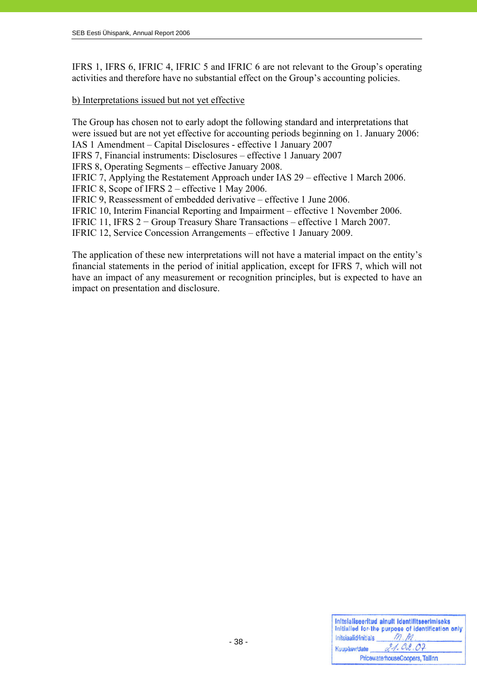IFRS 1, IFRS 6, IFRIC 4, IFRIC 5 and IFRIC 6 are not relevant to the Group's operating activities and therefore have no substantial effect on the Group's accounting policies.

# b) Interpretations issued but not yet effective

The Group has chosen not to early adopt the following standard and interpretations that were issued but are not yet effective for accounting periods beginning on 1. January 2006: IAS 1 Amendment – Capital Disclosures - effective 1 January 2007 IFRS 7, Financial instruments: Disclosures – effective 1 January 2007 IFRS 8, Operating Segments – effective January 2008. IFRIC 7, Applying the Restatement Approach under IAS 29 – effective 1 March 2006. IFRIC 8, Scope of IFRS 2 – effective 1 May 2006. IFRIC 9, Reassessment of embedded derivative – effective 1 June 2006. IFRIC 10, Interim Financial Reporting and Impairment – effective 1 November 2006. IFRIC 11, IFRS 2 − Group Treasury Share Transactions – effective 1 March 2007. IFRIC 12, Service Concession Arrangements – effective 1 January 2009.

The application of these new interpretations will not have a material impact on the entity's financial statements in the period of initial application, except for IFRS 7, which will not have an impact of any measurement or recognition principles, but is expected to have an impact on presentation and disclosure.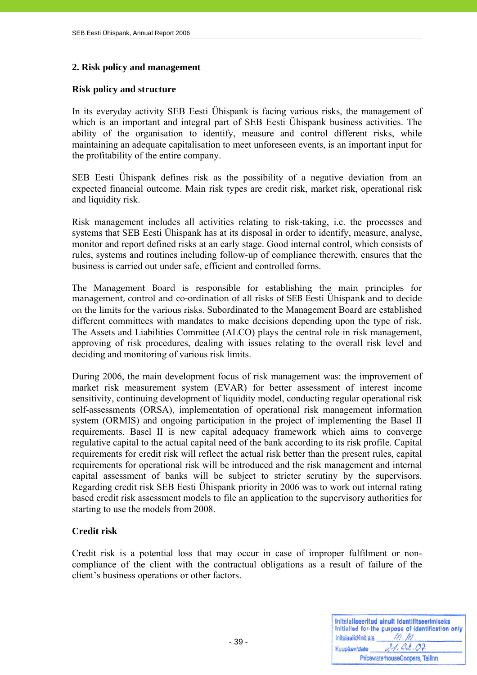# **2. Risk policy and management**

# **Risk policy and structure**

In its everyday activity SEB Eesti Ühispank is facing various risks, the management of which is an important and integral part of SEB Eesti Ühispank business activities. The ability of the organisation to identify, measure and control different risks, while maintaining an adequate capitalisation to meet unforeseen events, is an important input for the profitability of the entire company.

SEB Eesti Ühispank defines risk as the possibility of a negative deviation from an expected financial outcome. Main risk types are credit risk, market risk, operational risk and liquidity risk.

Risk management includes all activities relating to risk-taking, i.e. the processes and systems that SEB Eesti Ühispank has at its disposal in order to identify, measure, analyse, monitor and report defined risks at an early stage. Good internal control, which consists of rules, systems and routines including follow-up of compliance therewith, ensures that the business is carried out under safe, efficient and controlled forms.

The Management Board is responsible for establishing the main principles for management, control and co-ordination of all risks of SEB Eesti Ühispank and to decide on the limits for the various risks. Subordinated to the Management Board are established different committees with mandates to make decisions depending upon the type of risk. The Assets and Liabilities Committee (ALCO) plays the central role in risk management, approving of risk procedures, dealing with issues relating to the overall risk level and deciding and monitoring of various risk limits.

During 2006, the main development focus of risk management was: the improvement of market risk measurement system (EVAR) for better assessment of interest income sensitivity, continuing development of liquidity model, conducting regular operational risk self-assessments (ORSA), implementation of operational risk management information system (ORMIS) and ongoing participation in the project of implementing the Basel II requirements. Basel II is new capital adequacy framework which aims to converge regulative capital to the actual capital need of the bank according to its risk profile. Capital requirements for credit risk will reflect the actual risk better than the present rules, capital requirements for operational risk will be introduced and the risk management and internal capital assessment of banks will be subject to stricter scrutiny by the supervisors. Regarding credit risk SEB Eesti Ühispank priority in 2006 was to work out internal rating based credit risk assessment models to file an application to the supervisory authorities for starting to use the models from 2008.

# **Credit risk**

Credit risk is a potential loss that may occur in case of improper fulfilment or noncompliance of the client with the contractual obligations as a result of failure of the client's business operations or other factors.

| Initsiaalid/initials | Initsialiseeritud ainult identifitseerimiseks<br>Initialled for the purpose of identification only<br>m.m |
|----------------------|-----------------------------------------------------------------------------------------------------------|
| Kuupäev/date         | 24.02.07                                                                                                  |
|                      | PricewaterhouseCoopers, Tallinn                                                                           |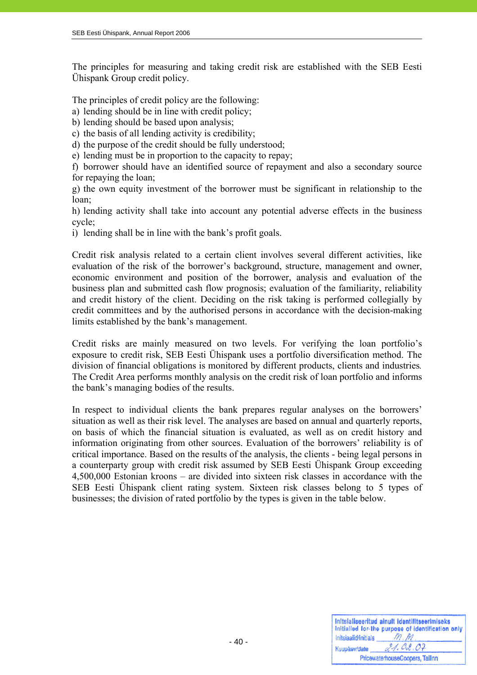The principles for measuring and taking credit risk are established with the SEB Eesti Ühispank Group credit policy.

The principles of credit policy are the following:

a) lending should be in line with credit policy;

b) lending should be based upon analysis;

c) the basis of all lending activity is credibility;

d) the purpose of the credit should be fully understood;

e) lending must be in proportion to the capacity to repay;

f) borrower should have an identified source of repayment and also a secondary source for repaying the loan;

g) the own equity investment of the borrower must be significant in relationship to the loan;

h) lending activity shall take into account any potential adverse effects in the business cycle;

i) lending shall be in line with the bank's profit goals.

Credit risk analysis related to a certain client involves several different activities, like evaluation of the risk of the borrower's background, structure, management and owner, economic environment and position of the borrower, analysis and evaluation of the business plan and submitted cash flow prognosis; evaluation of the familiarity, reliability and credit history of the client. Deciding on the risk taking is performed collegially by credit committees and by the authorised persons in accordance with the decision-making limits established by the bank's management.

Credit risks are mainly measured on two levels. For verifying the loan portfolio's exposure to credit risk, SEB Eesti Ühispank uses a portfolio diversification method. The division of financial obligations is monitored by different products, clients and industries*.*  The Credit Area performs monthly analysis on the credit risk of loan portfolio and informs the bank's managing bodies of the results.

In respect to individual clients the bank prepares regular analyses on the borrowers' situation as well as their risk level. The analyses are based on annual and quarterly reports, on basis of which the financial situation is evaluated, as well as on credit history and information originating from other sources. Evaluation of the borrowers' reliability is of critical importance. Based on the results of the analysis, the clients - being legal persons in a counterparty group with credit risk assumed by SEB Eesti Ühispank Group exceeding 4,500,000 Estonian kroons – are divided into sixteen risk classes in accordance with the SEB Eesti Ühispank client rating system. Sixteen risk classes belong to 5 types of businesses; the division of rated portfolio by the types is given in the table below.

| Initsiaalid/initials | initsialiseeritud ainult identifitseerimiseks<br>Initialled for the purpose of identification only<br>m.m |
|----------------------|-----------------------------------------------------------------------------------------------------------|
| Kuupäev/date         | 24.02.07                                                                                                  |
|                      | PricewaterhouseCoopers, Tallinn                                                                           |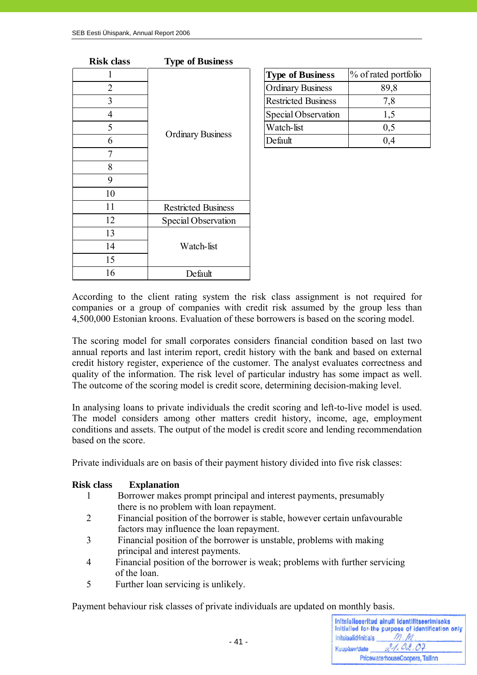| <b>Risk class</b> | <b>Type of Business</b>    |                            |               |
|-------------------|----------------------------|----------------------------|---------------|
| 1                 |                            | <b>Type of Business</b>    | % of rated po |
| $\overline{2}$    |                            | <b>Ordinary Business</b>   | 89,8          |
| 3                 |                            | <b>Restricted Business</b> | 7,8           |
| $\overline{4}$    |                            | Special Observation        | 1,5           |
| 5                 |                            | Watch-list                 | 0,5           |
| 6                 | <b>Ordinary Business</b>   | Default                    | 0,4           |
| 7                 |                            |                            |               |
| 8                 |                            |                            |               |
| 9                 |                            |                            |               |
| 10                |                            |                            |               |
| 11                | <b>Restricted Business</b> |                            |               |
| 12                | Special Observation        |                            |               |
| 13                |                            |                            |               |
| 14                | Watch-list                 |                            |               |
| 15                |                            |                            |               |
| 16                | Default                    |                            |               |

| % of rated portfolio |
|----------------------|
| 89,8                 |
| 7.8                  |
|                      |
| 0.5                  |
|                      |
|                      |

According to the client rating system the risk class assignment is not required for companies or a group of companies with credit risk assumed by the group less than 4,500,000 Estonian kroons. Evaluation of these borrowers is based on the scoring model.

The scoring model for small corporates considers financial condition based on last two annual reports and last interim report, credit history with the bank and based on external credit history register, experience of the customer. The analyst evaluates correctness and quality of the information. The risk level of particular industry has some impact as well. The outcome of the scoring model is credit score, determining decision-making level.

In analysing loans to private individuals the credit scoring and left-to-live model is used. The model considers among other matters credit history, income, age, employment conditions and assets. The output of the model is credit score and lending recommendation based on the score.

Private individuals are on basis of their payment history divided into five risk classes:

# **Risk class Explanation**

- 1 Borrower makes prompt principal and interest payments, presumably there is no problem with loan repayment.
- 2 Financial position of the borrower is stable, however certain unfavourable factors may influence the loan repayment.
- 3 Financial position of the borrower is unstable, problems with making principal and interest payments.
- 4 Financial position of the borrower is weak; problems with further servicing of the loan.
- 5 Further loan servicing is unlikely.

Payment behaviour risk classes of private individuals are updated on monthly basis.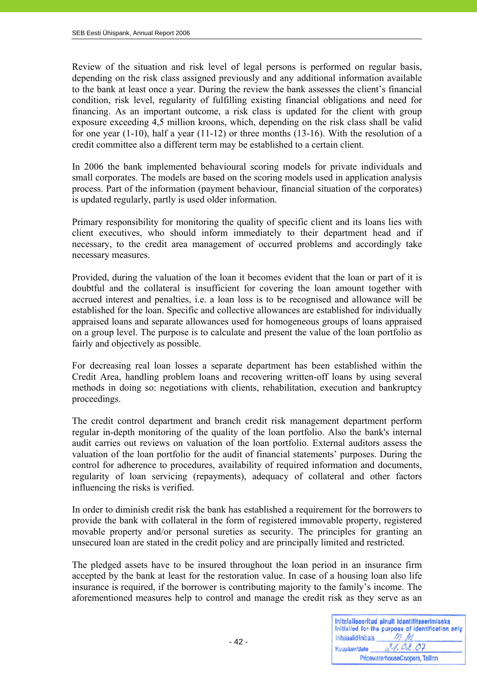Review of the situation and risk level of legal persons is performed on regular basis, depending on the risk class assigned previously and any additional information available to the bank at least once a year. During the review the bank assesses the client's financial condition, risk level, regularity of fulfilling existing financial obligations and need for financing. As an important outcome, a risk class is updated for the client with group exposure exceeding 4,5 million kroons, which, depending on the risk class shall be valid for one year (1-10), half a year (11-12) or three months (13-16). With the resolution of a credit committee also a different term may be established to a certain client.

In 2006 the bank implemented behavioural scoring models for private individuals and small corporates. The models are based on the scoring models used in application analysis process. Part of the information (payment behaviour, financial situation of the corporates) is updated regularly, partly is used older information.

Primary responsibility for monitoring the quality of specific client and its loans lies with client executives, who should inform immediately to their department head and if necessary, to the credit area management of occurred problems and accordingly take necessary measures.

Provided, during the valuation of the loan it becomes evident that the loan or part of it is doubtful and the collateral is insufficient for covering the loan amount together with accrued interest and penalties, i.e. a loan loss is to be recognised and allowance will be established for the loan. Specific and collective allowances are established for individually appraised loans and separate allowances used for homogeneous groups of loans appraised on a group level. The purpose is to calculate and present the value of the loan portfolio as fairly and objectively as possible.

For decreasing real loan losses a separate department has been established within the Credit Area, handling problem loans and recovering written-off loans by using several methods in doing so: negotiations with clients, rehabilitation, execution and bankruptcy proceedings.

The credit control department and branch credit risk management department perform regular in-depth monitoring of the quality of the loan portfolio. Also the bank's internal audit carries out reviews on valuation of the loan portfolio. External auditors assess the valuation of the loan portfolio for the audit of financial statements' purposes. During the control for adherence to procedures, availability of required information and documents, regularity of loan servicing (repayments), adequacy of collateral and other factors influencing the risks is verified.

In order to diminish credit risk the bank has established a requirement for the borrowers to provide the bank with collateral in the form of registered immovable property, registered movable property and/or personal sureties as security. The principles for granting an unsecured loan are stated in the credit policy and are principally limited and restricted.

The pledged assets have to be insured throughout the loan period in an insurance firm accepted by the bank at least for the restoration value. In case of a housing loan also life insurance is required, if the borrower is contributing majority to the family's income. The aforementioned measures help to control and manage the credit risk as they serve as an

| Initsiaalid/initials            | Initsialiseeritud ainuit identifitseerimiseks<br>Initialled for the purpose of identification only<br>m.m |  |
|---------------------------------|-----------------------------------------------------------------------------------------------------------|--|
| Kuupäev/date                    | 24.02.07                                                                                                  |  |
| PricewaterhouseCoopers, Tallinn |                                                                                                           |  |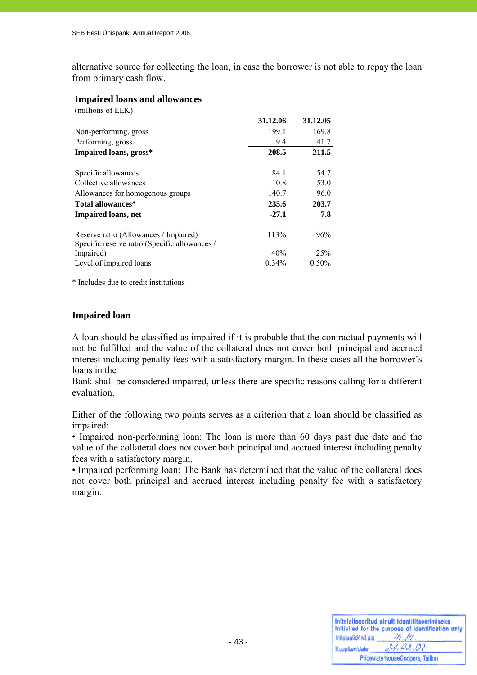alternative source for collecting the loan, in case the borrower is not able to repay the loan from primary cash flow.

# **Impaired loans and allowances**

| (millions of EEK)                             |          |          |
|-----------------------------------------------|----------|----------|
|                                               | 31.12.06 | 31.12.05 |
| Non-performing, gross                         | 199.1    | 169.8    |
| Performing, gross                             | 9.4      | 41.7     |
| Impaired loans, gross*                        | 208.5    | 211.5    |
| Specific allowances                           | 84.1     | 54.7     |
| Collective allowances                         | 10.8     | 53.0     |
| Allowances for homogenous groups              | 140.7    | 96.0     |
| Total allowances*                             | 235.6    | 203.7    |
| <b>Impaired loans, net</b>                    | $-27.1$  | 7.8      |
| Reserve ratio (Allowances / Impaired)         | 113%     | 96%      |
| Specific reserve ratio (Specific allowances / |          |          |
| Impaired)                                     | 40%      | 25%      |
| Level of impaired loans                       | 0.34%    | $0.50\%$ |

\* Includes due to credit institutions

# **Impaired loan**

A loan should be classified as impaired if it is probable that the contractual payments will not be fulfilled and the value of the collateral does not cover both principal and accrued interest including penalty fees with a satisfactory margin. In these cases all the borrower's loans in the

Bank shall be considered impaired, unless there are specific reasons calling for a different evaluation.

Either of the following two points serves as a criterion that a loan should be classified as impaired:

• Impaired non-performing loan: The loan is more than 60 days past due date and the value of the collateral does not cover both principal and accrued interest including penalty fees with a satisfactory margin.

• Impaired performing loan: The Bank has determined that the value of the collateral does not cover both principal and accrued interest including penalty fee with a satisfactory margin.

| Initsiaalid/initials | Initsialiseeritud ainult identifitseerimiseks<br>Initialled for the purpose of identification only<br>m. M |
|----------------------|------------------------------------------------------------------------------------------------------------|
| Kuupäev/date         | 24.02.07                                                                                                   |
|                      | PricewaterhouseCoopers, Tallinn                                                                            |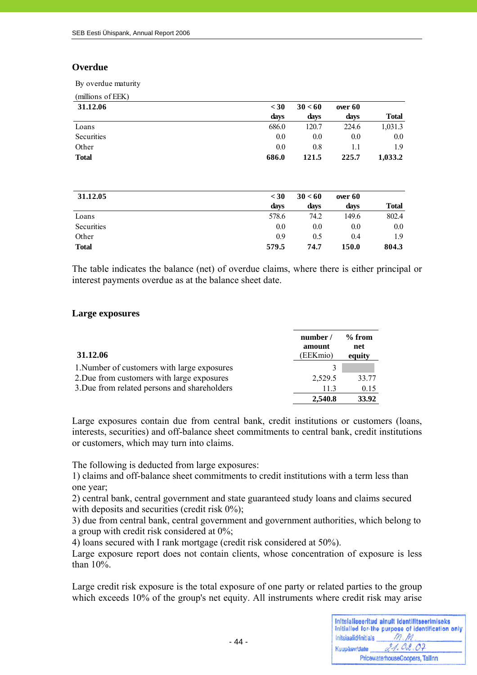# **Overdue**

By overdue maturity  $($  millions of  $($ 

| (millions of EEK) |        |         |         |              |
|-------------------|--------|---------|---------|--------------|
| 31.12.06          | $<$ 30 | 30 < 60 | over 60 |              |
|                   | days   | days    | days    | <b>Total</b> |
| Loans             | 686.0  | 120.7   | 224.6   | 1,031.3      |
| Securities        | 0.0    | 0.0     | 0.0     | 0.0          |
| Other             | 0.0    | 0.8     |         | 1.9          |
| <b>Total</b>      | 686.0  | 121.5   | 225.7   | 1,033.2      |

| 31.12.05     | $<$ 30 | 30 < 60 | over 60 |       |
|--------------|--------|---------|---------|-------|
|              | days   | davs    | days    | Total |
| Loans        | 578.6  | 74.2    | 149.6   | 802.4 |
| Securities   | 0.0    | 0.0     | 0.0     | 0.0   |
| Other        | 0.9    | 0.5     | 0.4     | 1.9   |
| <b>Total</b> | 579.5  | 74.7    | 150.0   | 804.3 |

The table indicates the balance (net) of overdue claims, where there is either principal or interest payments overdue as at the balance sheet date.

# **Large exposures**

| 31.12.06                                     | number/<br>amount<br>(EEKmio) | $%$ from<br>net<br>equity |
|----------------------------------------------|-------------------------------|---------------------------|
| 1. Number of customers with large exposures  | 3                             |                           |
| 2. Due from customers with large exposures   | 2,529.5                       | 33.77                     |
| 3. Due from related persons and shareholders | 11.3                          | 0.15                      |
|                                              | 2,540.8                       | 33.92                     |

Large exposures contain due from central bank, credit institutions or customers (loans, interests, securities) and off-balance sheet commitments to central bank, credit institutions or customers, which may turn into claims.

The following is deducted from large exposures:

1) claims and off-balance sheet commitments to credit institutions with a term less than one year;

2) central bank, central government and state guaranteed study loans and claims secured with deposits and securities (credit risk  $0\%$ );

3) due from central bank, central government and government authorities, which belong to a group with credit risk considered at 0%;

4) loans secured with I rank mortgage (credit risk considered at 50%).

Large exposure report does not contain clients, whose concentration of exposure is less than 10%.

Large credit risk exposure is the total exposure of one party or related parties to the group which exceeds 10% of the group's net equity. All instruments where credit risk may arise

| Initsiaalid/initials | initsialiseeritud ainult identifitseerimiseks<br>Initialled for the purpose of identification only<br>m.m |
|----------------------|-----------------------------------------------------------------------------------------------------------|
| Kuupäev/date         | 24.02.07                                                                                                  |
|                      | PricewaterhouseCoopers, Tallinn                                                                           |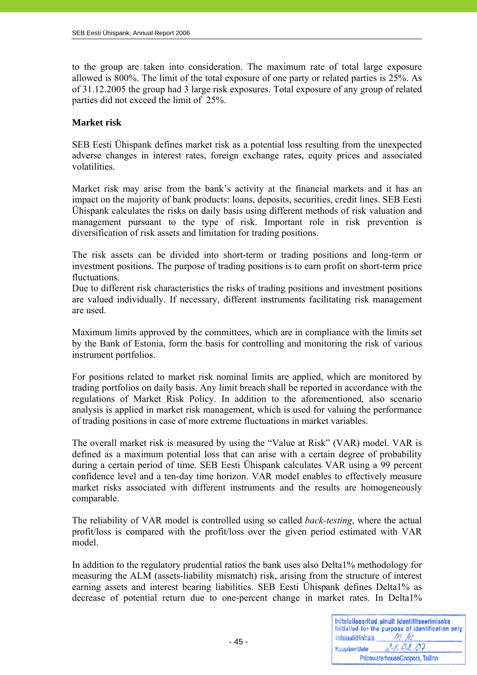to the group are taken into consideration. The maximum rate of total large exposure allowed is 800%. The limit of the total exposure of one party or related parties is 25%. As of 31.12.2005 the group had 3 large risk exposures. Total exposure of any group of related parties did not exceed the limit of 25%.

# **Market risk**

SEB Eesti Ühispank defines market risk as a potential loss resulting from the unexpected adverse changes in interest rates, foreign exchange rates, equity prices and associated volatilities.

Market risk may arise from the bank's activity at the financial markets and it has an impact on the majority of bank products: loans, deposits, securities, credit lines. SEB Eesti Ühispank calculates the risks on daily basis using different methods of risk valuation and management pursuant to the type of risk. Important role in risk prevention is diversification of risk assets and limitation for trading positions.

The risk assets can be divided into short-term or trading positions and long-term or investment positions. The purpose of trading positions is to earn profit on short-term price fluctuations.

Due to different risk characteristics the risks of trading positions and investment positions are valued individually. If necessary, different instruments facilitating risk management are used.

Maximum limits approved by the committees, which are in compliance with the limits set by the Bank of Estonia, form the basis for controlling and monitoring the risk of various instrument portfolios.

For positions related to market risk nominal limits are applied, which are monitored by trading portfolios on daily basis. Any limit breach shall be reported in accordance with the regulations of Market Risk Policy. In addition to the aforementioned, also scenario analysis is applied in market risk management, which is used for valuing the performance of trading positions in case of more extreme fluctuations in market variables.

The overall market risk is measured by using the "Value at Risk" (VAR) model. VAR is defined as a maximum potential loss that can arise with a certain degree of probability during a certain period of time. SEB Eesti Ühispank calculates VAR using a 99 percent confidence level and a ten-day time horizon. VAR model enables to effectively measure market risks associated with different instruments and the results are homogeneously comparable.

The reliability of VAR model is controlled using so called *back-testing*, where the actual profit/loss is compared with the profit/loss over the given period estimated with VAR model.

In addition to the regulatory prudential ratios the bank uses also Delta1% methodology for measuring the ALM (assets-liability mismatch) risk, arising from the structure of interest earning assets and interest bearing liabilities. SEB Eesti Ühispank defines Delta1% as decrease of potential return due to one-percent change in market rates. In Delta1%

| Initsiaalid/initials | Initsialiseeritud ainuit identifitseerimiseks<br>Initialled for the purpose of identification only<br>m.m |
|----------------------|-----------------------------------------------------------------------------------------------------------|
| Kuupäev/date         | 24.02.07                                                                                                  |
|                      | PricewaterhouseCoopers, Tallinn                                                                           |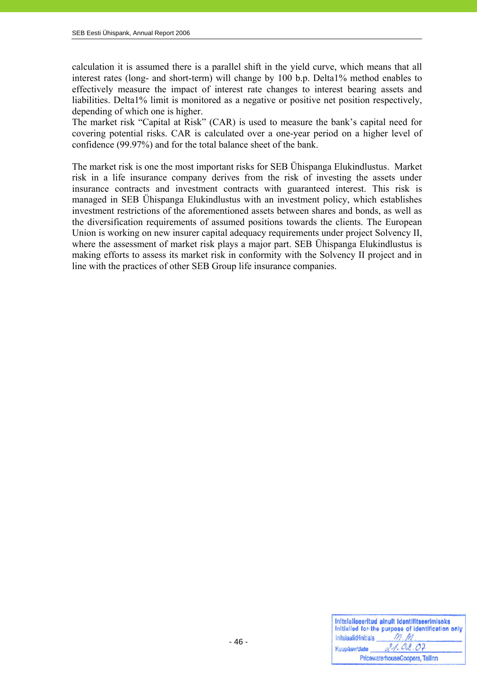calculation it is assumed there is a parallel shift in the yield curve, which means that all interest rates (long- and short-term) will change by 100 b.p. Delta1% method enables to effectively measure the impact of interest rate changes to interest bearing assets and liabilities. Delta1% limit is monitored as a negative or positive net position respectively, depending of which one is higher.

The market risk "Capital at Risk" (CAR) is used to measure the bank's capital need for covering potential risks. CAR is calculated over a one-year period on a higher level of confidence (99.97%) and for the total balance sheet of the bank.

The market risk is one the most important risks for SEB Ühispanga Elukindlustus. Market risk in a life insurance company derives from the risk of investing the assets under insurance contracts and investment contracts with guaranteed interest. This risk is managed in SEB Ühispanga Elukindlustus with an investment policy, which establishes investment restrictions of the aforementioned assets between shares and bonds, as well as the diversification requirements of assumed positions towards the clients. The European Union is working on new insurer capital adequacy requirements under project Solvency II, where the assessment of market risk plays a major part. SEB Ühispanga Elukindlustus is making efforts to assess its market risk in conformity with the Solvency II project and in line with the practices of other SEB Group life insurance companies.

| Initsiaalid/initials | initsialiseeritud ainult identifitseerimiseks<br>Initialled for the purpose of identification only<br>m.m |
|----------------------|-----------------------------------------------------------------------------------------------------------|
| Kuupäev/date         | 24.02.07                                                                                                  |
|                      | PricewaterhouseCoopers, Tallinn                                                                           |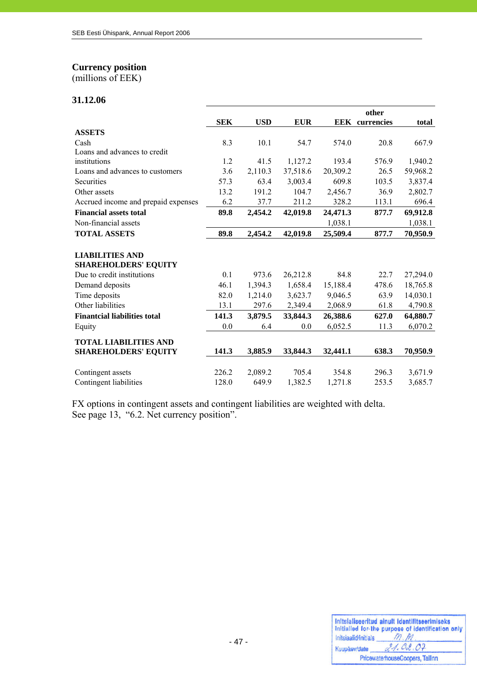# **Currency position**

(millions of EEK)

# **31.12.06**

|                                                             |            |            |            |          | other                 |          |
|-------------------------------------------------------------|------------|------------|------------|----------|-----------------------|----------|
|                                                             | <b>SEK</b> | <b>USD</b> | <b>EUR</b> |          | <b>EEK</b> currencies | total    |
| <b>ASSETS</b>                                               |            |            |            |          |                       |          |
| Cash                                                        | 8.3        | 10.1       | 54.7       | 574.0    | 20.8                  | 667.9    |
| Loans and advances to credit                                |            |            |            |          |                       |          |
| institutions                                                | 1.2        | 41.5       | 1,127.2    | 193.4    | 576.9                 | 1,940.2  |
| Loans and advances to customers                             | 3.6        | 2,110.3    | 37,518.6   | 20,309.2 | 26.5                  | 59,968.2 |
| Securities                                                  | 57.3       | 63.4       | 3,003.4    | 609.8    | 103.5                 | 3,837.4  |
| Other assets                                                | 13.2       | 191.2      | 104.7      | 2,456.7  | 36.9                  | 2,802.7  |
| Accrued income and prepaid expenses                         | 6.2        | 37.7       | 211.2      | 328.2    | 113.1                 | 696.4    |
| <b>Financial assets total</b>                               | 89.8       | 2,454.2    | 42,019.8   | 24,471.3 | 877.7                 | 69,912.8 |
| Non-financial assets                                        |            |            |            | 1,038.1  |                       | 1,038.1  |
| <b>TOTAL ASSETS</b>                                         | 89.8       | 2,454.2    | 42,019.8   | 25,509.4 | 877.7                 | 70,950.9 |
| <b>LIABILITIES AND</b><br><b>SHAREHOLDERS' EQUITY</b>       |            |            |            |          |                       |          |
| Due to credit institutions                                  | 0.1        | 973.6      | 26,212.8   | 84.8     | 22.7                  | 27,294.0 |
| Demand deposits                                             | 46.1       | 1,394.3    | 1,658.4    | 15,188.4 | 478.6                 | 18,765.8 |
| Time deposits                                               | 82.0       | 1,214.0    | 3,623.7    | 9,046.5  | 63.9                  | 14,030.1 |
| Other liabilities                                           | 13.1       | 297.6      | 2,349.4    | 2,068.9  | 61.8                  | 4,790.8  |
| <b>Finantcial liabilities total</b>                         | 141.3      | 3,879.5    | 33,844.3   | 26,388.6 | 627.0                 | 64,880.7 |
| Equity                                                      | 0.0        | 6.4        | 0.0        | 6,052.5  | 11.3                  | 6,070.2  |
| <b>TOTAL LIABILITIES AND</b><br><b>SHAREHOLDERS' EQUITY</b> | 141.3      | 3,885.9    | 33,844.3   | 32,441.1 | 638.3                 | 70,950.9 |
|                                                             |            |            |            |          |                       |          |
| Contingent assets                                           | 226.2      | 2,089.2    | 705.4      | 354.8    | 296.3                 | 3,671.9  |
| Contingent liabilities                                      | 128.0      | 649.9      | 1,382.5    | 1,271.8  | 253.5                 | 3,685.7  |

FX options in contingent assets and contingent liabilities are weighted with delta. See page 13, "6.2. Net currency position".

| Initsiaalid/initials | initsialiseeritud ainult identifitseerimiseks<br>Initialled for the purpose of identification only<br>$m_{\cdot}m$ |
|----------------------|--------------------------------------------------------------------------------------------------------------------|
| Kuupäev/date         | 24.02.07                                                                                                           |
|                      | PricewaterhouseCoopers, Tallinn                                                                                    |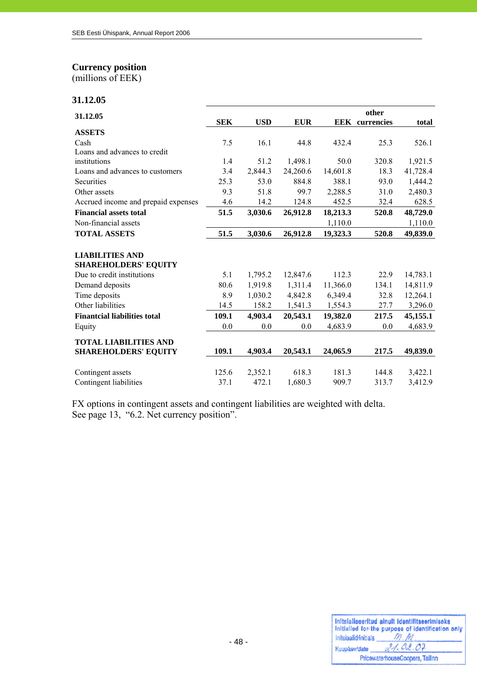# **Currency position**

(millions of EEK)

# **31.12.05**

| 31.12.05                            |            |            |            |            | other      |          |
|-------------------------------------|------------|------------|------------|------------|------------|----------|
|                                     | <b>SEK</b> | <b>USD</b> | <b>EUR</b> | <b>EEK</b> | currencies | total    |
| <b>ASSETS</b>                       |            |            |            |            |            |          |
| Cash                                | 7.5        | 16.1       | 44.8       | 432.4      | 25.3       | 526.1    |
| Loans and advances to credit        |            |            |            |            |            |          |
| institutions                        | 1.4        | 51.2       | 1,498.1    | 50.0       | 320.8      | 1,921.5  |
| Loans and advances to customers     | 3.4        | 2,844.3    | 24,260.6   | 14,601.8   | 18.3       | 41,728.4 |
| Securities                          | 25.3       | 53.0       | 884.8      | 388.1      | 93.0       | 1,444.2  |
| Other assets                        | 9.3        | 51.8       | 99.7       | 2,288.5    | 31.0       | 2,480.3  |
| Accrued income and prepaid expenses | 4.6        | 14.2       | 124.8      | 452.5      | 32.4       | 628.5    |
| <b>Financial assets total</b>       | 51.5       | 3,030.6    | 26,912.8   | 18,213.3   | 520.8      | 48,729.0 |
| Non-financial assets                |            |            |            | 1,110.0    |            | 1,110.0  |
| <b>TOTAL ASSETS</b>                 | 51.5       | 3,030.6    | 26,912.8   | 19,323.3   | 520.8      | 49,839.0 |
|                                     |            |            |            |            |            |          |
| <b>LIABILITIES AND</b>              |            |            |            |            |            |          |
| <b>SHAREHOLDERS' EQUITY</b>         |            |            |            |            |            |          |
| Due to credit institutions          | 5.1        | 1,795.2    | 12,847.6   | 112.3      | 22.9       | 14,783.1 |
| Demand deposits                     | 80.6       | 1,919.8    | 1,311.4    | 11,366.0   | 134.1      | 14,811.9 |
| Time deposits                       | 8.9        | 1,030.2    | 4,842.8    | 6,349.4    | 32.8       | 12,264.1 |
| Other liabilities                   | 14.5       | 158.2      | 1,541.3    | 1,554.3    | 27.7       | 3,296.0  |
| <b>Finantcial liabilities total</b> | 109.1      | 4,903.4    | 20,543.1   | 19,382.0   | 217.5      | 45,155.1 |
| Equity                              | 0.0        | 0.0        | 0.0        | 4,683.9    | 0.0        | 4,683.9  |
| <b>TOTAL LIABILITIES AND</b>        |            |            |            |            |            |          |
| <b>SHAREHOLDERS' EQUITY</b>         | 109.1      | 4,903.4    | 20,543.1   | 24,065.9   | 217.5      | 49,839.0 |
|                                     |            |            |            |            |            |          |
| Contingent assets                   | 125.6      | 2,352.1    | 618.3      | 181.3      | 144.8      | 3,422.1  |
| Contingent liabilities              | 37.1       | 472.1      | 1,680.3    | 909.7      | 313.7      | 3,412.9  |

FX options in contingent assets and contingent liabilities are weighted with delta. See page 13, "6.2. Net currency position".

| Initsiaalid/initials | Initsialiseeritud ainult identifitseerimiseks<br>Initialled for the purpose of identification only<br>m.m |
|----------------------|-----------------------------------------------------------------------------------------------------------|
| Kuupäev/date         | 24.02.07                                                                                                  |
|                      | PricewaterhouseCoopers, Tallinn                                                                           |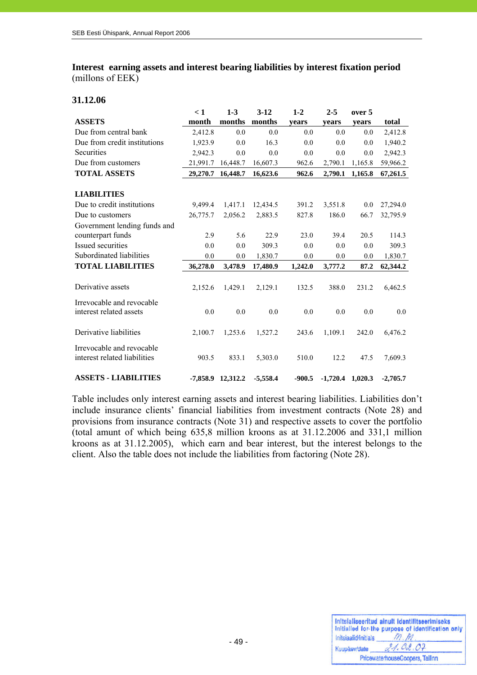**Interest earning assets and interest bearing liabilities by interest fixation period**  (millons of EEK)

# **31.12.06**

|                              | < 1      | $1 - 3$             | $3 - 12$   | $1 - 2$  | $2 - 5$            | over 5  |            |
|------------------------------|----------|---------------------|------------|----------|--------------------|---------|------------|
| <b>ASSETS</b>                | month    | months              | months     | vears    | vears              | vears   | total      |
| Due from central bank        | 2,412.8  | 0.0                 | 0.0        | 0.0      | 0.0                | 0.0     | 2,412.8    |
| Due from credit institutions | 1,923.9  | 0.0                 | 16.3       | 0.0      | 0.0                | 0.0     | 1,940.2    |
| Securities                   | 2,942.3  | 0.0                 | 0.0        | 0.0      | 0.0                | 0.0     | 2,942.3    |
| Due from customers           | 21,991.7 | 16,448.7            | 16,607.3   | 962.6    | 2,790.1            | 1,165.8 | 59,966.2   |
| <b>TOTAL ASSETS</b>          | 29,270.7 | 16,448.7            | 16,623.6   | 962.6    | 2,790.1            | 1,165.8 | 67,261.5   |
| <b>LIABILITIES</b>           |          |                     |            |          |                    |         |            |
| Due to credit institutions   | 9.499.4  | 1,417.1             | 12,434.5   | 391.2    | 3,551.8            | 0.0     | 27,294.0   |
| Due to customers             | 26,775.7 | 2,056.2             | 2,883.5    | 827.8    | 186.0              | 66.7    | 32,795.9   |
| Government lending funds and |          |                     |            |          |                    |         |            |
| counterpart funds            | 2.9      | 5.6                 | 22.9       | 23.0     | 39.4               | 20.5    | 114.3      |
| Issued securities            | 0.0      | 0.0                 | 309.3      | 0.0      | 0.0                | 0.0     | 309.3      |
| Subordinated liabilities     | 0.0      | 0.0                 | 1,830.7    | 0.0      | 0.0                | 0.0     | 1,830.7    |
| <b>TOTAL LIABILITIES</b>     | 36,278.0 | 3,478.9             | 17,480.9   | 1,242.0  | 3,777.2            | 87.2    | 62,344.2   |
|                              |          |                     |            |          |                    |         |            |
| Derivative assets            | 2,152.6  | 1,429.1             | 2,129.1    | 132.5    | 388.0              | 231.2   | 6,462.5    |
| Irrevocable and revocable    |          |                     |            |          |                    |         |            |
| interest related assets      | 0.0      | 0.0                 | 0.0        | 0.0      | 0.0                | 0.0     | 0.0        |
|                              |          |                     |            |          |                    |         |            |
| Derivative liabilities       | 2,100.7  | 1,253.6             | 1,527.2    | 243.6    | 1,109.1            | 242.0   | 6,476.2    |
| Irrevocable and revocable    |          |                     |            |          |                    |         |            |
| interest related liabilities | 903.5    | 833.1               | 5,303.0    | 510.0    | 12.2               | 47.5    | 7,609.3    |
|                              |          |                     |            |          |                    |         |            |
| <b>ASSETS - LIABILITIES</b>  |          | $-7,858.9$ 12,312.2 | $-5,558.4$ | $-900.5$ | $-1,720.4$ 1,020.3 |         | $-2,705.7$ |

Table includes only interest earning assets and interest bearing liabilities. Liabilities don't include insurance clients' financial liabilities from investment contracts (Note 28) and provisions from insurance contracts (Note 31) and respective assets to cover the portfolio (total amunt of which being 635,8 million kroons as at 31.12.2006 and 331,1 million kroons as at 31.12.2005), which earn and bear interest, but the interest belongs to the client. Also the table does not include the liabilities from factoring (Note 28).

| Initsiaalid/initials            | initsialiseeritud ainult identifitseerimiseks<br>Initialled for the purpose of identification only<br>m.m |  |  |  |  |  |
|---------------------------------|-----------------------------------------------------------------------------------------------------------|--|--|--|--|--|
| Kuupäev/date                    | 24.02.07                                                                                                  |  |  |  |  |  |
| PricewaterhouseCoopers, Tallinn |                                                                                                           |  |  |  |  |  |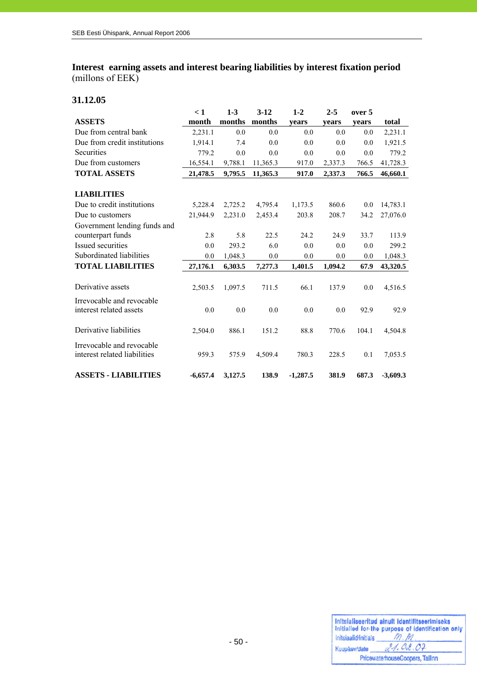**Interest earning assets and interest bearing liabilities by interest fixation period**  (millons of EEK)

# **31.12.05**

|                                                           | $\leq 1$   | $1 - 3$ | $3-12$   | $1 - 2$    | $2 - 5$ | over 5 |            |
|-----------------------------------------------------------|------------|---------|----------|------------|---------|--------|------------|
| <b>ASSETS</b>                                             | month      | months  | months   | vears      | vears   | vears  | total      |
| Due from central bank                                     | 2,231.1    | 0.0     | 0.0      | 0.0        | 0.0     | 0.0    | 2,231.1    |
| Due from credit institutions                              | 1,914.1    | 7.4     | 0.0      | 0.0        | 0.0     | 0.0    | 1,921.5    |
| Securities                                                | 779.2      | 0.0     | 0.0      | 0.0        | 0.0     | 0.0    | 779.2      |
| Due from customers                                        | 16,554.1   | 9,788.1 | 11,365.3 | 917.0      | 2,337.3 | 766.5  | 41,728.3   |
| <b>TOTAL ASSETS</b>                                       | 21,478.5   | 9,795.5 | 11,365.3 | 917.0      | 2,337.3 | 766.5  | 46,660.1   |
| <b>LIABILITIES</b>                                        |            |         |          |            |         |        |            |
| Due to credit institutions                                | 5,228.4    | 2,725.2 | 4,795.4  | 1,173.5    | 860.6   | 0.0    | 14,783.1   |
| Due to customers                                          | 21,944.9   | 2,231.0 | 2,453.4  | 203.8      | 208.7   | 34.2   | 27,076.0   |
| Government lending funds and<br>counterpart funds         | 2.8        | 5.8     | 22.5     | 24.2       | 24.9    | 33.7   | 113.9      |
| Issued securities                                         | 0.0        | 293.2   | 6.0      | 0.0        | 0.0     | 0.0    | 299.2      |
| Subordinated liabilities                                  | 0.0        | 1,048.3 | 0.0      | 0.0        | 0.0     | 0.0    | 1,048.3    |
| <b>TOTAL LIABILITIES</b>                                  | 27,176.1   | 6,303.5 | 7,277.3  | 1,401.5    | 1,094.2 | 67.9   | 43,320.5   |
| Derivative assets                                         | 2,503.5    | 1,097.5 | 711.5    | 66.1       | 137.9   | 0.0    | 4,516.5    |
| Irrevocable and revocable<br>interest related assets      | 0.0        | 0.0     | 0.0      | 0.0        | 0.0     | 92.9   | 92.9       |
| Derivative liabilities                                    | 2,504.0    | 886.1   | 151.2    | 88.8       | 770.6   | 104.1  | 4,504.8    |
| Irrevocable and revocable<br>interest related liabilities | 959.3      | 575.9   | 4,509.4  | 780.3      | 228.5   | 0.1    | 7,053.5    |
| <b>ASSETS - LIABILITIES</b>                               | $-6,657.4$ | 3,127.5 | 138.9    | $-1,287.5$ | 381.9   | 687.3  | $-3,609.3$ |

| Initsiaalid/initials | Initsialiseeritud ainult identifitseerimiseks<br>Initialled for the purpose of identification only<br>$m_{\cdot}m$ |
|----------------------|--------------------------------------------------------------------------------------------------------------------|
| Kuupäev/date         | 24.02.07                                                                                                           |
|                      | PricewaterhouseCoopers, Tallinn                                                                                    |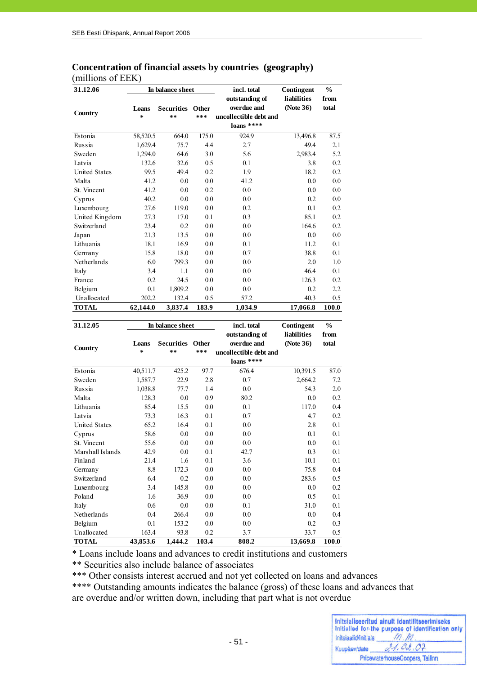| 31.12.06             |                 | In balance sheet                     |                                                                                              | incl. total | Contingent                      | $\frac{0}{0}$ |
|----------------------|-----------------|--------------------------------------|----------------------------------------------------------------------------------------------|-------------|---------------------------------|---------------|
| <b>Country</b>       | Loans<br>$\ast$ | <b>Securities</b><br>$\star$ $\star$ | outstanding of<br>overdue and<br><b>Other</b><br>uncollectible debt and<br>***<br>loans **** |             | <b>liabilities</b><br>(Note 36) | from<br>total |
| Estonia              | 58,520.5        | 664.0                                | 175.0                                                                                        | 924.9       | 13,496.8                        | 87.5          |
| Russia               | 1,629.4         | 75.7                                 | 4.4                                                                                          | 2.7         | 49.4                            | 2.1           |
| Sweden               | 1,294.0         | 64.6                                 | 3.0                                                                                          | 5.6         | 2,983.4                         | 5.2           |
| Latvia               | 132.6           | 32.6                                 | 0.5                                                                                          | 0.1         | 3.8                             | 0.2           |
| <b>United States</b> | 99.5            | 49.4                                 | 0.2                                                                                          | 1.9         | 18.2                            | 0.2           |
| Malta                | 41.2            | 0.0                                  | 0.0                                                                                          | 41.2        | 0.0                             | 0.0           |
| St. Vincent          | 41.2            | 0.0                                  | 0.2                                                                                          | 0.0         | 0.0                             | 0.0           |
| Cyprus               | 40.2            | 0.0                                  | 0.0                                                                                          | 0.0         | 0.2                             | 0.0           |
| Luxembourg           | 27.6            | 119.0                                | 0.0                                                                                          | 0.2         | 0.1                             | 0.2           |
| United Kingdom       | 27.3            | 17.0                                 | 0.1                                                                                          | 0.3         | 85.1                            | 0.2           |
| Switzerland          | 23.4            | 0.2                                  | 0.0                                                                                          | 0.0         | 164.6                           | 0.2           |
| Japan                | 21.3            | 13.5                                 | 0.0                                                                                          | 0.0         | 0.0                             | 0.0           |
| Lithuania            | 18.1            | 16.9                                 | 0.0                                                                                          | 0.1         | 11.2                            | 0.1           |
| Germany              | 15.8            | 18.0                                 | 0.0                                                                                          | 0.7         | 38.8                            | 0.1           |
| Netherlands          | 6.0             | 799.3                                | 0.0                                                                                          | 0.0         | 2.0                             | 1.0           |
| Italy                | 3.4             | 1.1                                  | 0.0                                                                                          | 0.0         | 46.4                            | 0.1           |
| France               | 0.2             | 24.5                                 | 0.0                                                                                          | 0.0         | 126.3                           | 0.2           |
| Belgium              | 0.1             | 1,809.2                              | 0.0                                                                                          | 0.0         | 0.2                             | 2.2           |
| Unallocated          | 202.2           | 132.4                                | 0.5                                                                                          | 57.2        | 40.3                            | 0.5           |
| <b>TOTAL</b>         | 62,144.0        | 3,837.4                              | 183.9                                                                                        | 1,034.9     | 17,066.8                        | 100.0         |

### **Concentration of financial assets by countries (geography)**  (millions of EEK)

| 31.12.05             | In balance sheet |                            | incl. total         | Contingent                                                            | $\frac{6}{9}$            |               |
|----------------------|------------------|----------------------------|---------------------|-----------------------------------------------------------------------|--------------------------|---------------|
| <b>Country</b>       | Loans<br>÷       | <b>Securities</b><br>$* *$ | <b>Other</b><br>*** | outstanding of<br>overdue and<br>uncollectible debt and<br>loans **** | liabilities<br>(Note 36) | from<br>total |
| Estonia              | 40,511.7         | 425.2                      | 97.7                | 676.4                                                                 | 10,391.5                 | 87.0          |
| Sweden               | 1,587.7          | 22.9                       | 2.8                 | 0.7                                                                   | 2,664.2                  | 7.2           |
| Russia               | 1,038.8          | 77.7                       | 1.4                 | 0.0                                                                   | 54.3                     | 2.0           |
| Malta                | 128.3            | 0.0                        | 0.9                 | 80.2                                                                  | 0.0                      | 0.2           |
| Lithuania            | 85.4             | 15.5                       | 0.0                 | 0.1                                                                   | 117.0                    | 0.4           |
| Latvia               | 73.3             | 16.3                       | 0.1                 | 0.7                                                                   | 4.7                      | 0.2           |
| <b>United States</b> | 65.2             | 16.4                       | 0.1                 | 0.0                                                                   | 2.8                      | 0.1           |
| Cyprus               | 58.6             | 0.0                        | 0.0                 | 0.0                                                                   | 0.1                      | 0.1           |
| St. Vincent          | 55.6             | 0.0                        | 0.0                 | 0.0                                                                   | 0.0                      | 0.1           |
| Marshall Islands     | 42.9             | 0.0                        | 0.1                 | 42.7                                                                  | 0.3                      | 0.1           |
| Finland              | 21.4             | 1.6                        | 0.1                 | 3.6                                                                   | 10.1                     | 0.1           |
| Germany              | 8.8              | 172.3                      | 0.0                 | 0.0                                                                   | 75.8                     | 0.4           |
| Switzerland          | 6.4              | 0.2                        | 0.0                 | 0.0                                                                   | 283.6                    | 0.5           |
| Luxembourg           | 3.4              | 145.8                      | 0.0                 | 0.0                                                                   | 0.0                      | 0.2           |
| Poland               | 1.6              | 36.9                       | 0.0                 | 0.0                                                                   | 0.5                      | 0.1           |
| Italy                | 0.6              | 0.0                        | 0.0                 | 0.1                                                                   | 31.0                     | 0.1           |
| Netherlands          | 0.4              | 266.4                      | 0.0                 | 0.0                                                                   | 0.0                      | 0.4           |
| Belgium              | 0.1              | 153.2                      | 0.0                 | 0.0                                                                   | 0.2                      | 0.3           |
| Unallocated          | 163.4            | 93.8                       | 0.2                 | 3.7                                                                   | 33.7                     | 0.5           |
| <b>TOTAL</b>         | 43,853.6         | 1,444.2                    | 103.4               | 808.2                                                                 | 13,669.8                 | 100.0         |

\* Loans include loans and advances to credit institutions and customers \*\* Securities also include balance of associates

\*\*\* Other consists interest accrued and not yet collected on loans and advances

\*\*\*\* Outstanding amounts indicates the balance (gross) of these loans and advances that are overdue and/or written down, including that part what is not overdue

| Initsiaalid/initials            | Initsialiseeritud ainult identifitseerimiseks<br>Initialled for the purpose of identification only<br>m.m |  |  |  |
|---------------------------------|-----------------------------------------------------------------------------------------------------------|--|--|--|
| Kuupäev/date                    | 24.02.07                                                                                                  |  |  |  |
| PricewaterhouseCoopers, Tallinn |                                                                                                           |  |  |  |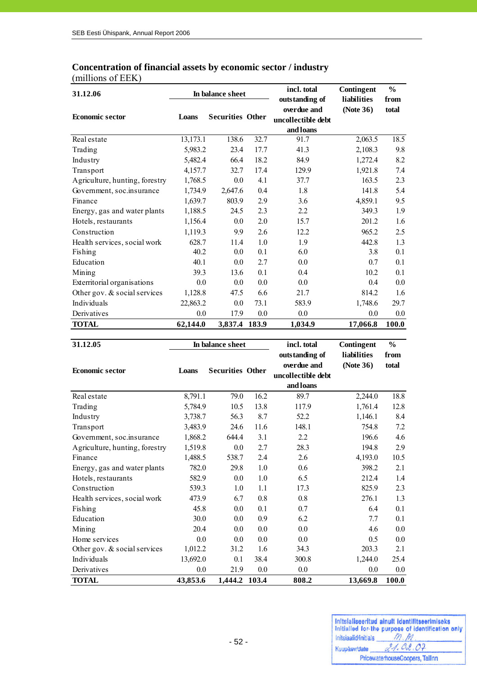| 31.12.06                       |          | In balance sheet        |      | incl. total<br>outstanding of     | Contingent<br>liabilities | $\%$<br>from |
|--------------------------------|----------|-------------------------|------|-----------------------------------|---------------------------|--------------|
| <b>Economic sector</b>         | Loans    | <b>Securities Other</b> |      | overdue and<br>uncollectible debt | (Note 36)                 | total        |
|                                |          |                         |      | and loans                         |                           |              |
| Real estate                    | 13,173.1 | 138.6                   | 32.7 | 91.7                              | 2,063.5                   | 18.5         |
| Trading                        | 5,983.2  | 23.4                    | 17.7 | 41.3                              | 2,108.3                   | 9.8          |
| Industry                       | 5,482.4  | 66.4                    | 18.2 | 84.9                              | 1,272.4                   | 8.2          |
| Transport                      | 4,157.7  | 32.7                    | 17.4 | 129.9                             | 1,921.8                   | 7.4          |
| Agriculture, hunting, forestry | 1,768.5  | $0.0\,$                 | 4.1  | 37.7                              | 163.5                     | 2.3          |
| Government, soc.insurance      | 1,734.9  | 2,647.6                 | 0.4  | 1.8                               | 141.8                     | 5.4          |
| Finance                        | 1,639.7  | 803.9                   | 2.9  | 3.6                               | 4,859.1                   | 9.5          |
| Energy, gas and water plants   | 1,188.5  | 24.5                    | 2.3  | 2.2                               | 349.3                     | 1.9          |
| Hotels, restaurants            | 1,156.4  | $0.0\,$                 | 2.0  | 15.7                              | 201.2                     | 1.6          |
| Construction                   | 1,119.3  | 9.9                     | 2.6  | 12.2                              | 965.2                     | 2.5          |
| Health services, social work   | 628.7    | 11.4                    | 1.0  | 1.9                               | 442.8                     | 1.3          |
| Fishing                        | 40.2     | $0.0\,$                 | 0.1  | 6.0                               | 3.8                       | 0.1          |
| Education                      | 40.1     | $0.0\,$                 | 2.7  | $0.0\,$                           | 0.7                       | 0.1          |
| Mining                         | 39.3     | 13.6                    | 0.1  | 0.4                               | 10.2                      | 0.1          |
| Exterritorial organisations    | 0.0      | $0.0\,$                 | 0.0  | 0.0                               | 0.4                       | 0.0          |
| Other gov. $&$ social services | 1,128.8  | 47.5                    | 6.6  | 21.7                              | 814.2                     | 1.6          |
| Individuals                    | 22,863.2 | 0.0                     | 73.1 | 583.9                             | 1,748.6                   | 29.7         |
| Derivatives                    | 0.0      | 17.9                    | 0.0  | 0.0                               | 0.0                       | 0.0          |
| <b>TOTAL</b>                   | 62,144.0 | 3,837.4 183.9           |      | 1,034.9                           | 17,066.8                  | 100.0        |

# **Concentration of financial assets by economic sector / industry**  (millions of EEK)

| 31.12.05                       |          | In balance sheet        |      | incl. total                                         | Contingent               | $\frac{6}{6}$ |
|--------------------------------|----------|-------------------------|------|-----------------------------------------------------|--------------------------|---------------|
| <b>Economic sector</b>         | Loans    | <b>Securities Other</b> |      | outstanding of<br>overdue and<br>uncollectible debt | liabilities<br>(Note 36) | from<br>total |
| Real estate                    | 8,791.1  | 79.0                    | 16.2 | and loans<br>89.7                                   | 2,244.0                  | 18.8          |
| Trading                        | 5,784.9  | 10.5                    | 13.8 | 117.9                                               | 1,761.4                  | 12.8          |
| Industry                       | 3,738.7  | 56.3                    | 8.7  | 52.2                                                | 1,146.1                  | 8.4           |
| Transport                      | 3,483.9  | 24.6                    | 11.6 | 148.1                                               | 754.8                    | 7.2           |
| Government, soc.insurance      | 1,868.2  | 644.4                   | 3.1  | 2.2                                                 | 196.6                    | 4.6           |
| Agriculture, hunting, forestry | 1,519.8  | $0.0\,$                 | 2.7  | 28.3                                                | 194.8                    | 2.9           |
| Finance                        | 1,488.5  | 538.7                   | 2.4  | 2.6                                                 | 4,193.0                  | 10.5          |
| Energy, gas and water plants   | 782.0    | 29.8                    | 1.0  | 0.6                                                 | 398.2                    | 2.1           |
| Hotels, restaurants            | 582.9    | $0.0\,$                 | 1.0  | 6.5                                                 | 212.4                    | 1.4           |
| Construction                   | 539.3    | 1.0                     | 1.1  | 17.3                                                | 825.9                    | 2.3           |
| Health services, social work   | 473.9    | 6.7                     | 0.8  | 0.8                                                 | 276.1                    | 1.3           |
| Fishing                        | 45.8     | $0.0\,$                 | 0.1  | 0.7                                                 | 6.4                      | 0.1           |
| Education                      | 30.0     | $0.0\,$                 | 0.9  | 6.2                                                 | 7.7                      | 0.1           |
| Mining                         | 20.4     | 0.0                     | 0.0  | 0.0                                                 | 4.6                      | 0.0           |
| Home services                  | 0.0      | 0.0                     | 0.0  | 0.0                                                 | 0.5                      | 0.0           |
| Other gov. $&$ social services | 1,012.2  | 31.2                    | 1.6  | 34.3                                                | 203.3                    | 2.1           |
| Individuals                    | 13,692.0 | 0.1                     | 38.4 | 300.8                                               | 1,244.0                  | 25.4          |
| Derivatives                    | 0.0      | 21.9                    | 0.0  | 0.0                                                 | 0.0                      | 0.0           |
| <b>TOTAL</b>                   | 43,853.6 | 1,444.2 103.4           |      | 808.2                                               | 13,669.8                 | 100.0         |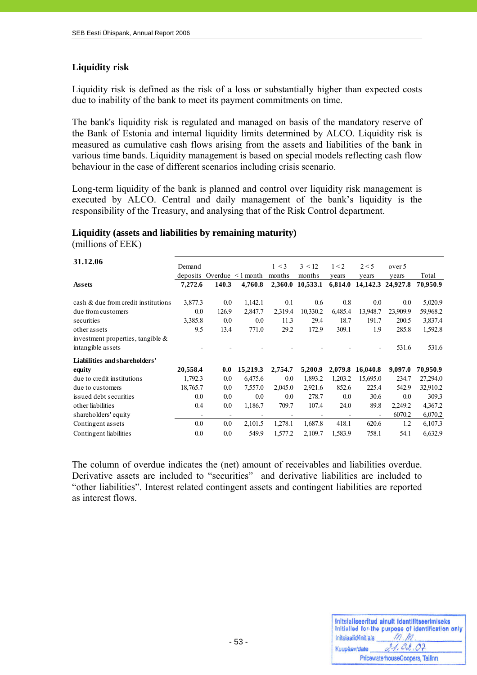# **Liquidity risk**

Liquidity risk is defined as the risk of a loss or substantially higher than expected costs due to inability of the bank to meet its payment commitments on time.

The bank's liquidity risk is regulated and managed on basis of the mandatory reserve of the Bank of Estonia and internal liquidity limits determined by ALCO. Liquidity risk is measured as cumulative cash flows arising from the assets and liabilities of the bank in various time bands. Liquidity management is based on special models reflecting cash flow behaviour in the case of different scenarios including crisis scenario.

Long-term liquidity of the bank is planned and control over liquidity risk management is executed by ALCO. Central and daily management of the bank's liquidity is the responsibility of the Treasury, and analysing that of the Risk Control department.

# **Liquidity (assets and liabilities by remaining maturity)**

(millions of EEK)

| 31.12.06                             | Demand                   |                          |                        | 1 < 3   | 3 < 12                   | 1 < 2   |                          |          |          |
|--------------------------------------|--------------------------|--------------------------|------------------------|---------|--------------------------|---------|--------------------------|----------|----------|
|                                      | deposits                 |                          | Overdue $\leq 1$ month | months  | months                   |         | 2 < 5                    | over 5   | Total    |
|                                      |                          | 140.3                    |                        |         |                          | vears   | years                    | years    |          |
| Assets                               | 7,272.6                  |                          | 4,760.8                |         | 2,360.0 10,533.1         | 6,814.0 | 14,142.3                 | 24,927.8 | 70,950.9 |
| cash & due from credit institutions  | 3,877.3                  | $0.0\,$                  | 1,142.1                | 0.1     | 0.6                      | 0.8     | 0.0                      | $0.0\,$  | 5,020.9  |
| due from customers                   | 0.0                      | 126.9                    | 2,847.7                | 2,319.4 | 10,330.2                 | 6,485.4 | 13,948.7                 | 23,909.9 | 59,968.2 |
| securities                           | 3,385.8                  | 0.0                      | 0.0                    | 11.3    | 29.4                     | 18.7    | 191.7                    | 200.5    | 3,837.4  |
| other assets                         | 9.5                      | 13.4                     | 771.0                  | 29.2    | 172.9                    | 309.1   | 1.9                      | 285.8    | 1,592.8  |
| investment properties, tangible $\&$ |                          |                          |                        |         |                          |         |                          |          |          |
| intangible assets                    |                          |                          |                        |         |                          |         |                          | 531.6    | 531.6    |
| Liabilities and shareholders'        |                          |                          |                        |         |                          |         |                          |          |          |
| equity                               | 20,558.4                 | 0.0                      | 15,219.3               | 2,754.7 | 5,200.9                  | 2,079.8 | 16,040.8                 | 9,097.0  | 70,950.9 |
| due to credit institutions           | 1,792.3                  | $0.0\,$                  | 6,475.6                | 0.0     | 1,893.2                  | 1,203.2 | 15,695.0                 | 234.7    | 27,294.0 |
| due to customers                     | 18,765.7                 | $0.0\,$                  | 7,557.0                | 2,045.0 | 2,921.6                  | 852.6   | 225.4                    | 542.9    | 32,910.2 |
| issued debt securities               | 0.0                      | $0.0\,$                  | 0.0                    | 0.0     | 278.7                    | $0.0\,$ | 30.6                     | 0.0      | 309.3    |
| other liabilities                    | 0.4                      | $0.0\,$                  | 1,186.7                | 709.7   | 107.4                    | 24.0    | 89.8                     | 2,249.2  | 4,367.2  |
| shareholders' equity                 | $\overline{\phantom{0}}$ | $\overline{\phantom{a}}$ |                        |         | $\overline{\phantom{a}}$ |         | $\overline{\phantom{a}}$ | 6070.2   | 6,070.2  |
| Contingent assets                    | 0.0                      | 0.0                      | 2,101.5                | 1,278.1 | 1,687.8                  | 418.1   | 620.6                    | 1.2      | 6,107.3  |
| Contingent liabilities               | 0.0                      | 0.0                      | 549.9                  | 1,577.2 | 2,109.7                  | 1,583.9 | 758.1                    | 54.1     | 6,632.9  |

The column of overdue indicates the (net) amount of receivables and liabilities overdue. Derivative assets are included to "securities" and derivative liabilities are included to "other liabilities". Interest related contingent assets and contingent liabilities are reported as interest flows.

| Initsiaalid/initials            | Initsialiseeritud ainult identifitseerimiseks<br>Initialled for the purpose of identification only<br>m.m |  |  |  |
|---------------------------------|-----------------------------------------------------------------------------------------------------------|--|--|--|
| Kuupäev/date                    | 24.02.07                                                                                                  |  |  |  |
| PricewaterhouseCoopers, Tallinn |                                                                                                           |  |  |  |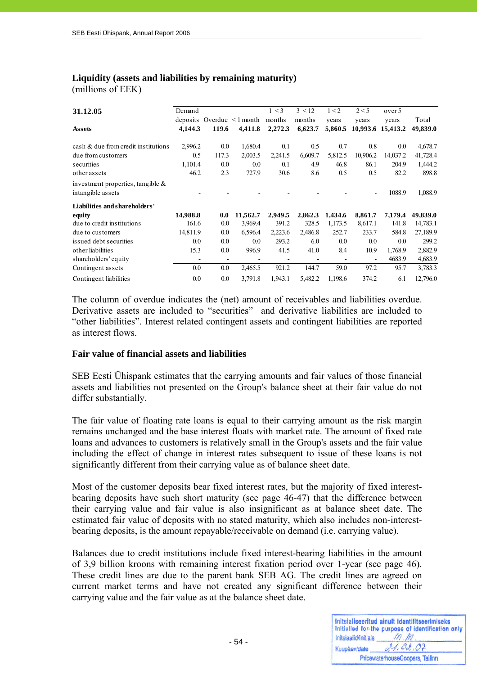# **Liquidity (assets and liabilities by remaining maturity)**

(millions of EEK)

| 31.12.05                                                  | Demand   |         |                        | 1 < 3   | 3 < 12  | 1 < 2   | 2 < 5                    | over 5   |          |
|-----------------------------------------------------------|----------|---------|------------------------|---------|---------|---------|--------------------------|----------|----------|
|                                                           | deposits |         | Overdue $\leq 1$ month | months  | months  | years   | years                    | years    | Total    |
| <b>Assets</b>                                             | 4,144.3  | 119.6   | 4,411.8                | 2,272.3 | 6,623.7 | 5,860.5 | 10,993.6 15,413.2        |          | 49,839.0 |
| cash & due from credit institutions                       | 2,996.2  | $0.0\,$ | 1,680.4                | 0.1     | 0.5     | 0.7     | 0.8                      | $0.0\,$  | 4,678.7  |
| due from customers                                        | 0.5      | 117.3   | 2,003.5                | 2,241.5 | 6,609.7 | 5,812.5 | 10,906.2                 | 14,037.2 | 41,728.4 |
| securities                                                | 1,101.4  | $0.0\,$ | 0.0                    | 0.1     | 4.9     | 46.8    | 86.1                     | 204.9    | 1,444.2  |
| other assets                                              | 46.2     | 2.3     | 727.9                  | 30.6    | 8.6     | 0.5     | 0.5                      | 82.2     | 898.8    |
| investment properties, tangible $\&$<br>intangible assets |          |         |                        |         |         |         |                          | 1088.9   | 1,088.9  |
| Liabilities and shareholders'                             |          |         |                        |         |         |         |                          |          |          |
| equity                                                    | 14,988.8 | 0.0     | 11,562.7               | 2,949.5 | 2,862.3 | 1,434.6 | 8,861.7                  | 7,179.4  | 49,839.0 |
| due to credit institutions                                | 161.6    | $0.0\,$ | 3,969.4                | 391.2   | 328.5   | 1,173.5 | 8,617.1                  | 141.8    | 14,783.1 |
| due to customers                                          | 14,811.9 | $0.0\,$ | 6,596.4                | 2,223.6 | 2,486.8 | 252.7   | 233.7                    | 584.8    | 27,189.9 |
| issued debt securities                                    | 0.0      | 0.0     | 0.0                    | 293.2   | 6.0     | 0.0     | $0.0\,$                  | 0.0      | 299.2    |
| other liabilities                                         | 15.3     | 0.0     | 996.9                  | 41.5    | 41.0    | 8.4     | 10.9                     | 1,768.9  | 2,882.9  |
| shareholders' equity                                      |          | ۰       |                        |         | ۰       | ٠       | $\overline{\phantom{a}}$ | 4683.9   | 4,683.9  |
| Contingent assets                                         | 0.0      | 0.0     | 2,465.5                | 921.2   | 144.7   | 59.0    | 97.2                     | 95.7     | 3,783.3  |
| Contingent liabilities                                    | 0.0      | 0.0     | 3.791.8                | 1.943.1 | 5,482.2 | 1.198.6 | 374.2                    | 6.1      | 12,796.0 |

The column of overdue indicates the (net) amount of receivables and liabilities overdue. Derivative assets are included to "securities" and derivative liabilities are included to "other liabilities". Interest related contingent assets and contingent liabilities are reported as interest flows.

# **Fair value of financial assets and liabilities**

SEB Eesti Ühispank estimates that the carrying amounts and fair values of those financial assets and liabilities not presented on the Group's balance sheet at their fair value do not differ substantially.

The fair value of floating rate loans is equal to their carrying amount as the risk margin remains unchanged and the base interest floats with market rate. The amount of fixed rate loans and advances to customers is relatively small in the Group's assets and the fair value including the effect of change in interest rates subsequent to issue of these loans is not significantly different from their carrying value as of balance sheet date.

Most of the customer deposits bear fixed interest rates, but the majority of fixed interestbearing deposits have such short maturity (see page 46-47) that the difference between their carrying value and fair value is also insignificant as at balance sheet date. The estimated fair value of deposits with no stated maturity, which also includes non-interestbearing deposits, is the amount repayable/receivable on demand (i.e. carrying value).

Balances due to credit institutions include fixed interest-bearing liabilities in the amount of 3,9 billion kroons with remaining interest fixation period over 1-year (see page 46). These credit lines are due to the parent bank SEB AG. The credit lines are agreed on current market terms and have not created any significant difference between their carrying value and the fair value as at the balance sheet date.

| Initsiaalid/initials            | Initsialiseeritud ainult identifitseerimiseks<br>Initialled for the purpose of identification only<br>m. M |  |  |  |
|---------------------------------|------------------------------------------------------------------------------------------------------------|--|--|--|
| Kuupäev/date                    | 24.02.07                                                                                                   |  |  |  |
| PricewaterhouseCoopers, Tallinn |                                                                                                            |  |  |  |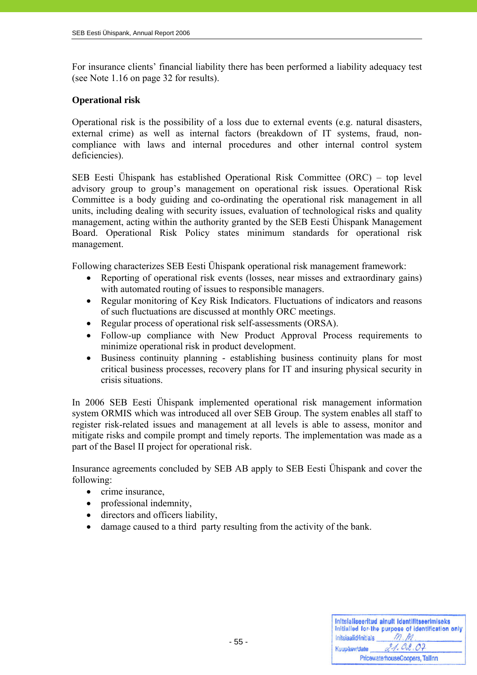For insurance clients' financial liability there has been performed a liability adequacy test (see Note 1.16 on page 32 for results).

# **Operational risk**

Operational risk is the possibility of a loss due to external events (e.g. natural disasters, external crime) as well as internal factors (breakdown of IT systems, fraud, noncompliance with laws and internal procedures and other internal control system deficiencies).

SEB Eesti Ühispank has established Operational Risk Committee (ORC) – top level advisory group to group's management on operational risk issues. Operational Risk Committee is a body guiding and co-ordinating the operational risk management in all units, including dealing with security issues, evaluation of technological risks and quality management, acting within the authority granted by the SEB Eesti Ühispank Management Board. Operational Risk Policy states minimum standards for operational risk management.

Following characterizes SEB Eesti Ühispank operational risk management framework:

- Reporting of operational risk events (losses, near misses and extraordinary gains) with automated routing of issues to responsible managers.
- Regular monitoring of Key Risk Indicators. Fluctuations of indicators and reasons of such fluctuations are discussed at monthly ORC meetings.
- Regular process of operational risk self-assessments (ORSA).
- Follow-up compliance with New Product Approval Process requirements to minimize operational risk in product development.
- Business continuity planning establishing business continuity plans for most critical business processes, recovery plans for IT and insuring physical security in crisis situations.

In 2006 SEB Eesti Ühispank implemented operational risk management information system ORMIS which was introduced all over SEB Group. The system enables all staff to register risk-related issues and management at all levels is able to assess, monitor and mitigate risks and compile prompt and timely reports. The implementation was made as a part of the Basel II project for operational risk.

Insurance agreements concluded by SEB AB apply to SEB Eesti Ühispank and cover the following:

- crime insurance,
- professional indemnity,
- directors and officers liability,
- damage caused to a third party resulting from the activity of the bank.

| Initsiaalid/initials            | Initsialiseeritud ainult identifitseerimiseks<br>Initialled for the purpose of identification only<br>m.m |  |  |  |
|---------------------------------|-----------------------------------------------------------------------------------------------------------|--|--|--|
| Kuupäev/date                    | 24.02.07                                                                                                  |  |  |  |
| PricewaterhouseCoopers, Tallinn |                                                                                                           |  |  |  |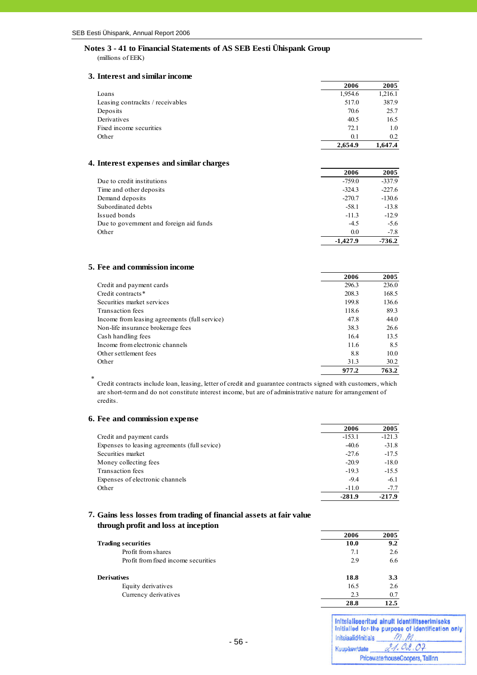### **Notes 3 - 41 to Financial Statements of AS SEB Eesti Ühispank Group** (millions of EEK)

#### **3.** Interest and similar income

|                                  | 2006    | 2005    |
|----------------------------------|---------|---------|
| Loans                            | 1,954.6 | 1,216.1 |
| Leasing contrackts / receivables | 517.0   | 387.9   |
| Deposits                         | 70.6    | 25.7    |
| Derivatives                      | 40.5    | 16.5    |
| Fixed income securities          | 72.1    | 1.0     |
| Other                            | 0.1     | 0.2     |
|                                  | 2.654.9 | 1.647.4 |

#### **4.** Interest expenses and similar charges

|                                         | 2006       | 2005     |
|-----------------------------------------|------------|----------|
| Due to credit institutions              | $-759.0$   | $-337.9$ |
| Time and other deposits                 | $-324.3$   | $-227.6$ |
| Demand deposits                         | $-270.7$   | $-130.6$ |
| Subordinated debts                      | $-58.1$    | $-13.8$  |
| Issued bonds                            | $-11.3$    | $-12.9$  |
| Due to government and foreign aid funds | $-4.5$     | $-5.6$   |
| Other                                   | 0.0        | $-7.8$   |
|                                         | $-1.427.9$ | $-736.2$ |

#### **5. Fee and commission income**

|                                               | 2006  | 2005  |
|-----------------------------------------------|-------|-------|
| Credit and payment cards                      | 296.3 | 236.0 |
| Credit contracts*                             | 208.3 | 168.5 |
| Securities market services                    | 199.8 | 136.6 |
| Transaction fees                              | 118.6 | 89.3  |
| Income from leasing agreements (full service) | 47.8  | 44.0  |
| Non-life insurance brokerage fees             | 38.3  | 26.6  |
| Cash handling fees                            | 16.4  | 13.5  |
| Income from electronic channels               | 11.6  | 8.5   |
| Other settlement fees                         | 8.8   | 10.0  |
| Other                                         | 31.3  | 30.2  |
|                                               | 977.2 | 763.2 |

\* Credit contracts include loan, leasing, letter of credit and guarantee contracts signed with customers, which are short-term and do not constitute interest income, but are of administrative nature for arrangement of credits.

#### **6. Fee and commission expense**

|                                              | 2006     | 2005     |
|----------------------------------------------|----------|----------|
| Credit and payment cards                     | $-153.1$ | $-121.3$ |
| Expenses to leasing agreements (full sevice) | $-40.6$  | $-31.8$  |
| Securities market                            | $-27.6$  | $-17.5$  |
| Money collecting fees                        | $-20.9$  | $-18.0$  |
| Transaction fees                             | $-19.3$  | $-15.5$  |
| Expenses of electronic channels              | $-9.4$   | $-6.1$   |
| Other                                        | $-11.0$  | $-7.7$   |
|                                              | $-281.9$ | $-217.9$ |

### **7. Gains less losses from trading of financial assets at fair value through profit and loss at inception**

|                                     | 2006 | 2005             |
|-------------------------------------|------|------------------|
| <b>Trading securities</b>           | 10.0 | 9.2              |
| Profit from shares                  | 7.1  | 2.6              |
| Profit from fixed income securities | 2.9  | 6.6              |
| <b>Derivatives</b>                  | 18.8 | 3.3 <sub>1</sub> |
| Equity derivatives                  | 16.5 | 2.6              |
| Currency derivatives                | 2.3  | 0.7              |
|                                     | 28.8 | 12.5             |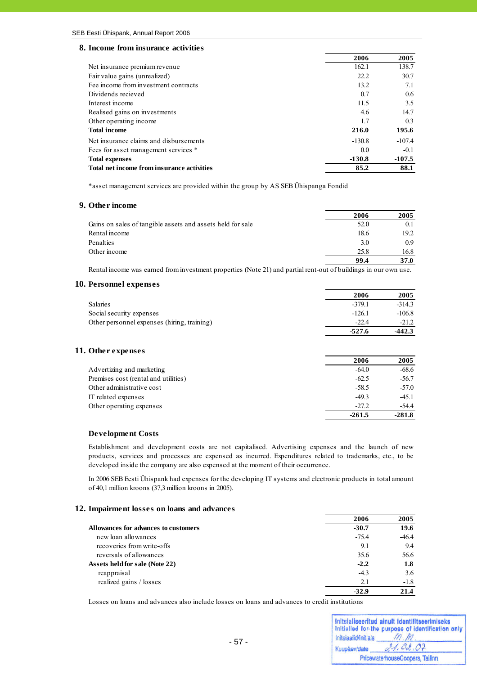#### **8.** Income from insurance activities

|                                            | 2006     | 2005     |
|--------------------------------------------|----------|----------|
| Net insurance premium revenue              | 162.1    | 138.7    |
| Fair value gains (unrealized)              | 22.2     | 30.7     |
| Fee income from investment contracts       | 13.2     | 7.1      |
| Dividends recieved                         | 0.7      | 0.6      |
| Interest income                            | 11.5     | 3.5      |
| Realised gains on investments              | 4.6      | 14.7     |
| Other operating income                     | 1.7      | 0.3      |
| <b>Total income</b>                        | 216.0    | 195.6    |
| Net insurance claims and disbursements     | $-130.8$ | $-107.4$ |
| Fees for asset management services *       | 0.0      | $-0.1$   |
| <b>Total expenses</b>                      | $-130.8$ | $-107.5$ |
| Total net income from insurance activities | 85.2     | 88.1     |

\*asset management services are provided within the group by AS SEB Ühispanga Fondid

#### **9.** Other income

|                                                            | 2006 | 2005 |
|------------------------------------------------------------|------|------|
| Gains on sales of tangible assets and assets held for sale | 52.0 | 0.1  |
| Rental income                                              | 18.6 | 19.2 |
| Penalties                                                  | 3.0  | 0.9  |
| Other income                                               | 25.8 | 16.8 |
|                                                            | 99.4 | 37.0 |

Rental income was earned from investment properties (Note 21) and partial rent-out of buildings in our own use.

#### **10. Personnel expenses**

|                                             | 2006     | 2005     |
|---------------------------------------------|----------|----------|
| <b>Salaries</b>                             | $-379.1$ | $-314.3$ |
| Social security expenses                    | $-126.1$ | $-106.8$ |
| Other personnel expenses (hiring, training) | $-22.4$  | $-21.2$  |
|                                             | $-527.6$ | $-442.3$ |

#### 11. Other expenses

|                                      | 2006     | 2005     |
|--------------------------------------|----------|----------|
| Advertizing and marketing            | $-64.0$  | $-68.6$  |
| Premises cost (rental and utilities) | $-62.5$  | $-56.7$  |
| Other administrative cost            | $-58.5$  | $-57.0$  |
| IT related expenses                  | $-49.3$  | $-45.1$  |
| Other operating expenses             | $-27.2$  | $-54.4$  |
|                                      | $-261.5$ | $-281.8$ |

#### **Development Costs**

Establishment and development costs are not capitalised. Advertising expenses and the launch of new products, services and processes are expensed as incurred. Expenditures related to trademarks, etc., to be developed inside the company are also expensed at the moment of their occurrence.

In 2006 SEB Eesti Ühispank had expenses for the developing IT systems and electronic products in total amount of 40,1 million kroons (37,3 million kroons in 2005).

#### 12. **Impairment losses on loans and advances**

|                                      | 2006    | 2005    |
|--------------------------------------|---------|---------|
| Allowances for advances to customers | $-30.7$ | 19.6    |
| new loan allowances                  | $-75.4$ | $-46.4$ |
| recoveries from write-offs           | 9.1     | 9.4     |
| reversals of allowances              | 35.6    | 56.6    |
| Assets held for sale (Note 22)       | $-2.2$  | 1.8     |
| reappraisal                          | $-4.3$  | 3.6     |
| realized gains / losses              | 2.1     | $-1.8$  |
|                                      | $-32.9$ |         |

Losses on loans and advances also include losses on loans and advances to credit institutions

| Initsiaalid/initials            | initsialiseeritud ainult identifitseerimiseks<br>Initialled for the purpose of identification only<br>m. M |
|---------------------------------|------------------------------------------------------------------------------------------------------------|
| Kuupäev/date                    | 24.02.07                                                                                                   |
| PricewaterhouseCoopers, Tallinn |                                                                                                            |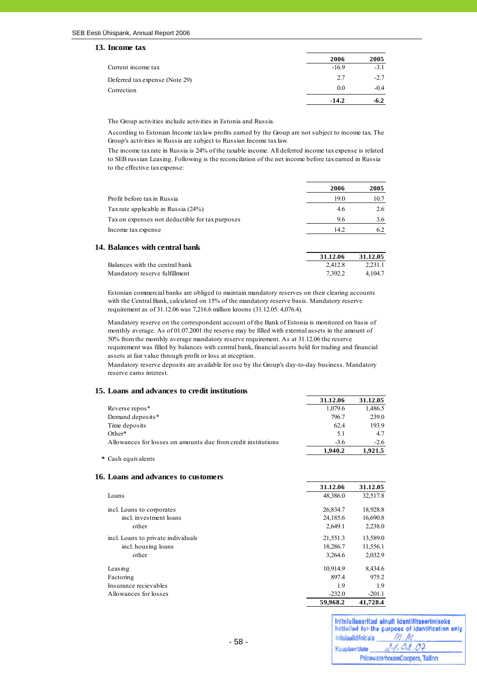#### 13. Income tax

|                                | 2006    | 2005   |
|--------------------------------|---------|--------|
| Current income tax             | $-16.9$ | $-3.1$ |
| Deferred tax expense (Note 29) | 2.7     | $-2.7$ |
| Correction                     | 0.0     | $-0.4$ |
|                                | $-14.2$ | $-6.2$ |

The Group activities include activities in Estonia and Russia.

According to Estonian Income tax law profits earned by the Group are not subject to income tax. The Group's activities in Russia are subject to Russian Income tax law.

The income tax rate in Russia is 24% of the taxable income. All deferred income tax expense is related to SEB russian Leasing. Following is the reconcilation of the net income before tax earned in Russia to the effective tax expense:

|                                                 | 2006 | 2005 |
|-------------------------------------------------|------|------|
| Profit before tax in Russia                     | 19.0 | 10.7 |
| Tax rate applicable in Russia (24%)             | 4.6  | 2.6  |
| Tax on expenses not deductible for tax purposes | 9.6  | 3.6  |
| Income tax expense                              | 14.2 | 62   |
|                                                 |      |      |

#### 14. Balances with central bank

|                                | 31.12.06 | 31.12.05 |
|--------------------------------|----------|----------|
| Balances with the central bank | 2.412.8  | 2.231.1  |
| Mandatory reserve fulfillment  | 7.392.2  | 4.104.7  |

Estonian commercial banks are obliged to maintain mandatory reserves on their clearing accounts with the Central Bank, calculated on 15% of the mandatory reserve basis. Mandatory reserve requirement as of 31.12.06 was 7,216.6 million kroons (31.12.05: 4,076.4).

Mandatory reserve on the correspondent account of the Bank of Estonia is monitored on basis of monthly average. As of 01.07.2001 the reserve may be filled with external assets in the amount of 50% from the monthly average mandatory reserve requirement. As at 31.12.06 the reserve requirement was filled by balances with central bank, financial assets held for trading and financial assets at fair value through profit or loss at inception.

Mandatory reserve deposits are available for use by the Group's day-to-day business. Mandatory reserve earns interest.

#### 15. Loans and advances to credit institutions

|                                                               | 31.12.06 | 31.12.05 |
|---------------------------------------------------------------|----------|----------|
| Reverse repos <sup>*</sup>                                    | 1,079.6  | 1.486.5  |
| Demand deposits*                                              | 796.7    | 239.0    |
| Time deposits                                                 | 62.4     | 193.9    |
| $Other*$                                                      | 5.1      | 4.7      |
| Allowances for losses on amounts due from credit institutions | $-3.6$   | $-2.6$   |
|                                                               | 1.940.2  | 1.921.5  |

#### 16. Loans and advances to customers

 $*$  Cash equivalents

|                                    | 31.12.06 | 31.12.05 |
|------------------------------------|----------|----------|
| Loans                              | 48,386.0 | 32,517.8 |
| incl. Loans to corporates          | 26,834.7 | 18,928.8 |
| incl. investment loans             | 24,185.6 | 16,690.8 |
| other                              | 2,649.1  | 2,238.0  |
| incl. Loans to private individuals | 21,551.3 | 13,589.0 |
| incl. housing loans                | 18,286.7 | 11,556.1 |
| other                              | 3,264.6  | 2,032.9  |
| Leasing                            | 10,914.9 | 8,434.6  |
| Factoring                          | 897.4    | 975.2    |
| Insurance recievables              | 1.9      | 1.9      |
| Allowances for losses              | $-232.0$ | $-201.1$ |
|                                    | 59.968.2 | 41,728.4 |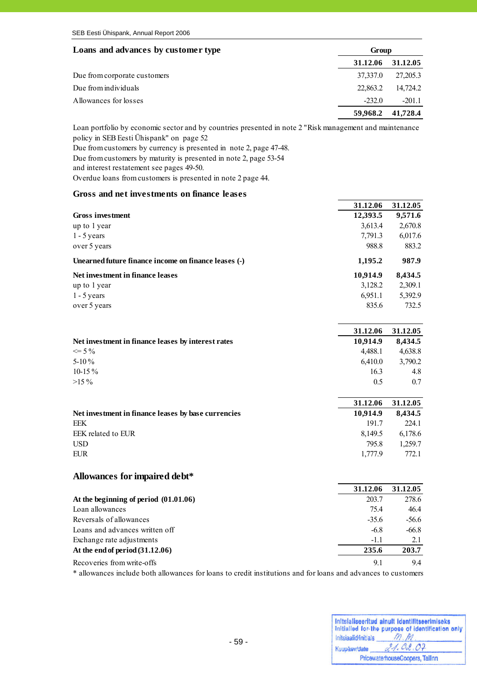| Group    |          |
|----------|----------|
| 31.12.06 | 31.12.05 |
| 37,337.0 | 27,205.3 |
| 22,863.2 | 14.724.2 |
| $-232.0$ | $-201.1$ |
| 59,968.2 | 41,728.4 |
|          |          |

Loan portfolio by economic sector and by countries presented in note 2 "Risk management and maintenance policy in SEB Eesti Ühispank" on page 52

Due from customers by currency is presented in note 2, page 47-48. Due from customers by maturity is presented in note 2, page 53-54

and interest restatement see pages 49-50.

Overdue loans from customers is presented in note 2 page 44.

# Gross and net investments on finance leases

|                                                      | 31.12.06 | 31.12.05 |
|------------------------------------------------------|----------|----------|
| Gross investment                                     | 12,393.5 | 9,571.6  |
| up to 1 year                                         | 3,613.4  | 2,670.8  |
| $1 - 5$ years                                        | 7,791.3  | 6,017.6  |
| over 5 years                                         | 988.8    | 883.2    |
| Unearned future finance income on finance leases (-) | 1,195.2  | 987.9    |
| Net investment in finance leases                     | 10,914.9 | 8,434.5  |
| up to 1 year                                         | 3,128.2  | 2,309.1  |
| $1 - 5$ years                                        | 6,951.1  | 5,392.9  |
| over 5 years                                         | 835.6    | 732.5    |
|                                                      | 31.12.06 | 31.12.05 |
| Net investment in finance leases by interest rates   | 10,914.9 | 8,434.5  |
| $\leq$ 5 %                                           | 4,488.1  | 4,638.8  |
| 5-10%                                                | 6,410.0  | 3,790.2  |
| $10-15\%$                                            | 16.3     | 4.8      |
| $>15\%$                                              | 0.5      | 0.7      |
|                                                      | 31.12.06 | 31.12.05 |
| Net investment in finance leases by base currencies  | 10,914.9 | 8,434.5  |
| <b>EEK</b>                                           | 191.7    | 224.1    |
| EEK related to EUR                                   | 8,149.5  | 6,178.6  |
| <b>USD</b>                                           | 795.8    | 1,259.7  |
| <b>EUR</b>                                           | 1,777.9  | 772.1    |
| Allowances for impaired debt*                        |          |          |
|                                                      | 31.12.06 | 31.12.05 |
| At the beginning of period $(01.01.06)$              | 203.7    | 278.6    |
| $Icon$ allows as a                                   | 75A      | ACA      |

| At the beginning of period (01.01.00) | 203. I  | 2/8.0   |
|---------------------------------------|---------|---------|
| Loan allowances                       | 75.4    | 46.4    |
| Reversals of allowances               | $-35.6$ | $-56.6$ |
| Loans and advances written off        | $-6.8$  | $-66.8$ |
| Exchange rate adjustments             | $-11$   |         |
| At the end of period $(31.12.06)$     | 235.6   | 203.7   |
| Recoveries from write-offs            | 91      | 94      |

\* allowances include both allowances for loans to credit institutions and for loans and advances to customers

| Initsiaalid/initials | initsialiseeritud ainult identifitseerimiseks<br>Initialled for the purpose of identification only<br>m.m |
|----------------------|-----------------------------------------------------------------------------------------------------------|
| Kuupäev/date         | 24.02.07                                                                                                  |
|                      | PricewaterhouseCoopers, Tallinn                                                                           |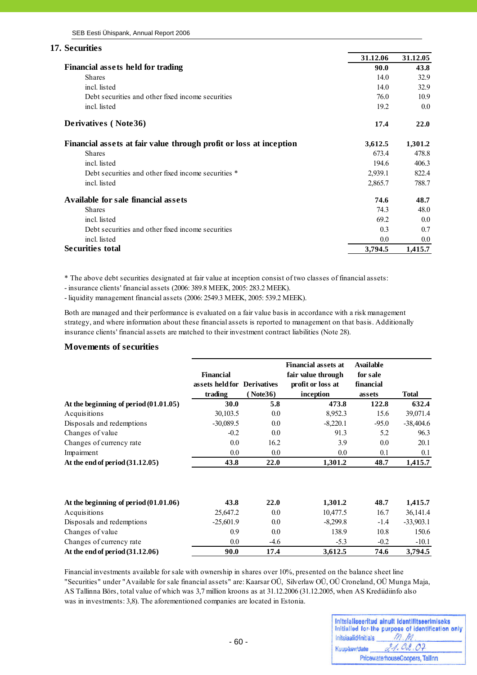| 17. Securities                                                     |          |             |
|--------------------------------------------------------------------|----------|-------------|
|                                                                    | 31.12.06 | 31.12.05    |
| <b>Financial assets held for trading</b>                           | 90.0     | 43.8        |
| <b>Shares</b>                                                      | 14.0     | 32.9        |
| incl. listed                                                       | 14.0     | 32.9        |
| Debt securities and other fixed income securities                  | 76.0     | 10.9        |
| incl. listed                                                       | 19.2     | 0.0         |
| Derivatives (Note36)                                               | 17.4     | <b>22.0</b> |
| Financial assets at fair value through profit or loss at inception | 3,612.5  | 1,301.2     |
| <b>Shares</b>                                                      | 673.4    | 478.8       |
| incl. listed                                                       | 194.6    | 406.3       |
| Debt securities and other fixed income securities *                | 2,939.1  | 822.4       |
| incl. listed                                                       | 2,865.7  | 788.7       |
| Available for sale financial assets                                | 74.6     | 48.7        |
| <b>Shares</b>                                                      | 74.3     | 48.0        |
| incl. listed                                                       | 69.2     | 0.0         |
| Debt securities and other fixed income securities                  | 0.3      | 0.7         |
| incl. listed                                                       | 0.0      | $0.0\,$     |
| <b>Securities total</b>                                            | 3,794.5  | 1,415.7     |

\* The above debt securities designated at fair value at inception consist of two classes of financial assets:

- insurance clients' financial assets (2006: 389.8 MEEK, 2005: 283.2 MEEK).

- liquidity management financial assets (2006: 2549.3 MEEK, 2005: 539.2 MEEK).

Both are managed and their performance is evaluated on a fair value basis in accordance with a risk management strategy, and where information about these financial assets is reported to management on that basis. Additionally insurance clients' financial assets are matched to their investment contract liabilities (Note 28).

### **Movements of securities**

|                                         | <b>Financial</b><br>assets held for Derivatives<br>trading | (Note36) | <b>Financial assets at</b><br>fair value through<br>profit or loss at<br>inception | Available<br>for sale<br>financial<br>assets | Total       |
|-----------------------------------------|------------------------------------------------------------|----------|------------------------------------------------------------------------------------|----------------------------------------------|-------------|
| At the beginning of period $(01.01.05)$ | 30.0                                                       | 5.8      | 473.8                                                                              | 122.8                                        | 632.4       |
| Acquisitions                            | 30,103.5                                                   | 0.0      | 8,952.3                                                                            | 15.6                                         | 39,071.4    |
| Disposals and redemptions               | $-30,089.5$                                                | 0.0      | $-8,220.1$                                                                         | $-95.0$                                      | $-38,404.6$ |
| Changes of value                        | $-0.2$                                                     | 0.0      | 91.3                                                                               | 5.2                                          | 96.3        |
| Changes of currency rate                | 0.0                                                        | 16.2     | 3.9                                                                                | 0.0                                          | 20.1        |
| Impairment                              | 0.0                                                        | 0.0      | 0.0                                                                                | 0.1                                          | 0.1         |
| At the end of period $(31.12.05)$       | 43.8                                                       | 22.0     | 1,301.2                                                                            | 48.7                                         | 1,415.7     |
| At the beginning of period $(01.01.06)$ | 43.8                                                       | 22.0     | 1,301.2                                                                            | 48.7                                         | 1,415.7     |
| Acquisitions                            | 25,647.2                                                   | 0.0      | 10,477.5                                                                           | 16.7                                         | 36,141.4    |
| Disposals and redemptions               | $-25,601.9$                                                | 0.0      | $-8,299.8$                                                                         | $-1.4$                                       | $-33,903.1$ |
| Changes of value                        | 0.9                                                        | 0.0      | 138.9                                                                              | 10.8                                         | 150.6       |
| Changes of currency rate                | 0.0                                                        | $-4.6$   | $-5.3$                                                                             | $-0.2$                                       | $-10.1$     |
| At the end of period $(31.12.06)$       | 90.0                                                       | 17.4     | 3,612.5                                                                            | 74.6                                         | 3,794.5     |

Financial investments available for sale with ownership in shares over 10%, presented on the balance sheet line "Securities" under "Available for sale financial assets" are: Kaarsar OÜ, Silverlaw OÜ, OÜ Croneland, OÜ Munga Maja, AS Tallinna Börs, total value of which was 3,7 million kroons as at 31.12.2006 (31.12.2005, when AS Krediidiinfo also was in investments: 3,8). The aforementioned companies are located in Estonia.

| Initsiaalid/initials | Initsialiseeritud ainult identifitseerimiseks<br>Initialled for the purpose of identification only<br>$m_{\cdot}m$ |
|----------------------|--------------------------------------------------------------------------------------------------------------------|
| Kuupäev/date         | 24.02.07                                                                                                           |
|                      | PricewaterhouseCoopers, Tallinn                                                                                    |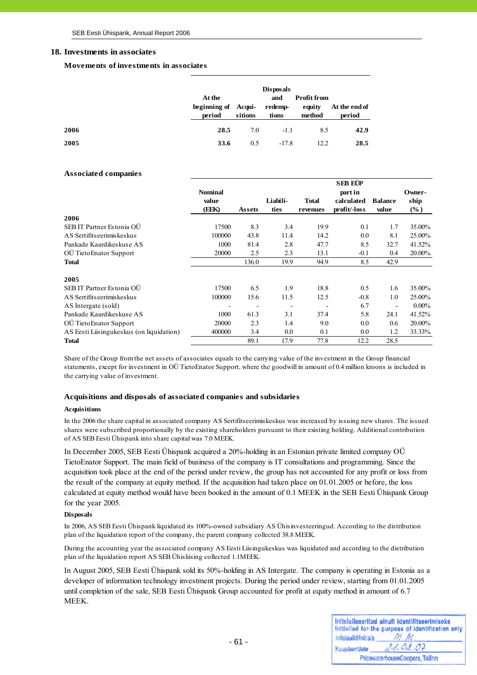#### **18. Investments in associates**

#### **Movements of investments in associates**

|      |                               |         | <b>Disposals</b> |                    |                         |
|------|-------------------------------|---------|------------------|--------------------|-------------------------|
|      | At the                        |         | and              | <b>Profit from</b> |                         |
|      | beginning of Acqui-<br>period | sitions | redemp-<br>tions | equity<br>method   | At the end of<br>period |
|      |                               |         |                  |                    |                         |
| 2006 | 28.5                          | 7.0     | $-1.1$           | 8.5                | 42.9                    |
| 2005 | 33.6                          | 0.5     | $-17.8$          | 12.2               | 28.5                    |

#### **Associated companies**

|                                          | <b>Nominal</b>           |        |          |              | <b>SEB EUP</b><br>part in |                | Owner-   |
|------------------------------------------|--------------------------|--------|----------|--------------|---------------------------|----------------|----------|
|                                          | value                    |        | Liabili- | <b>Total</b> | calculated                | <b>Balance</b> | ship     |
|                                          | (EEK)                    | Assets | ties     | revenues     | profit/-loss              | value          | $(\%)$   |
| 2006                                     |                          |        |          |              |                           |                |          |
| SEB IT Partner Estonia OÜ                | 17500                    | 8.3    | 3.4      | 19.9         | 0.1                       | 1.7            | 35.00%   |
| AS Sertifits eerimis kes kus             | 100000                   | 43.8   | 11.4     | 14.2         | 0.0                       | 8.1            | 25.00%   |
| Pankade Kaardikeskuse AS                 | 1000                     | 81.4   | 2.8      | 47.7         | 8.5                       | 32.7           | 41.52%   |
| OÜ TietoEnator Support                   | 20000                    | 2.5    | 2.3      | 13.1         | $-0.1$                    | 0.4            | 20.00%   |
| <b>Total</b>                             |                          | 136.0  | 19.9     | 94.9         | 8.5                       | 42.9           |          |
| 2005                                     |                          |        |          |              |                           |                |          |
| SEB IT Partner Estonia OÜ                | 17500                    | 6.5    | 1.9      | 18.8         | 0.5                       | 1.6            | 35.00%   |
| AS Sertifits eerimis kes kus             | 100000                   | 15.6   | 11.5     | 12.5         | $-0.8$                    | 1.0            | 25.00%   |
| AS Intergate (sold)                      | $\overline{\phantom{a}}$ | ٠      | -        |              | 6.7                       | ٠              | $0.00\%$ |
| Pankade Kaardikeskuse AS                 | 1000                     | 61.3   | 3.1      | 37.4         | 5.8                       | 24.1           | 41.52%   |
| OÜ TietoEnator Support                   | 20000                    | 2.3    | 1.4      | 9.0          | 0.0                       | 0.6            | 20.00%   |
| AS Eesti Liisingukeskus (on liquidation) | 400000                   | 3.4    | 0.0      | 0.1          | 0.0                       | 1.2            | 33.33%   |
| <b>Total</b>                             |                          | 89.1   | 17.9     | 77.8         | 12.2                      | 28.5           |          |

Share of the Group from the net assets of associates equals to the carrying value of the investment in the Group financial statements, except for investment in OÜ TietoEnator Support, where the goodwill in amount of 0.4 million kroons is included in the carrying value of investment.

#### **Acquisitions and disposals of associated companies and subsidaries**

#### **Acquisitions**

In the 2006 the share capital in associated company AS Sertifitseerimiskeskus was increased by issuing new shares. The issued shares were subscribed proportionally by the existing shareholders pursuant to their existing holding. Additional contribution of AS SEB Eesti Ühispank into share capital was 7.0 MEEK.

In December 2005, SEB Eesti Ühispank acquired a 20%-holding in an Estonian private limited company OÜ TietoEnator Support. The main field of business of the company is IT consultations and programming. Since the acquisition took place at the end of the period under review, the group has not accounted for any profit or loss from the result of the company at equity method. If the acquisition had taken place on 01.01.2005 or before, the loss calculated at equity method would have been booked in the amount of 0.1 MEEK in the SEB Eesti Ühispank Group for the year 2005.

#### **Disposals**

In 2006, AS SEB Eesti Ühispank liquidated its 100%-owned subsidiary AS Ühisinvesteeringud. According to the distribution plan of the liquidation report of the company, the parent company collected 38.8 MEEK.

During the accounting year the associated company AS Eesti Liisingukeskus was liquidated and according to the distribution plan of the liquidation report AS SEB Ühisliising collected 1.1MEEK.

In August 2005, SEB Eesti Ühispank sold its 50%-holding in AS Intergate. The company is operating in Estonia as a developer of information technology investment projects. During the period under review, starting from 01.01.2005 until completion of the sale, SEB Eesti Ühispank Group accounted for profit at equity method in amount of 6.7 MEEK.

| Initsiaalid/initials | initsialiseeritud ainult identifitseerimiseks<br>Initialled for the purpose of identification only<br>m.m |
|----------------------|-----------------------------------------------------------------------------------------------------------|
| Kuupäev/date         | 24.02.07                                                                                                  |
|                      | PricewaterhouseCoopers, Tallinn                                                                           |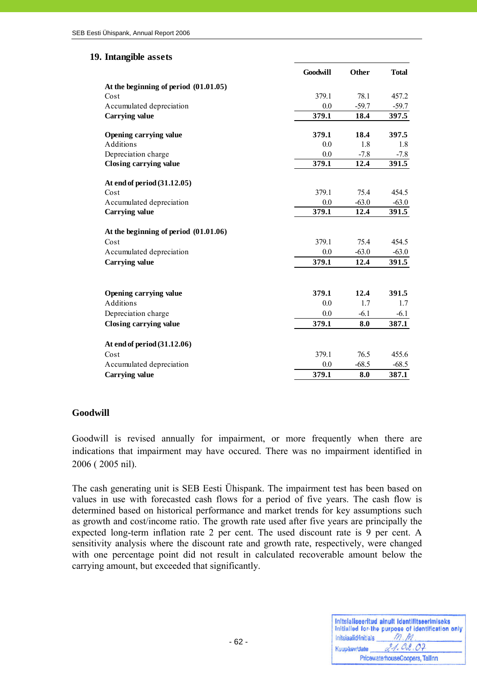# **19. Intangible assets**

|                                         | <b>Goodwill</b> | <b>Other</b> | <b>Total</b> |
|-----------------------------------------|-----------------|--------------|--------------|
| At the beginning of period $(01.01.05)$ |                 |              |              |
| Cost                                    | 379.1           | 78.1         | 457.2        |
| Accumulated depreciation                | 0.0             | $-59.7$      | $-59.7$      |
| <b>Carrying value</b>                   | 379.1           | 18.4         | 397.5        |
| Opening carrying value                  | 379.1           | 18.4         | 397.5        |
| Additions                               | 0.0             | 1.8          | 1.8          |
| Depreciation charge                     | 0.0             | $-7.8$       | $-7.8$       |
| Closing carrying value                  | 379.1           | 12.4         | 391.5        |
| At end of period (31.12.05)             |                 |              |              |
| Cost                                    | 379.1           | 75.4         | 454.5        |
| Accumulated depreciation                | 0.0             | $-63.0$      | $-63.0$      |
| <b>Carrying value</b>                   | 379.1           | 12.4         | 391.5        |
| At the beginning of period $(01.01.06)$ |                 |              |              |
| Cost                                    | 379.1           | 75.4         | 454.5        |
| Accumulated depreciation                | 0.0             | $-63.0$      | $-63.0$      |
| <b>Carrying value</b>                   | 379.1           | 12.4         | 391.5        |
|                                         |                 |              |              |
| <b>Opening carrying value</b>           | 379.1           | 12.4         | 391.5        |
| Additions                               | 0.0             | 1.7          | 1.7          |
| Depreciation charge                     | 0.0             | $-6.1$       | $-6.1$       |
| Closing carrying value                  | 379.1           | 8.0          | 387.1        |
| At end of period (31.12.06)             |                 |              |              |
| Cost                                    | 379.1           | 76.5         | 455.6        |
| Accumulated depreciation                | 0.0             | $-68.5$      | $-68.5$      |
| <b>Carrying value</b>                   | 379.1           | 8.0          | 387.1        |

# **Goodwill**

Goodwill is revised annually for impairment, or more frequently when there are indications that impairment may have occured. There was no impairment identified in 2006 ( 2005 nil).

The cash generating unit is SEB Eesti Ühispank. The impairment test has been based on values in use with forecasted cash flows for a period of five years. The cash flow is determined based on historical performance and market trends for key assumptions such as growth and cost/income ratio. The growth rate used after five years are principally the expected long-term inflation rate 2 per cent. The used discount rate is 9 per cent. A sensitivity analysis where the discount rate and growth rate, respectively, were changed with one percentage point did not result in calculated recoverable amount below the carrying amount, but exceeded that significantly.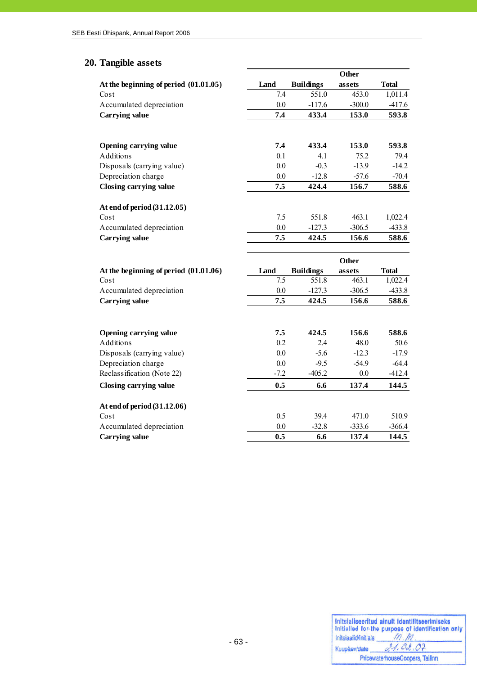# **20. Tangible assets**

|                                         |                  |                  | <b>Other</b> |              |
|-----------------------------------------|------------------|------------------|--------------|--------------|
| At the beginning of period (01.01.05)   | Land             | <b>Buildings</b> | assets       | <b>Total</b> |
| Cost                                    | 7.4              | 551.0            | 453.0        | 1,011.4      |
| Accumulated depreciation                | 0.0              | $-117.6$         | $-300.0$     | $-417.6$     |
| <b>Carrying value</b>                   | 7.4              | 433.4            | 153.0        | 593.8        |
| Opening carrying value                  | 7.4              | 433.4            | 153.0        | 593.8        |
| Additions                               | 0.1              | 4.1              | 75.2         | 79.4         |
| Disposals (carrying value)              | 0.0              | $-0.3$           | $-13.9$      | $-14.2$      |
| Depreciation charge                     | 0.0              | $-12.8$          | $-57.6$      | $-70.4$      |
| Closing carrying value                  | 7.5              | 424.4            | 156.7        | 588.6        |
| At end of period (31.12.05)             |                  |                  |              |              |
| Cost                                    | 7.5              | 551.8            | 463.1        | 1,022.4      |
| Accumulated depreciation                | 0.0              | $-127.3$         | $-306.5$     | $-433.8$     |
| <b>Carrying value</b>                   | 7.5              | 424.5            | 156.6        | 588.6        |
|                                         |                  |                  | <b>Other</b> |              |
| At the beginning of period $(01.01.06)$ | Land             | <b>Buildings</b> | assets       | <b>Total</b> |
| Cost                                    |                  |                  |              |              |
|                                         | $\overline{7.5}$ | 551.8            | 463.1        | 1,022.4      |
| Accumulated depreciation                | 0.0              | $-127.3$         | $-306.5$     | $-433.8$     |
| <b>Carrying value</b>                   | 7.5              | 424.5            | 156.6        | 588.6        |
|                                         | 7.5              | 424.5            | 156.6        | 588.6        |
| Opening carrying value<br>Additions     | 0.2              | 2.4              | 48.0         | 50.6         |
| Disposals (carrying value)              | 0.0              | $-5.6$           | $-12.3$      | $-17.9$      |
| Depreciation charge                     | 0.0              | $-9.5$           | $-54.9$      | $-64.4$      |
| Reclassification (Note 22)              | $-7.2$           | $-405.2$         | 0.0          | $-412.4$     |
| Closing carrying value                  | 0.5              | 6.6              | 137.4        | 144.5        |
| At end of period (31.12.06)             |                  |                  |              |              |
| Cost                                    | 0.5              | 39.4             | 471.0        | 510.9        |
| Accumulated depreciation                | 0.0              | $-32.8$          | $-333.6$     | $-366.4$     |

|                      | Initsialiseeritud ainult identifitseerimiseks     |
|----------------------|---------------------------------------------------|
|                      | Initialled for the purpose of identification only |
| Initsiaalid/initials | m.m                                               |
| Kuupäev/date         | 24.02.07                                          |
|                      | PricewaterhouseCoopers, Tallinn                   |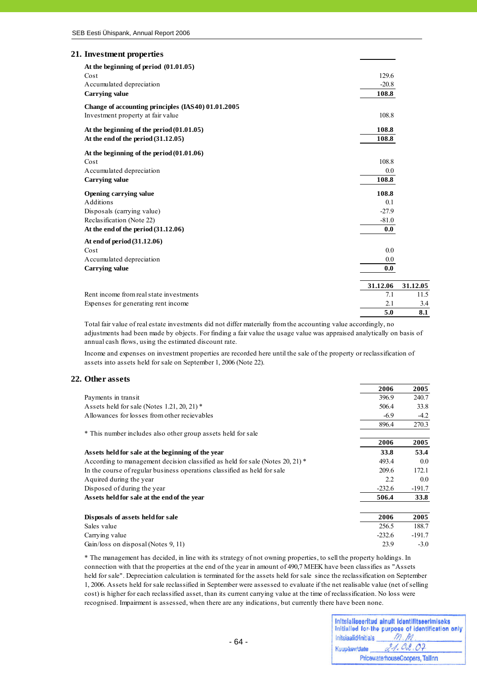#### **21. Investment properties**

| At the beginning of period $(01.01.05)$                                                 |          |          |
|-----------------------------------------------------------------------------------------|----------|----------|
| Cost                                                                                    | 129.6    |          |
| Accumulated depreciation                                                                | $-20.8$  |          |
| <b>Carrying value</b>                                                                   | 108.8    |          |
| Change of accounting principles (IAS40) 01.01.2005<br>Investment property at fair value | 108.8    |          |
| At the beginning of the period $(01.01.05)$                                             | 108.8    |          |
| At the end of the period $(31.12.05)$                                                   | 108.8    |          |
| At the beginning of the period (01.01.06)                                               |          |          |
| Cost                                                                                    | 108.8    |          |
| Accumulated depreciation                                                                | 0.0      |          |
| Carrying value                                                                          | 108.8    |          |
| <b>Opening carrying value</b>                                                           | 108.8    |          |
| Additions                                                                               | 0.1      |          |
| Disposals (carrying value)                                                              | $-27.9$  |          |
| Reclasification (Note 22)                                                               | $-81.0$  |          |
| At the end of the period (31.12.06)                                                     | 0.0      |          |
| At end of period $(31.12.06)$                                                           |          |          |
| Cost                                                                                    | 0.0      |          |
| Accumulated depreciation                                                                | 0.0      |          |
| <b>Carrying value</b>                                                                   | 0.0      |          |
|                                                                                         | 31.12.06 | 31.12.05 |
| Rent income from real state investments                                                 | 7.1      | 11.5     |
| Expenses for generating rent income                                                     | 2.1      | 3.4      |
|                                                                                         | 5.0      | 8.1      |

Total fair value of real estate investments did not differ materially from the accounting value accordingly, no adjustments had been made by objects. For finding a fair value the usage value was appraised analytically on basis of annual cash flows, using the estimated discount rate.

Income and expenses on investment properties are recorded here until the sale of the property or reclassification of assets into assets held for sale on September 1, 2006 (Note 22).

#### 22. Other assets

|                                                                                 | 2006        | 2005     |
|---------------------------------------------------------------------------------|-------------|----------|
| Payments in transit                                                             | 396.9       | 240.7    |
| Assets held for sale (Notes 1.21, 20, 21) $*$                                   | 506.4       | 33.8     |
| Allowances for losses from other recievables                                    | $-6.9$      | $-4.2$   |
|                                                                                 | 896.4       | 270.3    |
| * This number includes also other group assets held for sale                    |             |          |
|                                                                                 | 2006        | 2005     |
| Assets held for sale at the beginning of the year                               | <b>33.8</b> | 53.4     |
| According to management decision classified as held for sale (Notes 20, 21) $*$ | 493.4       | 0.0      |
| In the course of regular business operations classified as held for sale        | 209.6       | 172.1    |
| Aquired during the year                                                         | 2.2         | 0.0      |
| Disposed of during the year                                                     | $-232.6$    | $-191.7$ |
| Assets held for sale at the end of the year                                     | 506.4       | 33.8     |
| Disposals of assets held for sale                                               | 2006        | 2005     |
| Sales value                                                                     | 256.5       | 188.7    |
| Carrying value                                                                  | $-232.6$    | $-191.7$ |
| Gain/loss on disposal (Notes 9, 11)                                             | 23.9        | $-3.0$   |

\* The management has decided, in line with its strategy of not owning properties, to sell the property holdings. In connection with that the properties at the end of the year in amount of 490,7 MEEK have been classifies as "Assets held for sale". Depreciation calculation is terminated for the assets held for sale since the reclassification on September 1, 2006. Assets held for sale reclassified in September were assessed to evaluate if the net realisable value (net of selling cost) is higher for each reclassified asset, than its current carrying value at the time of reclassification. No loss were recognised. Impairment is assessed, when there are any indications, but currently there have been none.

| Initsiaalid/initials | initsialiseeritud ainult identifitseerimiseks<br>Initialled for the purpose of identification only<br>m.m |
|----------------------|-----------------------------------------------------------------------------------------------------------|
| Kuupäev/date         | 24.02.07                                                                                                  |
|                      | PricewaterhouseCoopers, Tallinn                                                                           |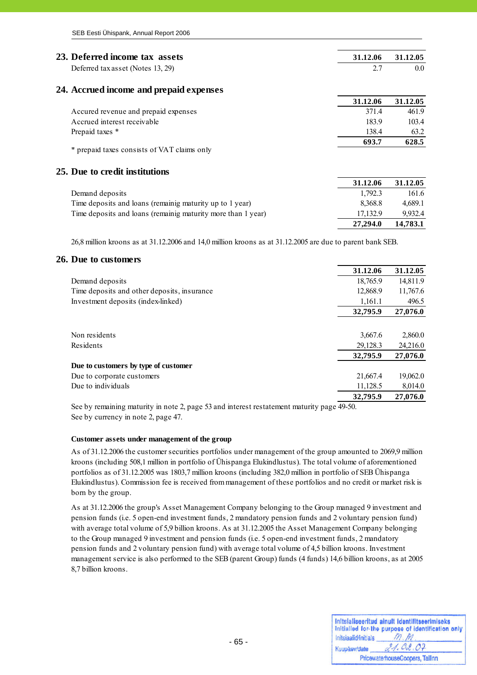| 23. Deferred income tax assets                           | 31.12.06 | 31.12.05 |
|----------------------------------------------------------|----------|----------|
| Deferred tax asset (Notes 13, 29)                        | 2.7      | 0.0      |
| 24. Accrued income and prepaid expenses                  |          |          |
|                                                          | 31.12.06 | 31.12.05 |
| Accured revenue and prepaid expenses                     | 371.4    | 461.9    |
| Accrued interest receivable                              | 183.9    | 103.4    |
| Prepaid taxes *                                          | 138.4    | 63.2     |
|                                                          | 693.7    | 628.5    |
| * prepaid taxes consists of VAT claims only              |          |          |
| 25. Due to credit institutions                           |          |          |
|                                                          | 31.12.06 | 31.12.05 |
| Demand deposits                                          | 1,792.3  | 161.6    |
| Time deposits and loans (remainig maturity up to 1 year) | 8,368.8  | 4,689.1  |

26,8 million kroons as at 31.12.2006 and 14,0 million kroons as at 31.12.2005 are due to parent bank SEB.

Time deposits and loans (remainig maturity more than 1 year) 17,132.9 9,932.4

## **26. Due to customers**

| 31.12.06 | 31.12.05 |
|----------|----------|
| 18,765.9 | 14,811.9 |
| 12,868.9 | 11,767.6 |
| 1,161.1  | 496.5    |
| 32,795.9 | 27,076.0 |
|          |          |
| 3,667.6  | 2,860.0  |
| 29,128.3 | 24,216.0 |
| 32,795.9 | 27,076.0 |
|          |          |
| 21,667.4 | 19,062.0 |
| 11,128.5 | 8,014.0  |
| 32,795.9 | 27,076.0 |
|          |          |

See by remaining maturity in note 2, page 53 and interest restatement maturity page 49-50. See by currency in note 2, page 47.

#### **Customer assets under management of the group**

As of 31.12.2006 the customer securities portfolios under management of the group amounted to 2069,9 million kroons (including 508,1 million in portfolio of Ühispanga Elukindlustus). The total volume of aforementioned portfolios as of 31.12.2005 was 1803,7 million kroons (including 382,0 million in portfolio of SEB Ühispanga Elukindlustus). Commission fee is received from management of these portfolios and no credit or market risk is born by the group.

As at 31.12.2006 the group's Asset Management Company belonging to the Group managed 9 investment and pension funds (i.e. 5 open-end investment funds, 2 mandatory pension funds and 2 voluntary pension fund) with average total volume of 5,9 billion kroons. As at 31.12.2005 the Asset Management Company belonging to the Group managed 9 investment and pension funds (i.e. 5 open-end investment funds, 2 mandatory pension funds and 2 voluntary pension fund) with average total volume of 4,5 billion kroons. Investment management service is also performed to the SEB (parent Group) funds (4 funds) 14,6 billion kroons, as at 2005 8,7 billion kroons.

| Initsiaalid/initials | Initsialiseeritud ainult identifitseerimiseks<br>Initialled for the purpose of identification only<br>m.m |
|----------------------|-----------------------------------------------------------------------------------------------------------|
| Kuupäev/date         | 24.02.07                                                                                                  |
|                      | PricewaterhouseCoopers, Tallinn                                                                           |

**27,294.0 14,783.1**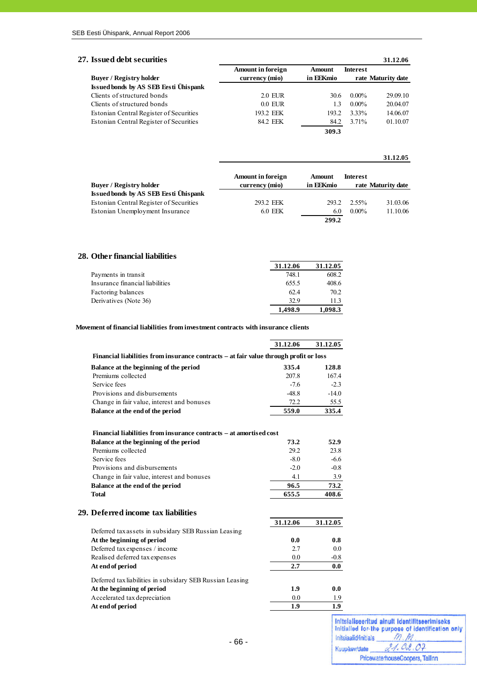| 27. Issued debt securities              |                          |           |                 | 31.12.06           |
|-----------------------------------------|--------------------------|-----------|-----------------|--------------------|
|                                         | <b>Amount in foreign</b> | Amount    | <b>Interest</b> |                    |
| <b>Buyer / Registry holder</b>          | currency (mio)           | in EEKmio |                 | rate Maturity date |
| Issued bonds by AS SEB Eesti Ühispank   |                          |           |                 |                    |
| Clients of structured bonds             | <b>2.0 EUR</b>           | 30.6      | $0.00\%$        | 29.09.10           |
| Clients of structured bonds             | $0.0$ EUR                | 1.3       | $0.00\%$        | 20.04.07           |
| Estonian Central Register of Securities | 193.2 EEK                | 193.2     | 3.33%           | 14.06.07           |
| Estonian Central Register of Securities | 84.2 EEK                 | 84.2      | 3.71%           | 01.10.07           |
|                                         |                          | 309.3     |                 |                    |

|                                              | <b>Amount in foreign</b> | Amount    | <b>Interest</b> |                    |
|----------------------------------------------|--------------------------|-----------|-----------------|--------------------|
| <b>Buyer / Registry holder</b>               | currency (mio)           | in EEKmio |                 | rate Maturity date |
| <b>Issued bonds by AS SEB Eesti Ühispank</b> |                          |           |                 |                    |
| Estonian Central Register of Securities      | 293.2 EEK                | 293.2     | 2.55%           | 31.03.06           |
| Estonian Unemployment Insurance              | $6.0$ EEK                | 6.0       | $0.00\%$        | 11.10.06           |

#### **28. Other financial liabilities**

|                                 | 31.12.06 | 31.12.05 |
|---------------------------------|----------|----------|
| Payments in transit             | 748.1    | 608.2    |
| Insurance financial liabilities | 655.5    | 408.6    |
| Factoring balances              | 62.4     | 70.2     |
| Derivatives (Note 36)           | 32.9     | 11.3     |
|                                 | 1.498.9  | 1.098.3  |

**Movement of financial liabilities from investment contracts with insurance clients**

|                                                                                       | 31.12.06 | 31.12.05 |
|---------------------------------------------------------------------------------------|----------|----------|
| Financial liabilities from insurance contracts - at fair value through profit or loss |          |          |
| Balance at the beginning of the period                                                | 335.4    | 128.8    |
| Premiums collected                                                                    | 207.8    | 167.4    |
| Service fees                                                                          | $-7.6$   | $-2.3$   |
| Provisions and disbursements                                                          | $-48.8$  | $-14.0$  |
| Change in fair value, interest and bonuses                                            | 72.2     | 55.5     |
| Balance at the end of the period                                                      | 559.0    | 335.4    |
| Financial liabilities from insurance contracts – at amortised cost                    |          |          |
| Balance at the beginning of the period                                                | 73.2     | 52.9     |
| Premiums collected                                                                    | 29.2     | 23.8     |
| Service fees                                                                          | $-8.0$   | $-6.6$   |
| Provisions and disbursements                                                          | $-2.0$   | $-0.8$   |
| Change in fair value, interest and bonuses                                            | 4.1      | 3.9      |
| Balance at the end of the period                                                      | 96.5     | 73.2     |
| <b>Total</b>                                                                          | 655.5    | 408.6    |
| 29. Deferred income tax liabilities                                                   |          |          |
|                                                                                       | 31.12.06 | 31.12.05 |
| Deferred tax assets in subsidary SEB Russian Leasing                                  |          |          |
| At the beginning of period                                                            | 0.0      | 0.8      |
| Deferred tax expenses / income                                                        | 2.7      | 0.0      |
| Realised deferred tax expenses                                                        | 0.0      | $-0.8$   |
| At end of period                                                                      | 2.7      | 0.0      |
| Deferred tax liabilities in subsidary SEB Russian Leasing                             |          |          |
| At the beginning of period                                                            | 1.9      | 0.0      |
| Accelerated tax depreciation                                                          | 0.0      | 1.9      |
| At end of period                                                                      | 1.9      | 1.9      |

| Initsiaalid/initials | Initsialiseeritud ainuit identifitseerimiseks<br>Initialled for the purpose of identification only<br>m.m |
|----------------------|-----------------------------------------------------------------------------------------------------------|
| Kuupäev/date         | 24.02.07                                                                                                  |
|                      | PricewaterhouseCoopers, Tallinn                                                                           |

**31.12.05**

**299.2**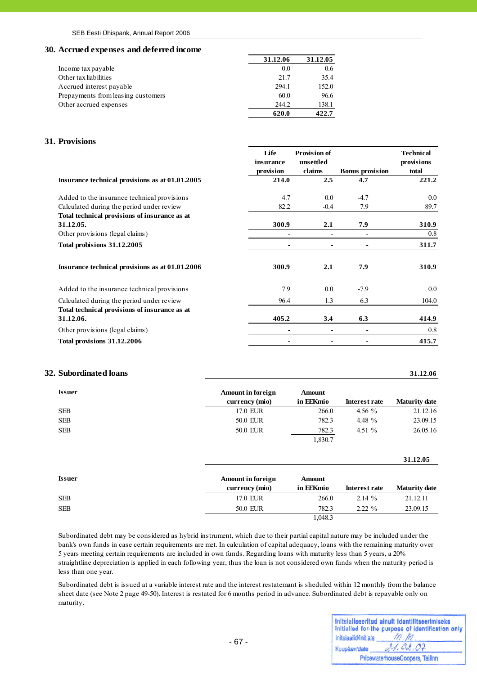#### **30. Accrued expenses and deferred income**

|                                    | 31.12.06 | 31.12.05 |
|------------------------------------|----------|----------|
| Income tax payable                 | 0.0      | 0.6      |
| Other tax liabilities              | 21.7     | 35.4     |
| Accrued interest payable           | 294.1    | 152.0    |
| Prepayments from leasing customers | 60.0     | 96.6     |
| Other accrued expenses             | 244.2    | 138.1    |
|                                    | 620.0    | 422.7    |

#### **31. Provisions**

|                                                 | Life<br>insurance | <b>Provision of</b><br>unsettled |                        | <b>Technical</b><br>provisions |
|-------------------------------------------------|-------------------|----------------------------------|------------------------|--------------------------------|
|                                                 | provision         | claims                           | <b>Bonus</b> provision | total                          |
| Insurance technical provisions as at 01.01.2005 | 214.0             | 2.5                              | 4.7                    | 221.2                          |
| Added to the insurance technical provisions     | 4.7               | 0.0                              | $-4.7$                 | 0.0                            |
| Calculated during the period under review       | 82.2              | $-0.4$                           | 7.9                    | 89.7                           |
| Total technical provisions of insurance as at   |                   |                                  |                        |                                |
| 31.12.05.                                       | 300.9             | 2.1                              | 7.9                    | 310.9                          |
| Other provisions (legal claims)                 | ٠                 | $\overline{\phantom{a}}$         |                        | 0.8                            |
| Total probisions 31.12.2005                     | ٠                 | $\overline{\phantom{a}}$         | $\blacksquare$         | 311.7                          |
| Insurance technical provisions as at 01.01.2006 | 300.9             | 2.1                              | 7.9                    | 310.9                          |
| Added to the insurance technical provisions     | 7.9               | $0.0\,$                          | $-7.9$                 | 0.0                            |
| Calculated during the period under review       | 96.4              | 1.3                              | 6.3                    | 104.0                          |
| Total technical provisions of insurance as at   |                   |                                  |                        |                                |
| 31.12.06.                                       | 405.2             | 3.4                              | 6.3                    | 414.9                          |
| Other provisions (legal claims)                 |                   |                                  |                        | 0.8                            |
| Total provisions 31.12.2006                     |                   |                                  |                        | 415.7                          |

### **32. Subordinated loans 31.12.06**

**Issuer Amount in foreign currency (mio) Amount in EEKmio Interest rate Maturity date** SEB 17.0 EUR 266.0 4.56 % 21.12.16 SEB 50.0 EUR 782.3 4.48 % 23.09.15 SEB 50.0 EUR 782.3 4.51 % 26.05.16 1,830.7

|               |                                            |                            |                      | 31.12.05             |
|---------------|--------------------------------------------|----------------------------|----------------------|----------------------|
| <b>Issuer</b> | <b>Amount in foreign</b><br>currency (mio) | <b>Amount</b><br>in EEKmio | <b>Interest rate</b> | <b>Maturity date</b> |
| <b>SEB</b>    | 17.0 EUR                                   | 266.0                      | $2.14\%$             | 21.12.11             |
| <b>SEB</b>    | <b>50.0 EUR</b>                            | 782.3                      | $2.22 \%$            | 23.09.15             |
|               |                                            | 1,048.3                    |                      |                      |

Subordinated debt may be considered as hybrid instrument, which due to their partial capital nature may be included under the bank's own funds in case certain requirements are met. In calculation of capital adequacy, loans with the remaining maturity over 5 years meeting certain requirements are included in own funds. Regarding loans with maturity less than 5 years, a 20% straightline depreciation is applied in each following year, thus the loan is not considered own funds when the maturity period is less than one year.

Subordinated debt is issued at a variable interest rate and the interest restatemant is sheduled within 12 monthly from the balance sheet date (see Note 2 page 49-50). Interest is restated for 6 months period in advance. Subordinated debt is repayable only on maturity.

| Initsiaalid/initials | initsialiseeritud ainult identifitseerimiseks<br>Initialled for the purpose of identification only<br>m.m |
|----------------------|-----------------------------------------------------------------------------------------------------------|
| Kuupäev/date         | 24.02.07                                                                                                  |
|                      | PricewaterhouseCoopers, Tallinn                                                                           |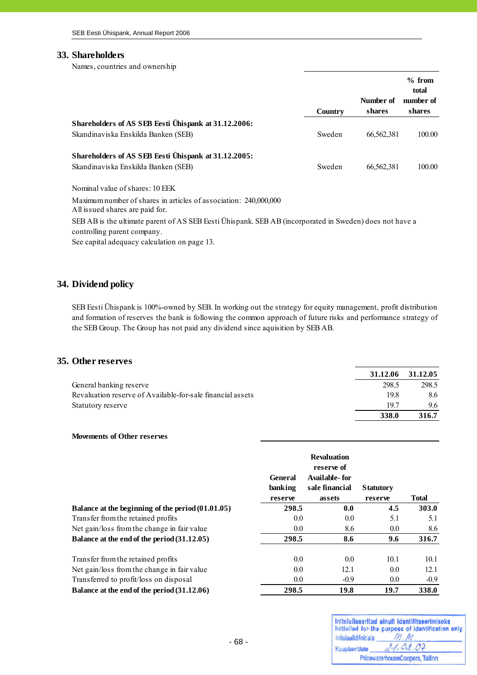### **33. Shareholders**

Names, countries and ownership

|                                                                                             | Country | Number of<br>shares | $%$ from<br>total<br>number of<br>shares |
|---------------------------------------------------------------------------------------------|---------|---------------------|------------------------------------------|
| Shareholders of AS SEB Eesti Ühispank at 31.12.2006:<br>Skandinaviska Enskilda Banken (SEB) | Sweden  | 66,562,381          | 100.00                                   |
| Shareholders of AS SEB Eesti Ühispank at 31.12.2005:<br>Skandinaviska Enskilda Banken (SEB) | Sweden  | 66,562,381          | 100.00                                   |
| Nominal value of shares: 10 EEK                                                             |         |                     |                                          |

Maximum number of shares in articles of association: 240,000,000 All issued shares are paid for.

SEB AB is the ultimate parent of AS SEB Eesti Ühispank. SEB AB (incorporated in Sweden) does not have a controlling parent company.

See capital adequacy calculation on page 13.

# **34. Dividend policy**

SEB Eesti Ühispank is 100%-owned by SEB. In working out the strategy for equity management, profit distribution and formation of reserves the bank is following the common approach of future risks and performance strategy of the SEB Group. The Group has not paid any dividend since aquisition by SEB AB.

# **35. Other reserves**

|                                                            | 31.12.06 | 31.12.05 |
|------------------------------------------------------------|----------|----------|
| General banking reserve                                    | 298.5    | 298.5    |
| Revaluation reserve of Available-for-sale financial assets | 19.8     | 8.6      |
| Statutory reserve                                          | 197      | 96       |
|                                                            | 338.0    | 316.7    |

#### **Movements of Other reserves**

|                                                   | General<br>banking<br>reserve | <b>Revaluation</b><br>reserve of<br>Available-for<br>sale financial<br>assets | <b>Statutory</b><br>reserve | <b>Total</b> |
|---------------------------------------------------|-------------------------------|-------------------------------------------------------------------------------|-----------------------------|--------------|
| Balance at the beginning of the period (01.01.05) | 298.5                         | 0.0                                                                           | 4.5                         | 303.0        |
| Transfer from the retained profits                | 0.0                           | 0.0                                                                           | 5.1                         | 5.1          |
| Net gain/loss from the change in fair value       | 0.0                           | 8.6                                                                           | 0.0                         | 8.6          |
| Balance at the end of the period (31.12.05)       | 298.5                         | 8.6                                                                           | 9.6                         | 316.7        |
| Transfer from the retained profits                | 0.0                           | 0.0                                                                           | 10.1                        | 10.1         |
| Net gain/loss from the change in fair value       | 0.0                           | 12.1                                                                          | 0.0                         | 12.1         |
| Transferred to profit/loss on disposal            | 0.0                           | $-0.9$                                                                        | 0.0                         | $-0.9$       |
| Balance at the end of the period (31.12.06)       | 298.5                         | 19.8                                                                          | 19.7                        | 338.0        |

| Initsiaalid/initials | Initsialiseeritud ainult identifitseerimiseks<br>Initialled for the purpose of identification only<br>m.m |
|----------------------|-----------------------------------------------------------------------------------------------------------|
| Kuupäev/date         | 24.02.07                                                                                                  |
|                      | PricewaterhouseCoopers, Tallinn                                                                           |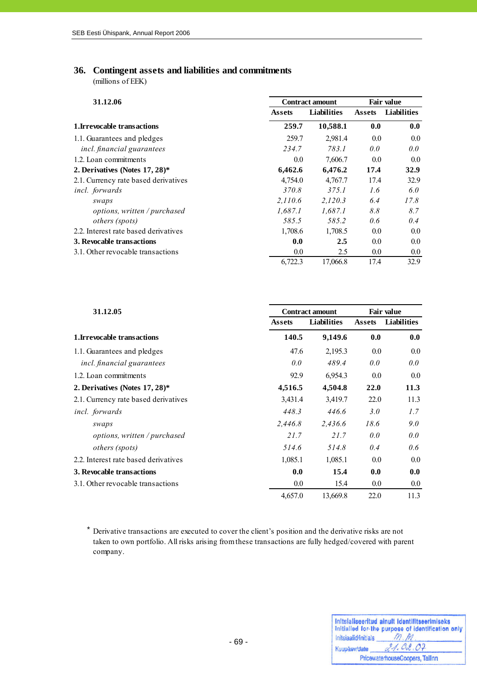# **36. Contingent assets and liabilities and commitments**

(millions of EEK)

| 31.12.06                             |               | <b>Contract amount</b> | <b>Fair value</b> |                    |
|--------------------------------------|---------------|------------------------|-------------------|--------------------|
|                                      | <b>Assets</b> | <b>Liabilities</b>     | <b>Assets</b>     | <b>Liabilities</b> |
| <b>1.</b> Irrevocable transactions   | 259.7         | 10,588.1               | 0.0               | 0.0                |
| 1.1. Guarantees and pledges          | 259.7         | 2,981.4                | 0.0               | 0.0                |
| <i>incl.</i> financial guarantees    | 234.7         | 783.1                  | 0.0               | 0.0                |
| 1.2. Loan commitments                | 0.0           | 7,606.7                | 0.0               | 0.0                |
| 2. Derivatives (Notes 17, 28)*       | 6,462.6       | 6,476.2                | 17.4              | 32.9               |
| 2.1. Currency rate based derivatives | 4,754.0       | 4,767.7                | 17.4              | 32.9               |
| <i>incl.</i> forwards                | 370.8         | 375.1                  | 1.6               | 6.0                |
| swaps                                | 2,110.6       | 2,120.3                | 6.4               | 17.8               |
| options, written / purchased         | 1,687.1       | 1,687.1                | 8.8               | 8.7                |
| <i>others (spots)</i>                | 585.5         | 585.2                  | 0.6               | 0.4                |
| 2.2. Interest rate based derivatives | 1,708.6       | 1,708.5                | 0.0               | 0.0                |
| 3. Revocable transactions            | 0.0           | 2.5                    | 0.0               | 0.0                |
| 3.1. Other revocable transactions    | 0.0           | 2.5                    | 0.0               | 0.0                |
|                                      | 6,722.3       | 17,066.8               | 17.4              | 32.9               |

| 31.12.05                             |               | <b>Contract amount</b> |               |                    |
|--------------------------------------|---------------|------------------------|---------------|--------------------|
|                                      | <b>Assets</b> | <b>Liabilities</b>     | <b>Assets</b> | <b>Liabilities</b> |
| 1. Irrevocable transactions          | 140.5         | 9,149.6                | 0.0           | 0.0                |
| 1.1. Guarantees and pledges          | 47.6          | 2,195.3                | 0.0           | 0.0                |
| incl. financial guarantees           | 0.0           | 489.4                  | 0.0           | 0.0                |
| 1.2. Loan commitments                | 92.9          | 6,954.3                | 0.0           | 0.0                |
| 2. Derivatives (Notes 17, 28)*       | 4,516.5       | 4,504.8                | 22.0          | 11.3               |
| 2.1. Currency rate based derivatives | 3,431.4       | 3,419.7                | 22.0          | 11.3               |
| incl. forwards                       | 448.3         | 446.6                  | 3.0           | 1.7                |
| swaps                                | 2,446.8       | 2,436.6                | 18.6          | 9.0                |
| options, written / purchased         | 21.7          | 21.7                   | 0.0           | 0.0                |
| <i>others (spots)</i>                | 514.6         | 514.8                  | 0.4           | 0.6                |
| 2.2. Interest rate based derivatives | 1,085.1       | 1,085.1                | $0.0\,$       | $0.0\,$            |
| 3. Revocable transactions            | 0.0           | 15.4                   | 0.0           | 0.0                |
| 3.1. Other revocable transactions    | 0.0           | 15.4                   | 0.0           | $0.0\,$            |
|                                      | 4,657.0       | 13,669.8               | 22.0          | 11.3               |

\* Derivative transactions are executed to cover the client's position and the derivative risks are not taken to own portfolio. All risks arising from these transactions are fully hedged/covered with parent company.

| Initsiaalid/initials | Initsialiseeritud ainult identifitseerimiseks<br>Initialled for the purpose of identification only<br>m.m |
|----------------------|-----------------------------------------------------------------------------------------------------------|
| Kuupäev/date         | 24.02.07                                                                                                  |
|                      | PricewaterhouseCoopers, Tallinn                                                                           |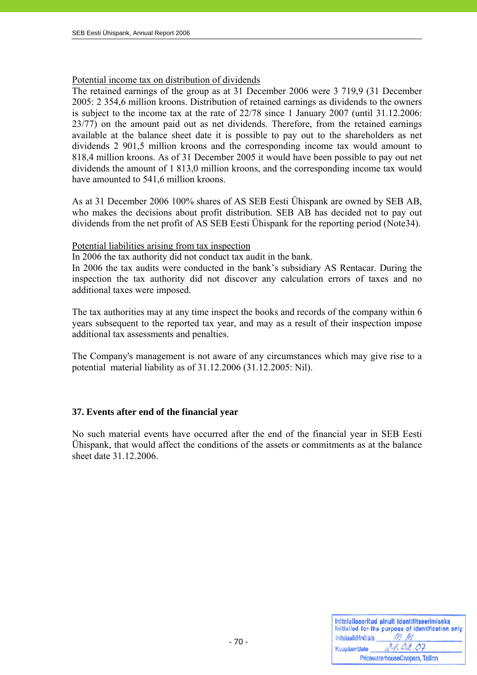# Potential income tax on distribution of dividends

The retained earnings of the group as at 31 December 2006 were 3 719,9 (31 December 2005: 2 354,6 million kroons. Distribution of retained earnings as dividends to the owners is subject to the income tax at the rate of 22/78 since 1 January 2007 (until 31.12.2006: 23/77) on the amount paid out as net dividends. Therefore, from the retained earnings available at the balance sheet date it is possible to pay out to the shareholders as net dividends 2 901,5 million kroons and the corresponding income tax would amount to 818,4 million kroons. As of 31 December 2005 it would have been possible to pay out net dividends the amount of 1 813,0 million kroons, and the corresponding income tax would have amounted to 541,6 million kroons.

As at 31 December 2006 100% shares of AS SEB Eesti Ühispank are owned by SEB AB, who makes the decisions about profit distribution. SEB AB has decided not to pay out dividends from the net profit of AS SEB Eesti Ühispank for the reporting period (Note34).

# Potential liabilities arising from tax inspection

In 2006 the tax authority did not conduct tax audit in the bank.

In 2006 the tax audits were conducted in the bank's subsidiary AS Rentacar. During the inspection the tax authority did not discover any calculation errors of taxes and no additional taxes were imposed.

The tax authorities may at any time inspect the books and records of the company within 6 years subsequent to the reported tax year, and may as a result of their inspection impose additional tax assessments and penalties.

The Company's management is not aware of any circumstances which may give rise to a potential material liability as of 31.12.2006 (31.12.2005: Nil).

# **37. Events after end of the financial year**

No such material events have occurred after the end of the financial year in SEB Eesti Ühispank, that would affect the conditions of the assets or commitments as at the balance sheet date 31.12.2006.

| Initsialiseeritud ainult identifitseerimiseks<br>Initialled for the purpose of identification only<br>m.m<br>Initsiaalid/initials |                                 |  |
|-----------------------------------------------------------------------------------------------------------------------------------|---------------------------------|--|
| Kuupäev/date                                                                                                                      | 24.02.07                        |  |
|                                                                                                                                   | PricewaterhouseCoopers, Tallinn |  |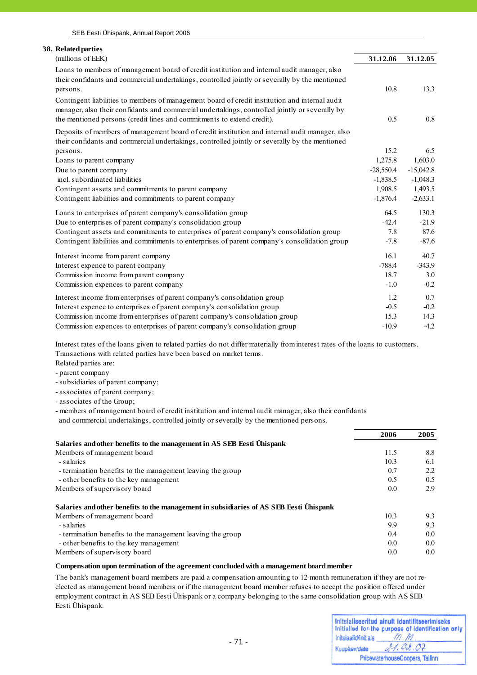| 38. Related parties |                                                                                                                                                                                                                                                                            |             |             |
|---------------------|----------------------------------------------------------------------------------------------------------------------------------------------------------------------------------------------------------------------------------------------------------------------------|-------------|-------------|
|                     | (millions of EEK)                                                                                                                                                                                                                                                          | 31.12.06    | 31.12.05    |
| persons.            | Loans to members of management board of credit institution and internal audit manager, also<br>their confidants and commercial undertakings, controlled jointly or severally by the mentioned                                                                              | 10.8        | 13.3        |
|                     | Contingent liabilities to members of management board of credit institution and internal audit<br>manager, also their confidants and commercial undertakings, controlled jointly or severally by<br>the mentioned persons (credit lines and commitments to extend credit). | 0.5         | 0.8         |
|                     | Deposits of members of management board of credit institution and internal audit manager, also<br>their confidants and commercial undertakings, controlled jointly or severally by the mentioned                                                                           |             |             |
| persons.            |                                                                                                                                                                                                                                                                            | 15.2        | 6.5         |
|                     | Loans to parent company                                                                                                                                                                                                                                                    | 1,275.8     | 1,603.0     |
|                     | Due to parent company                                                                                                                                                                                                                                                      | $-28,550.4$ | $-15,042.8$ |
|                     | incl. subordinated liabilities                                                                                                                                                                                                                                             | $-1,838.5$  | $-1,048.3$  |
|                     | Contingent assets and commitments to parent company                                                                                                                                                                                                                        | 1,908.5     | 1,493.5     |
|                     | Contingent liabilities and commitments to parent company                                                                                                                                                                                                                   | $-1,876.4$  | $-2,633.1$  |
|                     | Loans to enterprises of parent company's consolidation group                                                                                                                                                                                                               | 64.5        | 130.3       |
|                     | Due to enterprises of parent company's consolidation group                                                                                                                                                                                                                 | $-42.4$     | $-21.9$     |
|                     | Contingent assets and commitments to enterprises of parent company's consolidation group                                                                                                                                                                                   | 7.8         | 87.6        |
|                     | Contingent liabilities and commitments to enterprises of parent company's consolidation group                                                                                                                                                                              | $-7.8$      | $-87.6$     |
|                     | Interest income from parent company                                                                                                                                                                                                                                        | 16.1        | 40.7        |
|                     | Interest expence to parent company                                                                                                                                                                                                                                         | $-788.4$    | $-343.9$    |
|                     | Commission income from parent company                                                                                                                                                                                                                                      | 18.7        | 3.0         |
|                     | Commission expences to parent company                                                                                                                                                                                                                                      | $-1.0$      | $-0.2$      |
|                     | Interest income from enterprises of parent company's consolidation group                                                                                                                                                                                                   | 1.2         | 0.7         |
|                     | Interest expence to enterprises of parent company's consolidation group                                                                                                                                                                                                    | $-0.5$      | $-0.2$      |
|                     | Commission income from enterprises of parent company's consolidation group                                                                                                                                                                                                 | 15.3        | 14.3        |
|                     | Commission expences to enterprises of parent company's consolidation group                                                                                                                                                                                                 | $-10.9$     | $-4.2$      |

Interest rates of the loans given to related parties do not differ materially from interest rates of the loans to customers. Transactions with related parties have been based on market terms.

Related parties are:

- parent company

- subsidiaries of parent company;

- associates of parent company;

- associates of the Group;

- members of management board of credit institution and internal audit manager, also their confidants

and commercial undertakings, controlled jointly or severally by the mentioned persons.

|                                                                                        | 2006 | 2005 |
|----------------------------------------------------------------------------------------|------|------|
| Salaries and other benefits to the management in AS SEB Eesti Unispank                 |      |      |
| Members of management board                                                            | 11.5 | 8.8  |
| - salaries                                                                             | 10.3 | 6.1  |
| - termination benefits to the management leaving the group                             | 0.7  | 2.2  |
| - other benefits to the key management                                                 | 0.5  | 0.5  |
| Members of supervisory board                                                           | 0.0  | 2.9  |
| Salaries and other benefits to the management in subsidiaries of AS SEB Eesti Unispank |      |      |
| Members of management board                                                            | 10.3 | 9.3  |
| - salaries                                                                             | 9.9  | 9.3  |
| - termination benefits to the management leaving the group                             | 0.4  | 0.0  |
| - other benefits to the key management                                                 | 0.0  | 0.0  |
| Members of supervisory board                                                           | 0.0  | 0.0  |

#### **Compensation upon termination of the agreement concluded with a management board member**

The bank's management board members are paid a compensation amounting to 12-month remuneration if they are not reelected as management board members or if the management board member refuses to accept the position offered under employment contract in AS SEB Eesti Ühispank or a company belonging to the same consolidation group with AS SEB Eesti Ühispank.

| Initsiaalid/initials            | Initsialiseeritud ainult identifitseerimiseks<br>Initialled for the purpose of identification only<br>m.m |  |
|---------------------------------|-----------------------------------------------------------------------------------------------------------|--|
| Kuupäev/date                    | 24.02.07                                                                                                  |  |
| PricewaterhouseCoopers, Tallinn |                                                                                                           |  |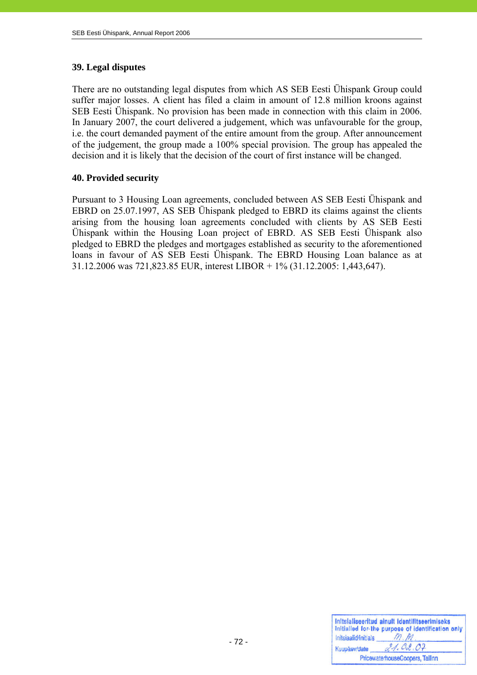# **39. Legal disputes**

There are no outstanding legal disputes from which AS SEB Eesti Ühispank Group could suffer major losses. A client has filed a claim in amount of 12.8 million kroons against SEB Eesti Ühispank. No provision has been made in connection with this claim in 2006. In January 2007, the court delivered a judgement, which was unfavourable for the group, i.e. the court demanded payment of the entire amount from the group. After announcement of the judgement, the group made a 100% special provision. The group has appealed the decision and it is likely that the decision of the court of first instance will be changed.

# **40. Provided security**

Pursuant to 3 Housing Loan agreements, concluded between AS SEB Eesti Ühispank and EBRD on 25.07.1997, AS SEB Ühispank pledged to EBRD its claims against the clients arising from the housing loan agreements concluded with clients by AS SEB Eesti Ühispank within the Housing Loan project of EBRD. AS SEB Eesti Ühispank also pledged to EBRD the pledges and mortgages established as security to the aforementioned loans in favour of AS SEB Eesti Ühispank. The EBRD Housing Loan balance as at 31.12.2006 was 721,823.85 EUR, interest LIBOR + 1% (31.12.2005: 1,443,647).

| Initsiaalid/initials | Initsialiseeritud ainuit identifitseerimiseks<br>Initialled for the purpose of identification only<br>m.m |
|----------------------|-----------------------------------------------------------------------------------------------------------|
| Kuupäev/date         | 24.02.07                                                                                                  |
|                      | PricewaterhouseCoopers, Tallinn                                                                           |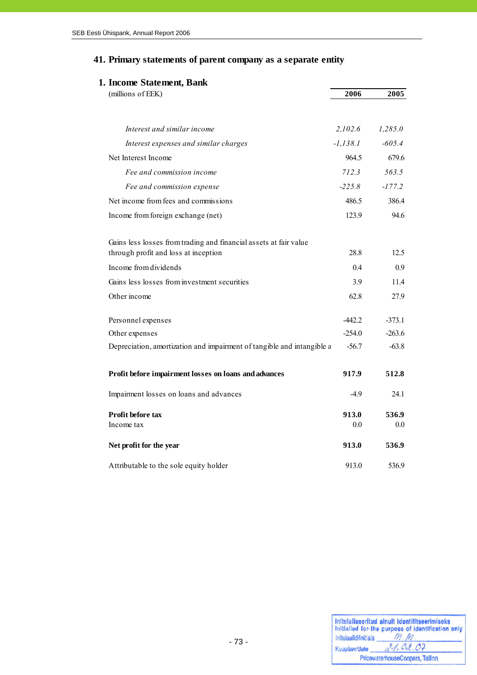# **41. Primary statements of parent company as a separate entity**

# **1. Income Statement, Bank Bank** (millions of EEK) **2006 2005** *Interest and similar income 2,102.6 1,285.0 Interest expenses and similar charges -1,138.1 -605.4* Net Interest Income 964.5 679.6 *Fee and commission income 712.3 563.5 Fee and commission expense -225.8 -177.2* Net income from fees and commissions 486.5 386.4 Income from foreign exchange (net) 123.9 94.6 28.8 12.5 Income from dividends 0.4 0.9 Gains less losses from investment securities 3.9 11.4 Other income 62.8 27.9 Personnel expenses -442.2 -373.1 Other expenses  $-254.0$  -263.6 Depreciation, amortization and impairment of tangible and intangible a -56.7 -63.8 **Profit before impairment losses on loans and advances 917.9 512.8** Impairment losses on loans and advances -4.9 24.1 **Profit before tax** 913.0 536.9 Income tax  $0.0$  0.0 0.0 **Net profit for the year 913.0 536.9** Attributable to the sole equity holder 913.0 536.9 Gains less losses from trading and financial assets at fair value through profit and loss at inception

| Initsiaalid/initials | Initsialiseeritud ainuit identifitseerimiseks<br>Initialled for the purpose of identification only<br>m.m |
|----------------------|-----------------------------------------------------------------------------------------------------------|
| Kuupäev/date         | 24.02.07<br>PricewaterhouseCoopers, Tallinn                                                               |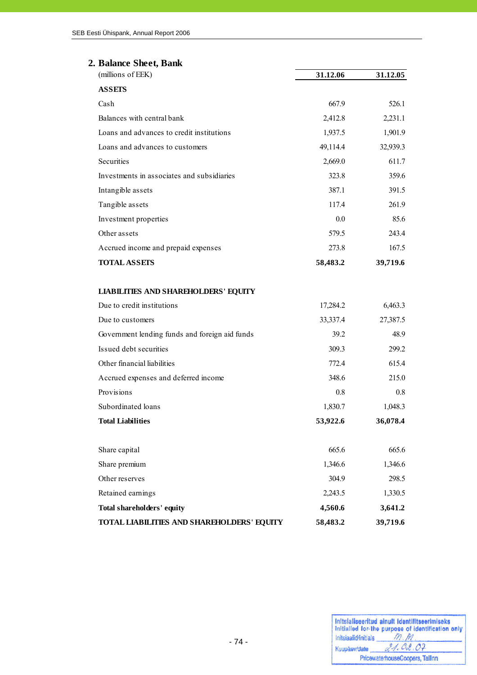| 2. Balance Sheet, Bank<br>(millions of EEK)    | 31.12.06 | 31.12.05 |
|------------------------------------------------|----------|----------|
| <b>ASSETS</b>                                  |          |          |
| Cash                                           | 667.9    | 526.1    |
| Balances with central bank                     | 2,412.8  | 2,231.1  |
| Loans and advances to credit institutions      | 1,937.5  | 1,901.9  |
| Loans and advances to customers                | 49,114.4 | 32,939.3 |
| Securities                                     | 2,669.0  | 611.7    |
| Investments in associates and subsidiaries     | 323.8    | 359.6    |
| Intangible assets                              | 387.1    | 391.5    |
| Tangible assets                                | 117.4    | 261.9    |
| Investment properties                          | 0.0      | 85.6     |
| Other assets                                   | 579.5    | 243.4    |
| Accrued income and prepaid expenses            | 273.8    | 167.5    |
| <b>TOTAL ASSETS</b>                            | 58,483.2 | 39,719.6 |
| <b>LIABILITIES AND SHAREHOLDERS' EQUITY</b>    |          |          |
| Due to credit institutions                     | 17,284.2 | 6,463.3  |
| Due to customers                               | 33,337.4 | 27,387.5 |
| Government lending funds and foreign aid funds | 39.2     | 48.9     |
| Issued debt securities                         | 309.3    | 299.2    |
| Other financial liabilities                    | 772.4    | 615.4    |
| Accrued expenses and deferred income           | 348.6    | 215.0    |
| Provisions                                     | 0.8      | 0.8      |
| Subordinated loans                             | 1,830.7  | 1,048.3  |
| Total Liabilities                              | 53,922.6 | 36,078.4 |
| Share capital                                  | 665.6    | 665.6    |
| Share premium                                  | 1,346.6  | 1,346.6  |
| Other reserves                                 | 304.9    | 298.5    |
| Retained earnings                              | 2,243.5  | 1,330.5  |
| Total shareholders' equity                     | 4,560.6  | 3,641.2  |
| TOTAL LIABILITIES AND SHAREHOLDERS' EQUITY     | 58,483.2 | 39,719.6 |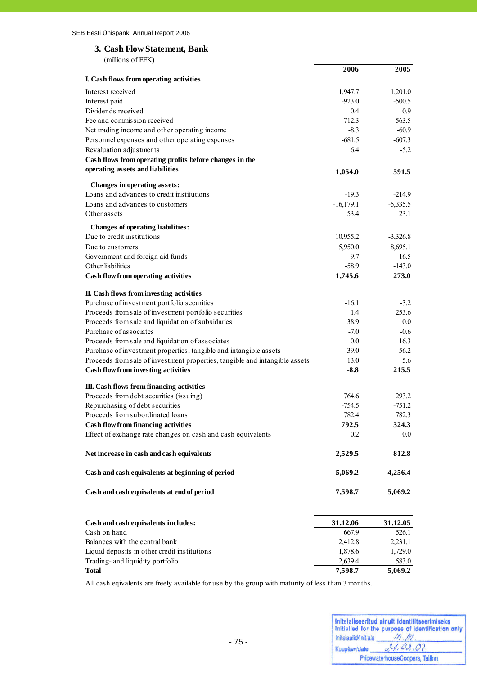# **3. Cash Flow Statement, Bank**

(millions of EEK)

|                                                                             | 2006        | 2005       |
|-----------------------------------------------------------------------------|-------------|------------|
| <b>L</b> Cash flows from operating activities                               |             |            |
| Interest received                                                           | 1,947.7     | 1,201.0    |
| Interest paid                                                               | $-923.0$    | $-500.5$   |
| Dividends received                                                          | 0.4         | 0.9        |
| Fee and commission received                                                 | 712.3       | 563.5      |
| Net trading income and other operating income                               | $-8.3$      | $-60.9$    |
| Personnel expenses and other operating expenses                             | $-681.5$    | $-607.3$   |
| Revaluation adjustments                                                     | 6.4         | $-5.2$     |
| Cash flows from operating profits before changes in the                     |             |            |
| operating assets and liabilities                                            | 1,054.0     | 591.5      |
| Changes in operating assets:                                                |             |            |
| Loans and advances to credit institutions                                   | $-19.3$     | $-214.9$   |
| Loans and advances to customers                                             | $-16,179.1$ | $-5,335.5$ |
| Other assets                                                                | 53.4        | 23.1       |
| <b>Changes of operating liabilities:</b>                                    |             |            |
| Due to credit institutions                                                  | 10,955.2    | $-3,326.8$ |
| Due to customers                                                            | 5,950.0     | 8,695.1    |
| Government and foreign aid funds                                            | $-9.7$      | $-16.5$    |
| Other liabilities                                                           | $-58.9$     | $-143.0$   |
| Cash flow from operating activities                                         | 1,745.6     | 273.0      |
| II. Cash flows from investing activities                                    |             |            |
| Purchase of investment portfolio securities                                 | $-16.1$     | $-3.2$     |
| Proceeds from sale of investment portfolio securities                       | 1.4         | 253.6      |
| Proceeds from sale and liquidation of subsidaries                           | 38.9        | 0.0        |
| Purchase of associates                                                      | $-7.0$      | $-0.6$     |
| Proceeds from sale and liquidation of associates                            | 0.0         | 16.3       |
| Purchase of investment properties, tangible and intangible assets           | $-39.0$     | $-56.2$    |
| Proceeds from sale of investment properties, tangible and intangible assets | 13.0        | 5.6        |
| Cash flow from investing activities                                         | $-8.8$      | 215.5      |
| III. Cash flows from financing activities                                   |             |            |
| Proceeds from debt securities (issuing)                                     | 764.6       | 293.2      |
| Repurchasing of debt securities                                             | $-754.5$    | $-751.2$   |
| Proceeds from subordinated loans                                            | 782.4       | 782.3      |
| <b>Cash flow from financing activities</b>                                  | 792.5       | 324.3      |
| Effect of exchange rate changes on cash and cash equivalents                | 0.2         | $0.0\,$    |
| Net increase in cash and cash equivalents                                   | 2,529.5     | 812.8      |
| Cash and cash equivalents at beginning of period                            | 5,069.2     | 4,256.4    |
| Cash and cash equivalents at end of period                                  | 7,598.7     | 5,069.2    |
|                                                                             |             |            |
| Cash and cash equivalents includes:                                         | 31.12.06    | 31.12.05   |
| Cash on hand                                                                | 667.9       | 526.1      |
| Balances with the central bank                                              | 2,412.8     | 2,231.1    |
| Liquid deposits in other credit institutions                                | 1,878.6     | 1,729.0    |
| Trading- and liquidity portfolio                                            | 2,639.4     | 583.0      |
| <b>Total</b>                                                                | 7,598.7     | 5,069.2    |

All cash eqivalents are freely available for use by the group with maturity of less than 3 months.

| Initsiaalid/initials | Initsialiseeritud ainult identifitseerimiseks<br>Initialled for the purpose of identification only<br>m.m |
|----------------------|-----------------------------------------------------------------------------------------------------------|
| Kuupäev/date         | 24.02.07                                                                                                  |
|                      | PricewaterhouseCoopers, Tallinn                                                                           |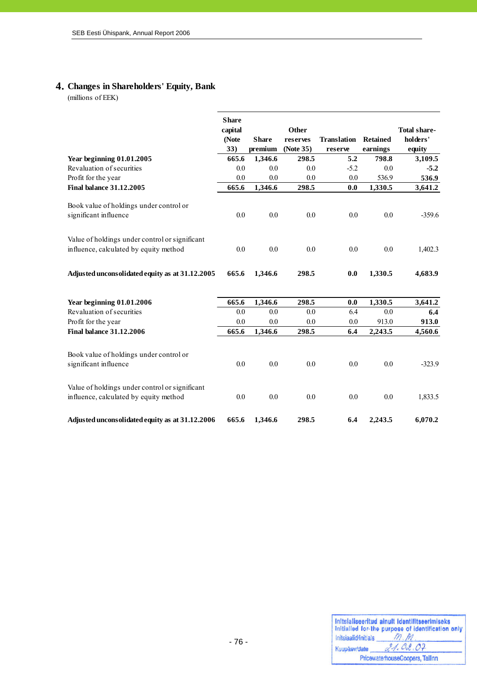# **4. Changes in Shareholders' Equity, Bank**

(millions of EEK)

|                                                                                          | <b>Share</b><br>capital<br>(Note | <b>Share</b> | Other<br>reserves | <b>Translation</b> | <b>Retained</b> | <b>Total share-</b><br>holders' |
|------------------------------------------------------------------------------------------|----------------------------------|--------------|-------------------|--------------------|-----------------|---------------------------------|
|                                                                                          | 33)                              | premium      | (Note 35)         | reserve            | earnings        | equity                          |
| <b>Year beginning 01.01.2005</b>                                                         | 665.6                            | 1,346.6      | 298.5             | 5.2                | 798.8           | 3,109.5                         |
| Revaluation of securities                                                                | 0.0                              | 0.0          | 0.0               | $-5.2$             | 0.0             | $-5.2$                          |
| Profit for the year                                                                      | 0.0                              | 0.0          | 0.0               | 0.0                | 536.9           | 536.9                           |
| <b>Final balance 31.12.2005</b>                                                          | 665.6                            | 1,346.6      | 298.5             | 0.0                | 1,330.5         | 3,641.2                         |
| Book value of holdings under control or                                                  |                                  |              |                   |                    |                 |                                 |
| significant influence                                                                    | 0.0                              | 0.0          | 0.0               | 0.0                | 0.0             | $-359.6$                        |
| Value of holdings under control or significant                                           |                                  |              |                   |                    |                 |                                 |
| influence, calculated by equity method                                                   | 0.0                              | 0.0          | 0.0               | 0.0                | 0.0             | 1,402.3                         |
| Adjusted unconsolidated equity as at 31.12.2005                                          | 665.6                            | 1,346.6      | 298.5             | 0.0                | 1,330.5         | 4,683.9                         |
| Year beginning 01.01.2006                                                                | 665.6                            | 1,346.6      | 298.5             | 0.0                | 1,330.5         | 3,641.2                         |
| Revaluation of securities                                                                | 0.0                              | 0.0          | 0.0               | 6.4                | 0.0             | 6.4                             |
| Profit for the year                                                                      | 0.0                              | 0.0          | 0.0               | 0.0                | 913.0           | 913.0                           |
| <b>Final balance 31.12.2006</b>                                                          | 665.6                            | 1,346.6      | 298.5             | 6.4                | 2,243.5         | 4,560.6                         |
| Book value of holdings under control or<br>significant influence                         | 0.0                              | 0.0          | 0.0               | 0.0                | 0.0             | $-323.9$                        |
| Value of holdings under control or significant<br>influence, calculated by equity method | 0.0                              | 0.0          | 0.0               | 0.0                | 0.0             | 1,833.5                         |
| Adjusted unconsolidated equity as at 31.12.2006                                          | 665.6                            | 1,346.6      | 298.5             | 6.4                | 2,243.5         | 6,070.2                         |

| Initsiaalid/initials | initsialiseeritud ainult identifitseerimiseks<br>Initialled for the purpose of identification only<br>m. m |
|----------------------|------------------------------------------------------------------------------------------------------------|
| Kuupäev/date         | 24.02.07                                                                                                   |
|                      | PricewaterhouseCoopers, Tallinn                                                                            |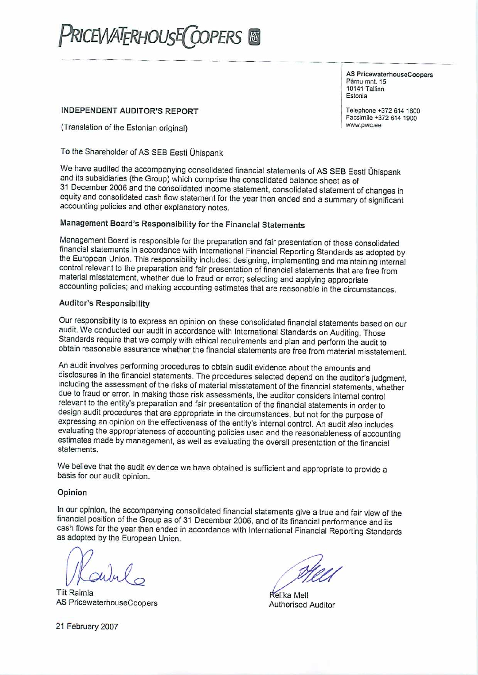

AS PricewaterhouseCoopers Pärnu mnt. 15 10141 Tallinn Estonia

Telephone +372 614 1800 Facsimile +372 614 1900 www.pwc.ee

#### **INDEPENDENT AUDITOR'S REPORT**

(Translation of the Estonian original)

To the Shareholder of AS SEB Eesti Ühispank

We have audited the accompanying consolidated financial statements of AS SEB Eesti Ühispank and its subsidiaries (the Group) which comprise the consolidated balance sheet as of 31 December 2006 and the consolidated income statement, consolidated statement of changes in equity and consolidated cash flow statement for the year then ended and a summary of significant accounting policies and other explanatory notes.

# Management Board's Responsibility for the Financial Statements

Management Board is responsible for the preparation and fair presentation of these consolidated financial statements in accordance with International Financial Reporting Standards as adopted by the European Union. This responsibility includes: designing, implementing and maintaining internal control relevant to the preparation and fair presentation of financial statements that are free from material misstatement, whether due to fraud or error; selecting and applying appropriate accounting policies; and making accounting estimates that are reasonable in the circumstances.

#### **Auditor's Responsibility**

Our responsibility is to express an opinion on these consolidated financial statements based on our audit. We conducted our audit in accordance with International Standards on Auditing. Those Standards require that we comply with ethical requirements and plan and perform the audit to obtain reasonable assurance whether the financial statements are free from material misstatement.

An audit involves performing procedures to obtain audit evidence about the amounts and disclosures in the financial statements. The procedures selected depend on the auditor's judgment, including the assessment of the risks of material misstatement of the financial statements, whether due to fraud or error. In making those risk assessments, the auditor considers internal control relevant to the entity's preparation and fair presentation of the financial statements in order to design audit procedures that are appropriate in the circumstances, but not for the purpose of expressing an opinion on the effectiveness of the entity's internal control. An audit also includes evaluating the appropriateness of accounting policies used and the reasonableness of accounting estimates made by management, as well as evaluating the overall presentation of the financial statements.

We believe that the audit evidence we have obtained is sufficient and appropriate to provide a basis for our audit opinion.

#### Opinion

In our opinion, the accompanying consolidated financial statements give a true and fair view of the financial position of the Group as of 31 December 2006, and of its financial performance and its cash flows for the year then ended in accordance with International Financial Reporting Standards as adopted by the European Union.

**Tiit Raimla** AS PricewaterhouseCoopers

Relika Mell Authorised Auditor

21 February 2007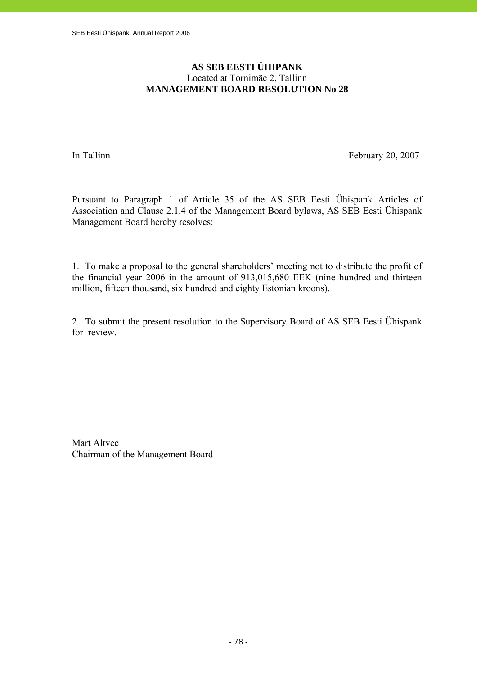# **AS SEB EESTI ÜHIPANK**  Located at Tornimäe 2, Tallinn **MANAGEMENT BOARD RESOLUTION No 28**

In Tallinn February 20, 2007

Pursuant to Paragraph 1 of Article 35 of the AS SEB Eesti Ühispank Articles of Association and Clause 2.1.4 of the Management Board bylaws, AS SEB Eesti Ühispank Management Board hereby resolves:

1. To make a proposal to the general shareholders' meeting not to distribute the profit of the financial year 2006 in the amount of 913,015,680 EEK (nine hundred and thirteen million, fifteen thousand, six hundred and eighty Estonian kroons).

2. To submit the present resolution to the Supervisory Board of AS SEB Eesti Ühispank for review.

Mart Altvee Chairman of the Management Board